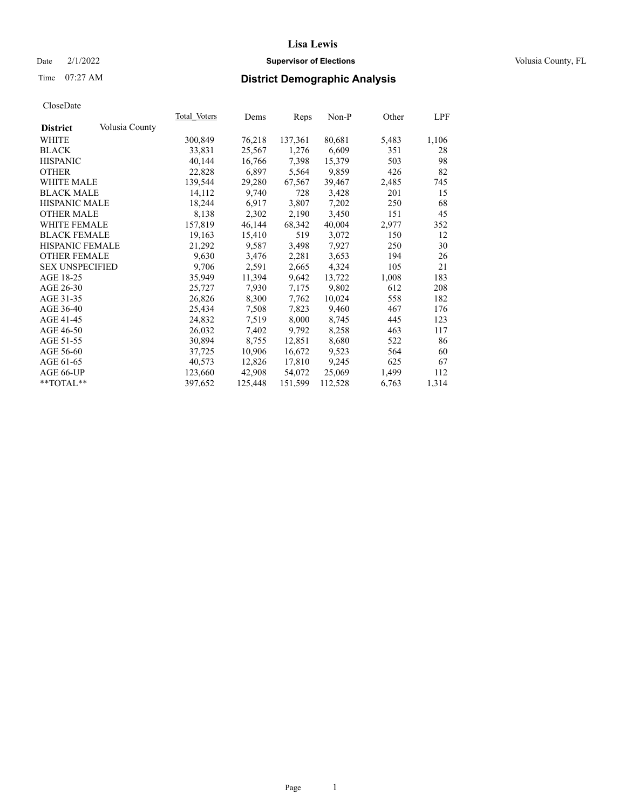Time 07:27 AM

#### **Supervisor of Elections** Date 2/1/2022 Volusia County, FL

## **District Demographic Analysis**

|                        |                | Total Voters | Dems    | Reps    | Non-P   | Other | LPF   |
|------------------------|----------------|--------------|---------|---------|---------|-------|-------|
| <b>District</b>        | Volusia County |              |         |         |         |       |       |
| WHITE                  |                | 300,849      | 76,218  | 137,361 | 80,681  | 5,483 | 1,106 |
| <b>BLACK</b>           |                | 33,831       | 25,567  | 1,276   | 6,609   | 351   | 28    |
| <b>HISPANIC</b>        |                | 40,144       | 16,766  | 7,398   | 15,379  | 503   | 98    |
| <b>OTHER</b>           |                | 22,828       | 6,897   | 5,564   | 9,859   | 426   | 82    |
| <b>WHITE MALE</b>      |                | 139,544      | 29,280  | 67,567  | 39,467  | 2,485 | 745   |
| <b>BLACK MALE</b>      |                | 14,112       | 9,740   | 728     | 3,428   | 201   | 15    |
| <b>HISPANIC MALE</b>   |                | 18,244       | 6,917   | 3,807   | 7,202   | 250   | 68    |
| <b>OTHER MALE</b>      |                | 8,138        | 2,302   | 2,190   | 3,450   | 151   | 45    |
| <b>WHITE FEMALE</b>    |                | 157,819      | 46,144  | 68,342  | 40,004  | 2,977 | 352   |
| <b>BLACK FEMALE</b>    |                | 19,163       | 15,410  | 519     | 3,072   | 150   | 12    |
| HISPANIC FEMALE        |                | 21,292       | 9,587   | 3,498   | 7,927   | 250   | 30    |
| <b>OTHER FEMALE</b>    |                | 9,630        | 3,476   | 2,281   | 3,653   | 194   | 26    |
| <b>SEX UNSPECIFIED</b> |                | 9.706        | 2,591   | 2,665   | 4,324   | 105   | 21    |
| AGE 18-25              |                | 35,949       | 11,394  | 9,642   | 13,722  | 1,008 | 183   |
| AGE 26-30              |                | 25,727       | 7,930   | 7,175   | 9,802   | 612   | 208   |
| AGE 31-35              |                | 26,826       | 8,300   | 7,762   | 10,024  | 558   | 182   |
| AGE 36-40              |                | 25,434       | 7,508   | 7,823   | 9,460   | 467   | 176   |
| AGE 41-45              |                | 24,832       | 7,519   | 8,000   | 8,745   | 445   | 123   |
| AGE 46-50              |                | 26,032       | 7,402   | 9,792   | 8,258   | 463   | 117   |
| AGE 51-55              |                | 30,894       | 8,755   | 12,851  | 8,680   | 522   | 86    |
| AGE 56-60              |                | 37,725       | 10,906  | 16,672  | 9,523   | 564   | 60    |
| AGE 61-65              |                | 40,573       | 12,826  | 17,810  | 9,245   | 625   | 67    |
| AGE 66-UP              |                | 123,660      | 42,908  | 54,072  | 25,069  | 1,499 | 112   |
| $*$ TOTAL $*$          |                | 397,652      | 125,448 | 151,599 | 112,528 | 6,763 | 1,314 |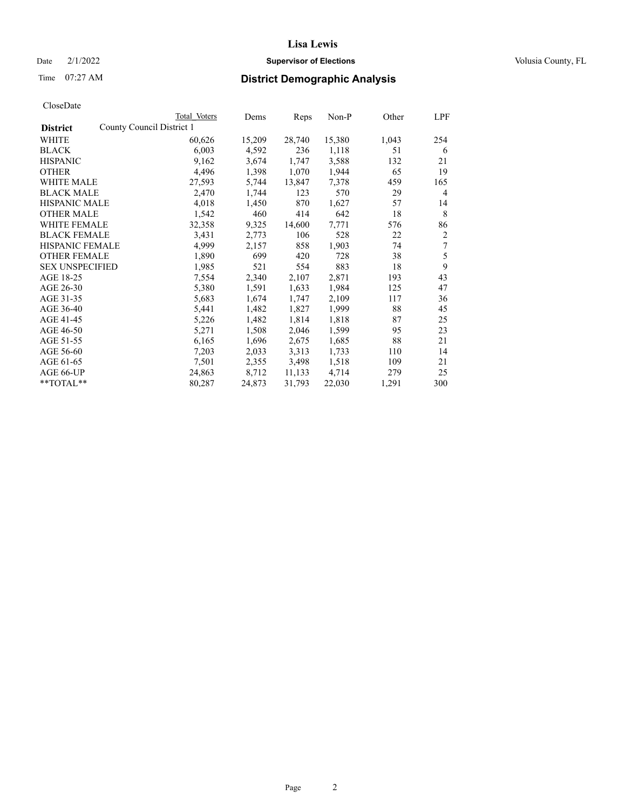## Date  $2/1/2022$  **Supervisor of Elections** Volusia County, FL

# Time 07:27 AM **District Demographic Analysis**

| CloseDate |
|-----------|
|-----------|

|                                              | Total Voters | Dems   | Reps   | Non-P  | Other | LPF |
|----------------------------------------------|--------------|--------|--------|--------|-------|-----|
| County Council District 1<br><b>District</b> |              |        |        |        |       |     |
| WHITE                                        | 60,626       | 15,209 | 28,740 | 15,380 | 1,043 | 254 |
| <b>BLACK</b>                                 | 6,003        | 4,592  | 236    | 1,118  | 51    | 6   |
| <b>HISPANIC</b>                              | 9,162        | 3,674  | 1,747  | 3,588  | 132   | 21  |
| <b>OTHER</b>                                 | 4,496        | 1,398  | 1,070  | 1,944  | 65    | 19  |
| <b>WHITE MALE</b>                            | 27,593       | 5,744  | 13,847 | 7,378  | 459   | 165 |
| <b>BLACK MALE</b>                            | 2,470        | 1,744  | 123    | 570    | 29    | 4   |
| <b>HISPANIC MALE</b>                         | 4,018        | 1,450  | 870    | 1,627  | 57    | 14  |
| <b>OTHER MALE</b>                            | 1,542        | 460    | 414    | 642    | 18    | 8   |
| <b>WHITE FEMALE</b>                          | 32,358       | 9,325  | 14,600 | 7,771  | 576   | 86  |
| <b>BLACK FEMALE</b>                          | 3,431        | 2,773  | 106    | 528    | 22    | 2   |
| <b>HISPANIC FEMALE</b>                       | 4,999        | 2,157  | 858    | 1,903  | 74    | 7   |
| <b>OTHER FEMALE</b>                          | 1,890        | 699    | 420    | 728    | 38    | 5   |
| <b>SEX UNSPECIFIED</b>                       | 1,985        | 521    | 554    | 883    | 18    | 9   |
| AGE 18-25                                    | 7,554        | 2,340  | 2,107  | 2,871  | 193   | 43  |
| AGE 26-30                                    | 5,380        | 1,591  | 1,633  | 1,984  | 125   | 47  |
| AGE 31-35                                    | 5,683        | 1,674  | 1,747  | 2,109  | 117   | 36  |
| AGE 36-40                                    | 5,441        | 1,482  | 1,827  | 1,999  | 88    | 45  |
| AGE 41-45                                    | 5,226        | 1,482  | 1,814  | 1,818  | 87    | 25  |
| AGE 46-50                                    | 5,271        | 1,508  | 2,046  | 1,599  | 95    | 23  |
| AGE 51-55                                    | 6,165        | 1,696  | 2,675  | 1,685  | 88    | 21  |
| AGE 56-60                                    | 7,203        | 2,033  | 3,313  | 1,733  | 110   | 14  |
| AGE 61-65                                    | 7,501        | 2,355  | 3,498  | 1,518  | 109   | 21  |
| AGE 66-UP                                    | 24,863       | 8,712  | 11,133 | 4,714  | 279   | 25  |
| **TOTAL**                                    | 80,287       | 24,873 | 31,793 | 22,030 | 1,291 | 300 |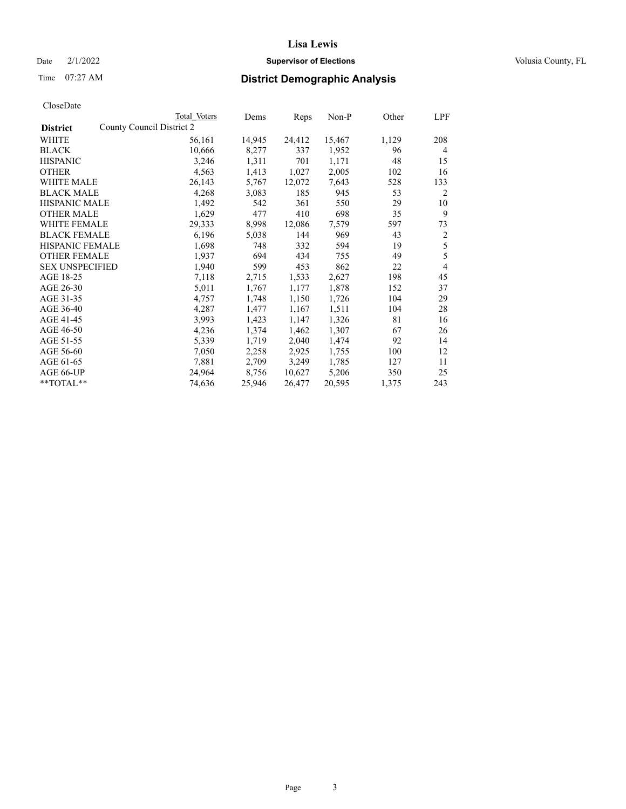## Date  $2/1/2022$  **Supervisor of Elections** Volusia County, FL

# Time 07:27 AM **District Demographic Analysis**

| CloseDate |
|-----------|
|-----------|

|                                              | Total Voters | Dems   | Reps   | Non-P  | Other | LPF |
|----------------------------------------------|--------------|--------|--------|--------|-------|-----|
| County Council District 2<br><b>District</b> |              |        |        |        |       |     |
| WHITE                                        | 56,161       | 14,945 | 24,412 | 15,467 | 1,129 | 208 |
| <b>BLACK</b>                                 | 10,666       | 8,277  | 337    | 1,952  | 96    | 4   |
| <b>HISPANIC</b>                              | 3,246        | 1,311  | 701    | 1,171  | 48    | 15  |
| <b>OTHER</b>                                 | 4,563        | 1,413  | 1,027  | 2,005  | 102   | 16  |
| <b>WHITE MALE</b>                            | 26,143       | 5,767  | 12,072 | 7,643  | 528   | 133 |
| <b>BLACK MALE</b>                            | 4,268        | 3,083  | 185    | 945    | 53    | 2   |
| <b>HISPANIC MALE</b>                         | 1,492        | 542    | 361    | 550    | 29    | 10  |
| <b>OTHER MALE</b>                            | 1,629        | 477    | 410    | 698    | 35    | 9   |
| <b>WHITE FEMALE</b>                          | 29,333       | 8,998  | 12,086 | 7,579  | 597   | 73  |
| <b>BLACK FEMALE</b>                          | 6,196        | 5,038  | 144    | 969    | 43    | 2   |
| HISPANIC FEMALE                              | 1,698        | 748    | 332    | 594    | 19    | 5   |
| <b>OTHER FEMALE</b>                          | 1,937        | 694    | 434    | 755    | 49    | 5   |
| <b>SEX UNSPECIFIED</b>                       | 1,940        | 599    | 453    | 862    | 22    | 4   |
| AGE 18-25                                    | 7,118        | 2,715  | 1,533  | 2,627  | 198   | 45  |
| AGE 26-30                                    | 5,011        | 1,767  | 1,177  | 1,878  | 152   | 37  |
| AGE 31-35                                    | 4,757        | 1,748  | 1,150  | 1,726  | 104   | 29  |
| AGE 36-40                                    | 4,287        | 1,477  | 1,167  | 1,511  | 104   | 28  |
| AGE 41-45                                    | 3,993        | 1,423  | 1,147  | 1,326  | 81    | 16  |
| AGE 46-50                                    | 4,236        | 1,374  | 1,462  | 1,307  | 67    | 26  |
| AGE 51-55                                    | 5,339        | 1,719  | 2,040  | 1,474  | 92    | 14  |
| AGE 56-60                                    | 7,050        | 2,258  | 2,925  | 1,755  | 100   | 12  |
| AGE 61-65                                    | 7,881        | 2,709  | 3,249  | 1,785  | 127   | 11  |
| AGE 66-UP                                    | 24,964       | 8,756  | 10,627 | 5,206  | 350   | 25  |
| **TOTAL**                                    | 74,636       | 25,946 | 26,477 | 20,595 | 1,375 | 243 |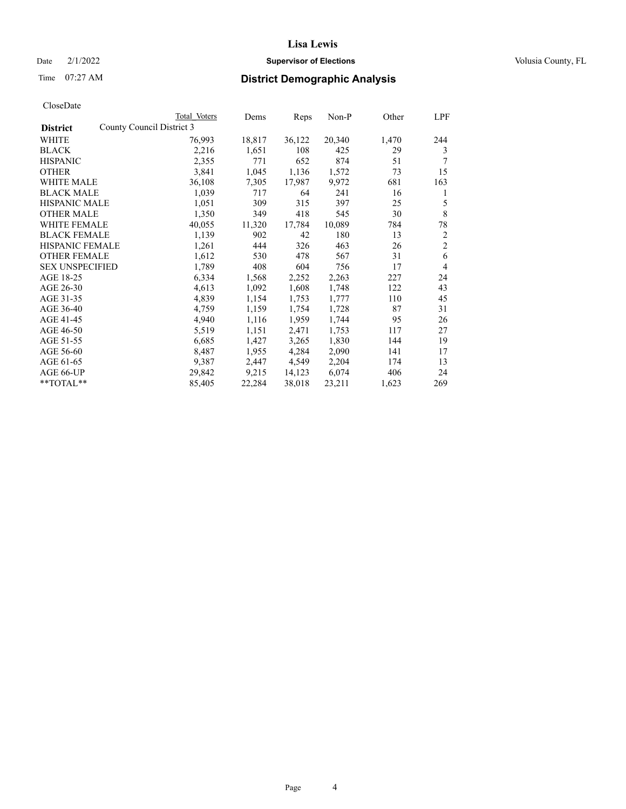## Date  $2/1/2022$  **Supervisor of Elections** Volusia County, FL

## Time 07:27 AM **District Demographic Analysis**

|                        | Total Voters              | Dems   | Reps   | Non-P  | Other | LPF            |
|------------------------|---------------------------|--------|--------|--------|-------|----------------|
| <b>District</b>        | County Council District 3 |        |        |        |       |                |
| WHITE                  | 76,993                    | 18,817 | 36,122 | 20,340 | 1,470 | 244            |
| <b>BLACK</b>           | 2,216                     | 1,651  | 108    | 425    | 29    | 3              |
| <b>HISPANIC</b>        | 2,355                     | 771    | 652    | 874    | 51    | 7              |
| <b>OTHER</b>           | 3,841                     | 1,045  | 1,136  | 1,572  | 73    | 15             |
| <b>WHITE MALE</b>      | 36,108                    | 7,305  | 17,987 | 9,972  | 681   | 163            |
| <b>BLACK MALE</b>      | 1,039                     | 717    | 64     | 241    | 16    | 1              |
| <b>HISPANIC MALE</b>   | 1,051                     | 309    | 315    | 397    | 25    | 5              |
| <b>OTHER MALE</b>      | 1,350                     | 349    | 418    | 545    | 30    | 8              |
| <b>WHITE FEMALE</b>    | 40,055                    | 11,320 | 17,784 | 10,089 | 784   | 78             |
| <b>BLACK FEMALE</b>    | 1,139                     | 902    | 42     | 180    | 13    | $\overline{2}$ |
| <b>HISPANIC FEMALE</b> | 1,261                     | 444    | 326    | 463    | 26    | $\overline{2}$ |
| <b>OTHER FEMALE</b>    | 1,612                     | 530    | 478    | 567    | 31    | 6              |
| <b>SEX UNSPECIFIED</b> | 1,789                     | 408    | 604    | 756    | 17    | $\overline{4}$ |
| AGE 18-25              | 6,334                     | 1,568  | 2,252  | 2,263  | 227   | 24             |
| AGE 26-30              | 4,613                     | 1,092  | 1,608  | 1,748  | 122   | 43             |
| AGE 31-35              | 4,839                     | 1,154  | 1,753  | 1,777  | 110   | 45             |
| AGE 36-40              | 4,759                     | 1,159  | 1,754  | 1,728  | 87    | 31             |
| AGE 41-45              | 4,940                     | 1,116  | 1,959  | 1,744  | 95    | 26             |
| AGE 46-50              | 5,519                     | 1,151  | 2,471  | 1,753  | 117   | 27             |
| AGE 51-55              | 6,685                     | 1,427  | 3,265  | 1,830  | 144   | 19             |
| AGE 56-60              | 8,487                     | 1,955  | 4,284  | 2,090  | 141   | 17             |
| AGE 61-65              | 9,387                     | 2,447  | 4,549  | 2,204  | 174   | 13             |
| AGE 66-UP              | 29,842                    | 9,215  | 14,123 | 6,074  | 406   | 24             |
| $*$ $TOTAL**$          | 85,405                    | 22,284 | 38,018 | 23,211 | 1,623 | 269            |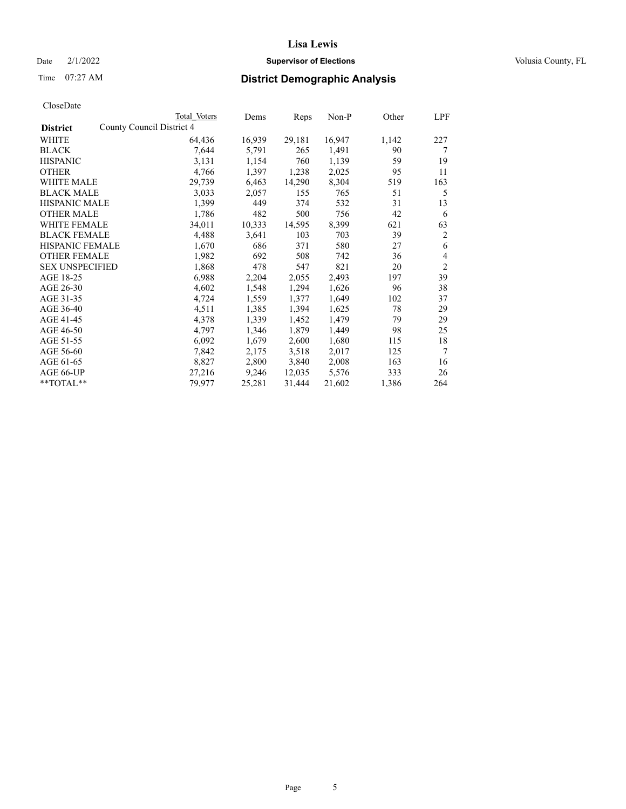## Date  $2/1/2022$  **Supervisor of Elections** Volusia County, FL

## Time 07:27 AM **District Demographic Analysis**

| Cioscizato             |                           |              |        |        |        |       |                |
|------------------------|---------------------------|--------------|--------|--------|--------|-------|----------------|
|                        |                           | Total Voters | Dems   | Reps   | Non-P  | Other | LPF            |
| <b>District</b>        | County Council District 4 |              |        |        |        |       |                |
| WHITE                  |                           | 64,436       | 16,939 | 29,181 | 16,947 | 1,142 | 227            |
| <b>BLACK</b>           |                           | 7,644        | 5,791  | 265    | 1,491  | 90    | 7              |
| <b>HISPANIC</b>        |                           | 3,131        | 1,154  | 760    | 1,139  | 59    | 19             |
| <b>OTHER</b>           |                           | 4,766        | 1,397  | 1,238  | 2,025  | 95    | 11             |
| WHITE MALE             |                           | 29,739       | 6,463  | 14,290 | 8,304  | 519   | 163            |
| <b>BLACK MALE</b>      |                           | 3,033        | 2,057  | 155    | 765    | 51    | 5              |
| <b>HISPANIC MALE</b>   |                           | 1,399        | 449    | 374    | 532    | 31    | 13             |
| <b>OTHER MALE</b>      |                           | 1,786        | 482    | 500    | 756    | 42    | 6              |
| <b>WHITE FEMALE</b>    |                           | 34,011       | 10,333 | 14,595 | 8,399  | 621   | 63             |
| <b>BLACK FEMALE</b>    |                           | 4,488        | 3,641  | 103    | 703    | 39    | 2              |
| <b>HISPANIC FEMALE</b> |                           | 1,670        | 686    | 371    | 580    | 27    | 6              |
| <b>OTHER FEMALE</b>    |                           | 1,982        | 692    | 508    | 742    | 36    | 4              |
| <b>SEX UNSPECIFIED</b> |                           | 1,868        | 478    | 547    | 821    | 20    | $\overline{2}$ |
| AGE 18-25              |                           | 6,988        | 2,204  | 2,055  | 2,493  | 197   | 39             |
| AGE 26-30              |                           | 4,602        | 1,548  | 1,294  | 1,626  | 96    | 38             |
| AGE 31-35              |                           | 4,724        | 1,559  | 1,377  | 1,649  | 102   | 37             |
| AGE 36-40              |                           | 4,511        | 1,385  | 1,394  | 1,625  | 78    | 29             |
| AGE 41-45              |                           | 4,378        | 1,339  | 1,452  | 1,479  | 79    | 29             |
| AGE 46-50              |                           | 4,797        | 1,346  | 1,879  | 1,449  | 98    | 25             |
| AGE 51-55              |                           | 6,092        | 1,679  | 2,600  | 1,680  | 115   | 18             |
| AGE 56-60              |                           | 7,842        | 2,175  | 3,518  | 2,017  | 125   | 7              |
| AGE 61-65              |                           | 8,827        | 2,800  | 3,840  | 2,008  | 163   | 16             |
| AGE 66-UP              |                           | 27,216       | 9,246  | 12,035 | 5,576  | 333   | 26             |
| **TOTAL**              |                           | 79,977       | 25,281 | 31,444 | 21,602 | 1,386 | 264            |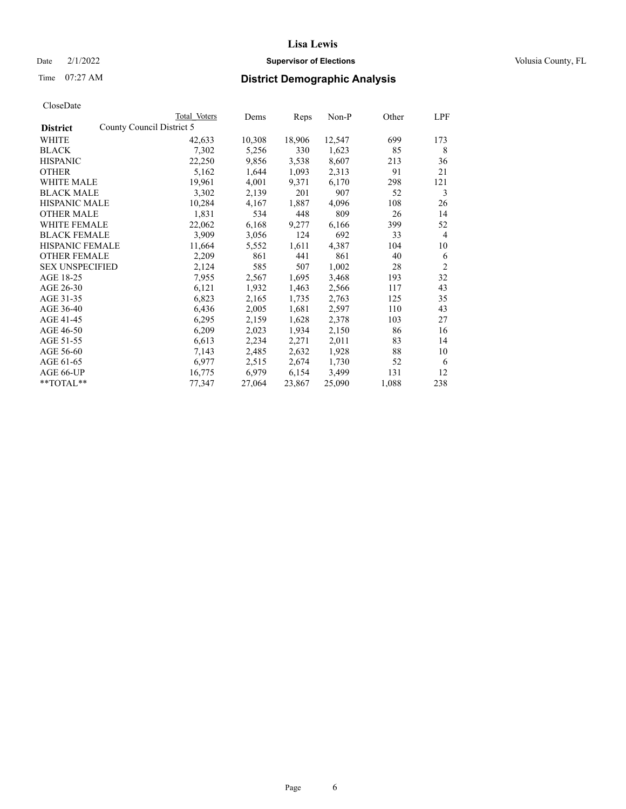## Date  $2/1/2022$  **Supervisor of Elections** Volusia County, FL

# Time 07:27 AM **District Demographic Analysis**

| CloseDate |
|-----------|
|-----------|

|                                              | Total Voters | Dems   | Reps   | Non-P  | Other | LPF            |
|----------------------------------------------|--------------|--------|--------|--------|-------|----------------|
| County Council District 5<br><b>District</b> |              |        |        |        |       |                |
| WHITE                                        | 42,633       | 10,308 | 18,906 | 12,547 | 699   | 173            |
| <b>BLACK</b>                                 | 7,302        | 5,256  | 330    | 1,623  | 85    | 8              |
| <b>HISPANIC</b>                              | 22,250       | 9,856  | 3,538  | 8,607  | 213   | 36             |
| <b>OTHER</b>                                 | 5,162        | 1,644  | 1,093  | 2,313  | 91    | 21             |
| WHITE MALE                                   | 19,961       | 4,001  | 9,371  | 6,170  | 298   | 121            |
| <b>BLACK MALE</b>                            | 3,302        | 2,139  | 201    | 907    | 52    | 3              |
| <b>HISPANIC MALE</b>                         | 10,284       | 4,167  | 1,887  | 4,096  | 108   | 26             |
| <b>OTHER MALE</b>                            | 1,831        | 534    | 448    | 809    | 26    | 14             |
| <b>WHITE FEMALE</b>                          | 22,062       | 6,168  | 9,277  | 6,166  | 399   | 52             |
| <b>BLACK FEMALE</b>                          | 3,909        | 3,056  | 124    | 692    | 33    | $\overline{4}$ |
| HISPANIC FEMALE                              | 11,664       | 5,552  | 1,611  | 4,387  | 104   | 10             |
| <b>OTHER FEMALE</b>                          | 2,209        | 861    | 441    | 861    | 40    | 6              |
| <b>SEX UNSPECIFIED</b>                       | 2,124        | 585    | 507    | 1,002  | 28    | $\overline{2}$ |
| AGE 18-25                                    | 7,955        | 2,567  | 1,695  | 3,468  | 193   | 32             |
| AGE 26-30                                    | 6,121        | 1,932  | 1,463  | 2,566  | 117   | 43             |
| AGE 31-35                                    | 6,823        | 2,165  | 1,735  | 2,763  | 125   | 35             |
| AGE 36-40                                    | 6,436        | 2,005  | 1,681  | 2,597  | 110   | 43             |
| AGE 41-45                                    | 6,295        | 2,159  | 1,628  | 2,378  | 103   | 27             |
| AGE 46-50                                    | 6,209        | 2,023  | 1,934  | 2,150  | 86    | 16             |
| AGE 51-55                                    | 6,613        | 2,234  | 2,271  | 2,011  | 83    | 14             |
| AGE 56-60                                    | 7,143        | 2,485  | 2,632  | 1,928  | 88    | 10             |
| AGE 61-65                                    | 6,977        | 2,515  | 2,674  | 1,730  | 52    | 6              |
| AGE 66-UP                                    | 16,775       | 6,979  | 6,154  | 3,499  | 131   | 12             |
| **TOTAL**                                    | 77,347       | 27,064 | 23,867 | 25,090 | 1,088 | 238            |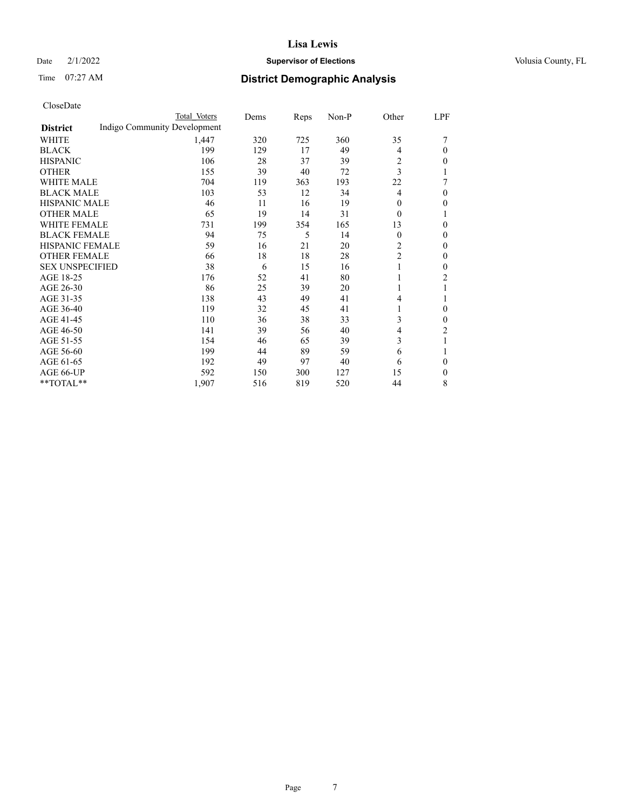## Date  $2/1/2022$  **Supervisor of Elections** Volusia County, FL

# Time 07:27 AM **District Demographic Analysis**

|                        |                              | Total Voters | Dems | Reps | Non-P | Other          | LPF            |
|------------------------|------------------------------|--------------|------|------|-------|----------------|----------------|
| <b>District</b>        | Indigo Community Development |              |      |      |       |                |                |
| WHITE                  |                              | 1,447        | 320  | 725  | 360   | 35             |                |
| <b>BLACK</b>           |                              | 199          | 129  | 17   | 49    | 4              | $\mathbf{0}$   |
| <b>HISPANIC</b>        |                              | 106          | 28   | 37   | 39    | 2              | $\mathbf{0}$   |
| <b>OTHER</b>           |                              | 155          | 39   | 40   | 72    | 3              | 1              |
| <b>WHITE MALE</b>      |                              | 704          | 119  | 363  | 193   | 22             | 7              |
| <b>BLACK MALE</b>      |                              | 103          | 53   | 12   | 34    | 4              | $\mathbf{0}$   |
| <b>HISPANIC MALE</b>   |                              | 46           | 11   | 16   | 19    | $\overline{0}$ | $\mathbf{0}$   |
| <b>OTHER MALE</b>      |                              | 65           | 19   | 14   | 31    | $\Omega$       | 1              |
| <b>WHITE FEMALE</b>    |                              | 731          | 199  | 354  | 165   | 13             | $\Omega$       |
| <b>BLACK FEMALE</b>    |                              | 94           | 75   | 5    | 14    | $\theta$       | $\Omega$       |
| HISPANIC FEMALE        |                              | 59           | 16   | 21   | 20    | 2              | $\Omega$       |
| <b>OTHER FEMALE</b>    |                              | 66           | 18   | 18   | 28    | 2              | $\theta$       |
| <b>SEX UNSPECIFIED</b> |                              | 38           | 6    | 15   | 16    |                | $\Omega$       |
| AGE 18-25              |                              | 176          | 52   | 41   | 80    |                | $\overline{c}$ |
| AGE 26-30              |                              | 86           | 25   | 39   | 20    |                |                |
| AGE 31-35              |                              | 138          | 43   | 49   | 41    | 4              |                |
| AGE 36-40              |                              | 119          | 32   | 45   | 41    |                | $\theta$       |
| AGE 41-45              |                              | 110          | 36   | 38   | 33    | 3              | $\mathbf{0}$   |
| AGE 46-50              |                              | 141          | 39   | 56   | 40    | 4              | 2              |
| AGE 51-55              |                              | 154          | 46   | 65   | 39    | 3              |                |
| AGE 56-60              |                              | 199          | 44   | 89   | 59    | 6              |                |
| AGE 61-65              |                              | 192          | 49   | 97   | 40    | 6              | $\theta$       |
| AGE 66-UP              |                              | 592          | 150  | 300  | 127   | 15             | $\Omega$       |
| **TOTAL**              |                              | 1,907        | 516  | 819  | 520   | 44             | 8              |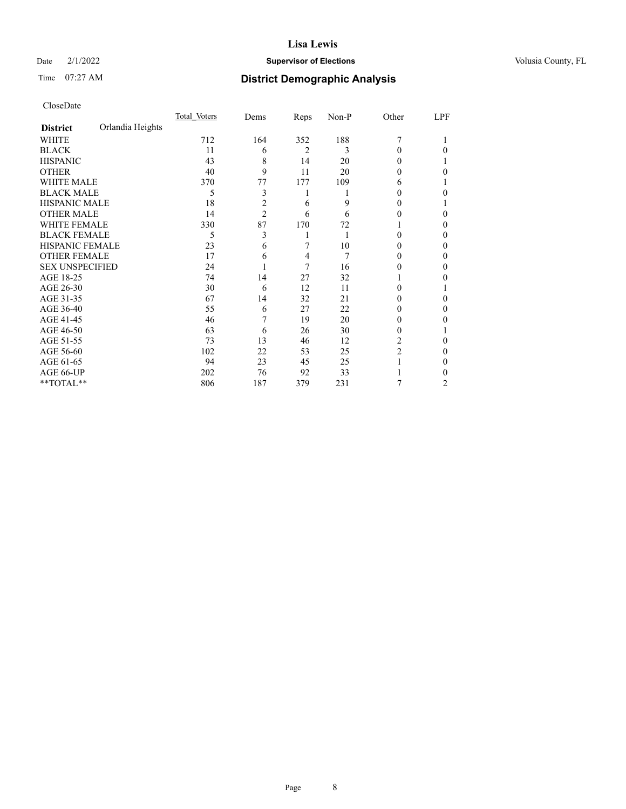## Date  $2/1/2022$  **Supervisor of Elections** Volusia County, FL

# Time 07:27 AM **District Demographic Analysis**

|                        |                  | Total Voters | Dems           | Reps           | Non-P | Other          | LPF            |
|------------------------|------------------|--------------|----------------|----------------|-------|----------------|----------------|
| <b>District</b>        | Orlandia Heights |              |                |                |       |                |                |
| WHITE                  |                  | 712          | 164            | 352            | 188   | 7              |                |
| <b>BLACK</b>           |                  | 11           | 6              | $\overline{2}$ | 3     | $\Omega$       | 0              |
| <b>HISPANIC</b>        |                  | 43           | 8              | 14             | 20    | 0              |                |
| <b>OTHER</b>           |                  | 40           | 9              | 11             | 20    | 0              | 0              |
| <b>WHITE MALE</b>      |                  | 370          | 77             | 177            | 109   | 6              |                |
| <b>BLACK MALE</b>      |                  | 5            | 3              | 1              |       | 0              | 0              |
| <b>HISPANIC MALE</b>   |                  | 18           | $\overline{c}$ | 6              | 9     | 0              |                |
| <b>OTHER MALE</b>      |                  | 14           | $\overline{c}$ | 6              | 6     | 0              | 0              |
| <b>WHITE FEMALE</b>    |                  | 330          | 87             | 170            | 72    |                | 0              |
| <b>BLACK FEMALE</b>    |                  | 5            | 3              |                |       | 0              | 0              |
| <b>HISPANIC FEMALE</b> |                  | 23           | 6              | 7              | 10    | 0              | 0              |
| <b>OTHER FEMALE</b>    |                  | 17           | 6              | 4              | 7     | 0              | 0              |
| <b>SEX UNSPECIFIED</b> |                  | 24           |                | 7              | 16    | 0              | 0              |
| AGE 18-25              |                  | 74           | 14             | 27             | 32    |                | 0              |
| AGE 26-30              |                  | 30           | 6              | 12             | 11    | 0              |                |
| AGE 31-35              |                  | 67           | 14             | 32             | 21    | 0              | 0              |
| AGE 36-40              |                  | 55           | 6              | 27             | 22    | 0              | 0              |
| AGE 41-45              |                  | 46           |                | 19             | 20    | $\theta$       | 0              |
| AGE 46-50              |                  | 63           | 6              | 26             | 30    | 0              |                |
| AGE 51-55              |                  | 73           | 13             | 46             | 12    | 2              | 0              |
| AGE 56-60              |                  | 102          | 22             | 53             | 25    | $\overline{2}$ | 0              |
| AGE 61-65              |                  | 94           | 23             | 45             | 25    |                | 0              |
| AGE 66-UP              |                  | 202          | 76             | 92             | 33    |                | 0              |
| **TOTAL**              |                  | 806          | 187            | 379            | 231   | 7              | $\overline{c}$ |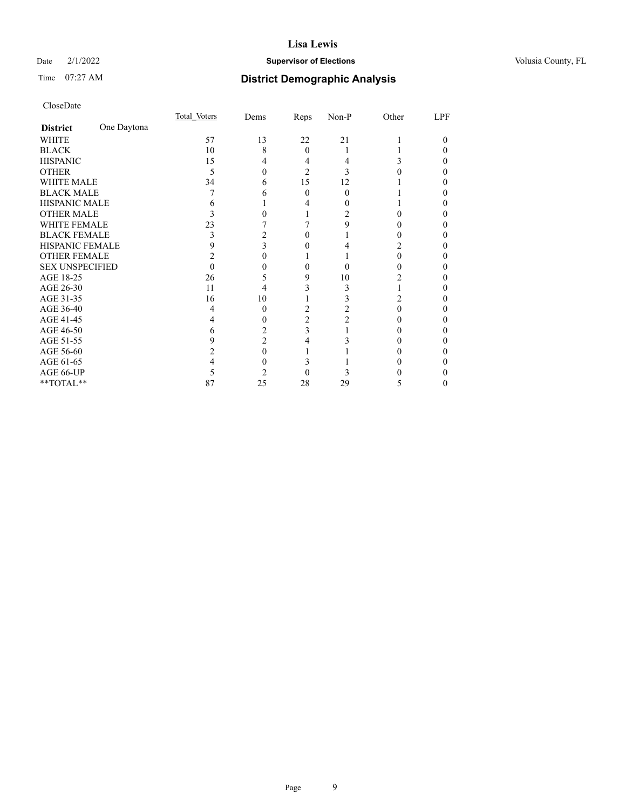## Date  $2/1/2022$  **Supervisor of Elections** Volusia County, FL

# Time 07:27 AM **District Demographic Analysis**

|                        |             | Total Voters | Dems | Reps     | Non-P | Other  | LPF |
|------------------------|-------------|--------------|------|----------|-------|--------|-----|
| <b>District</b>        | One Daytona |              |      |          |       |        |     |
| WHITE                  |             | 57           | 13   | 22       | 21    |        | 0   |
| <b>BLACK</b>           |             | 10           | 8    | $\theta$ |       |        |     |
| <b>HISPANIC</b>        |             | 15           | 4    | 4        |       | 3      |     |
| <b>OTHER</b>           |             | 5            |      | 2        |       |        |     |
| WHITE MALE             |             | 34           | 6    | 15       | 12    |        | 0   |
| <b>BLACK MALE</b>      |             |              |      | 0        | 0     |        |     |
| <b>HISPANIC MALE</b>   |             | h            |      |          |       |        |     |
| <b>OTHER MALE</b>      |             |              |      |          |       |        | 0   |
| WHITE FEMALE           |             | 23           |      |          | Q     |        |     |
| <b>BLACK FEMALE</b>    |             | 3            |      | 0        |       |        | 0   |
| <b>HISPANIC FEMALE</b> |             | 9            | 3    |          |       |        |     |
| <b>OTHER FEMALE</b>    |             |              |      |          |       | $_{0}$ | 0   |
| <b>SEX UNSPECIFIED</b> |             |              |      |          | 0     |        |     |
| AGE 18-25              |             | 26           |      | 9        | 10    |        |     |
| AGE 26-30              |             | 11           | 4    |          |       |        |     |
| AGE 31-35              |             | 16           | 10   |          |       | 2      |     |
| AGE 36-40              |             | 4            | 0    | 2        |       |        | 0   |
| AGE 41-45              |             |              |      | 2        |       |        |     |
| AGE 46-50              |             | 6            |      | 3        |       | 0      | 0   |
| AGE 51-55              |             | 9            | 2    |          |       |        |     |
| AGE 56-60              |             |              | 0    |          |       |        |     |
| AGE 61-65              |             |              |      |          |       |        |     |
| AGE 66-UP              |             |              |      |          |       |        |     |
| **TOTAL**              |             | 87           | 25   | 28       | 29    | 5      | 0   |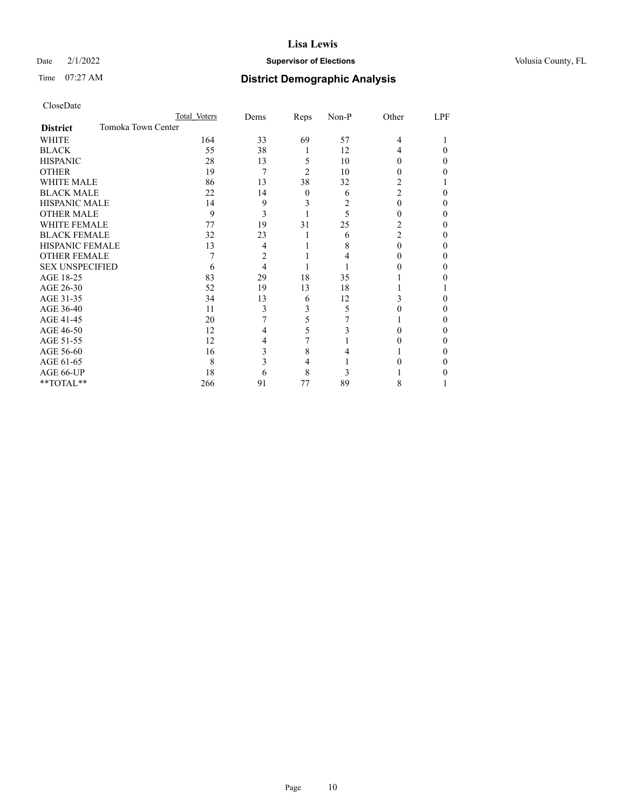## Date  $2/1/2022$  **Supervisor of Elections** Volusia County, FL

# Time 07:27 AM **District Demographic Analysis**

|                        | Total Voters       | Dems | Reps     | Non-P | Other          | LPF |
|------------------------|--------------------|------|----------|-------|----------------|-----|
| <b>District</b>        | Tomoka Town Center |      |          |       |                |     |
| WHITE                  | 164                | 33   | 69       | 57    | 4              |     |
| <b>BLACK</b>           | 55                 | 38   | 1        | 12    | 4              | 0   |
| <b>HISPANIC</b>        | 28                 | 13   | 5        | 10    | $\theta$       | 0   |
| <b>OTHER</b>           | 19                 | 7    | 2        | 10    | 0              | 0   |
| <b>WHITE MALE</b>      | 86                 | 13   | 38       | 32    | 2              |     |
| <b>BLACK MALE</b>      | 22                 | 14   | $\theta$ | 6     | $\overline{c}$ | 0   |
| <b>HISPANIC MALE</b>   | 14                 | 9    | 3        | 2     | $\theta$       | 0   |
| <b>OTHER MALE</b>      | 9                  | 3    |          | 5     | 0              | 0   |
| <b>WHITE FEMALE</b>    | 77                 | 19   | 31       | 25    | 2              | 0   |
| <b>BLACK FEMALE</b>    | 32                 | 23   |          | 6     | 2              | 0   |
| <b>HISPANIC FEMALE</b> | 13                 | 4    |          | 8     | 0              | 0   |
| <b>OTHER FEMALE</b>    |                    | 2    |          |       | 0              | 0   |
| <b>SEX UNSPECIFIED</b> | 6                  | 4    |          |       |                | 0   |
| AGE 18-25              | 83                 | 29   | 18       | 35    |                | 0   |
| AGE 26-30              | 52                 | 19   | 13       | 18    |                |     |
| AGE 31-35              | 34                 | 13   | 6        | 12    | 3              | 0   |
| AGE 36-40              | 11                 | 3    | 3        | 5     |                | 0   |
| AGE 41-45              | 20                 |      | 5        |       |                | 0   |
| AGE 46-50              | 12                 | 4    | 5        | 3     | 0              | 0   |
| AGE 51-55              | 12                 | 4    |          |       |                | 0   |
| AGE 56-60              | 16                 | 3    | 8        |       |                | 0   |
| AGE 61-65              | 8                  | 3    | 4        |       |                | 0   |
| AGE 66-UP              | 18                 | 6    | 8        |       |                |     |
| **TOTAL**              | 266                | 91   | 77       | 89    | 8              |     |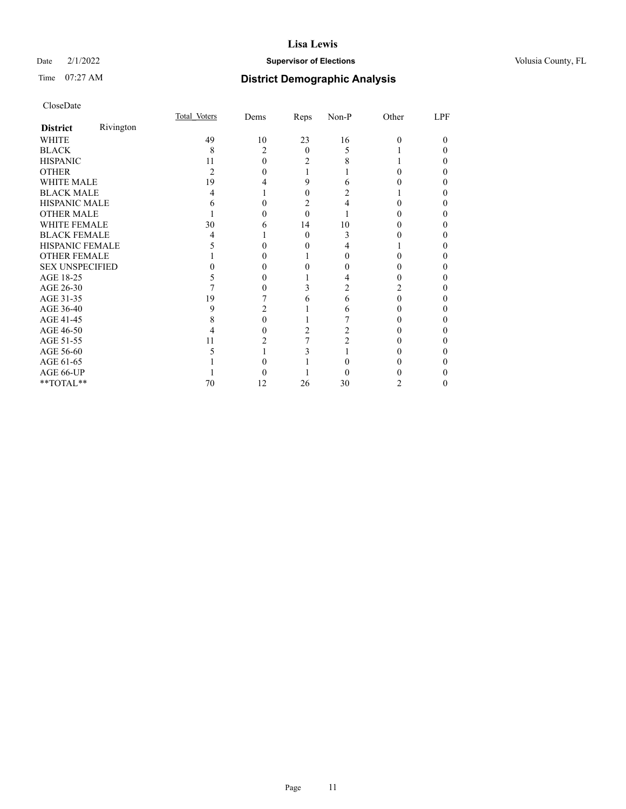## Date  $2/1/2022$  **Supervisor of Elections** Volusia County, FL

# Time 07:27 AM **District Demographic Analysis**

|                        |           | Total Voters | Dems           | Reps     | Non-P | Other    | LPF |
|------------------------|-----------|--------------|----------------|----------|-------|----------|-----|
| <b>District</b>        | Rivington |              |                |          |       |          |     |
| <b>WHITE</b>           |           | 49           | 10             | 23       | 16    | $\Omega$ | 0   |
| <b>BLACK</b>           |           | 8            | $\mathfrak{D}$ | $\Omega$ | 5     |          | 0   |
| <b>HISPANIC</b>        |           | 11           | 0              | 2        | 8     |          | 0   |
| <b>OTHER</b>           |           | 2            |                |          |       |          |     |
| <b>WHITE MALE</b>      |           | 19           |                | 9        |       |          |     |
| <b>BLACK MALE</b>      |           | 4            |                | 0        |       |          | 0   |
| <b>HISPANIC MALE</b>   |           |              |                | 2        |       |          |     |
| <b>OTHER MALE</b>      |           |              |                | 0        |       |          | 0   |
| <b>WHITE FEMALE</b>    |           | 30           | h              | 14       | 10    |          |     |
| <b>BLACK FEMALE</b>    |           | 4            |                | $\Omega$ | 3     |          | 0   |
| HISPANIC FEMALE        |           |              |                |          |       |          |     |
| <b>OTHER FEMALE</b>    |           |              |                |          |       |          |     |
| <b>SEX UNSPECIFIED</b> |           |              |                |          |       |          | 0   |
| AGE 18-25              |           |              |                |          |       |          | 0   |
| AGE 26-30              |           |              |                |          |       | 2        | 0   |
| AGE 31-35              |           | 19           |                | h        | 6     | 0        |     |
| AGE 36-40              |           | 9            |                |          | 6     | 0        | 0   |
| AGE 41-45              |           |              |                |          |       |          |     |
| AGE 46-50              |           |              |                |          |       |          |     |
| AGE 51-55              |           | 11           |                |          |       |          |     |
| AGE 56-60              |           |              |                |          |       |          |     |
| AGE 61-65              |           |              |                |          |       |          | 0   |
| AGE 66-UP              |           |              |                |          |       |          |     |
| **TOTAL**              |           | 70           | 12             | 26       | 30    | 2        | 0   |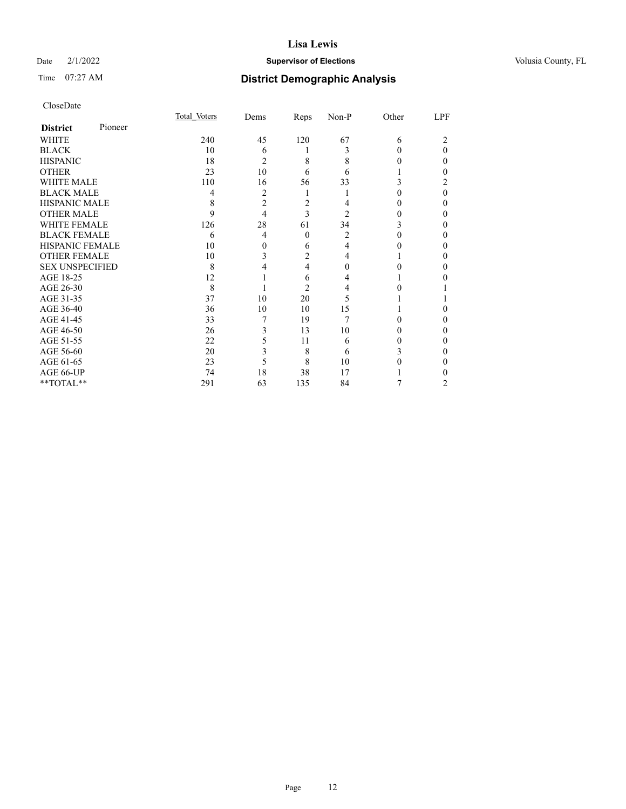## Date  $2/1/2022$  **Supervisor of Elections** Volusia County, FL

# Time 07:27 AM **District Demographic Analysis**

|                        |         | Total Voters | Dems           | Reps           | Non-P          | Other | LPF |
|------------------------|---------|--------------|----------------|----------------|----------------|-------|-----|
| <b>District</b>        | Pioneer |              |                |                |                |       |     |
| WHITE                  |         | 240          | 45             | 120            | 67             | 6     | 2   |
| <b>BLACK</b>           |         | 10           | 6              | 1              | 3              |       | 0   |
| <b>HISPANIC</b>        |         | 18           | 2              | 8              | 8              |       | 0   |
| <b>OTHER</b>           |         | 23           | 10             | 6              | 6              |       | 0   |
| WHITE MALE             |         | 110          | 16             | 56             | 33             | 3     |     |
| <b>BLACK MALE</b>      |         | 4            | $\overline{2}$ | 1              |                |       | 0   |
| <b>HISPANIC MALE</b>   |         | 8            | $\overline{c}$ | 2              |                |       | 0   |
| <b>OTHER MALE</b>      |         | 9            | 4              | 3              | $\overline{c}$ | 0     | 0   |
| <b>WHITE FEMALE</b>    |         | 126          | 28             | 61             | 34             |       | 0   |
| <b>BLACK FEMALE</b>    |         | 6            | 4              | $\theta$       | 2              |       | 0   |
| <b>HISPANIC FEMALE</b> |         | 10           | 0              | 6              | 4              |       | 0   |
| <b>OTHER FEMALE</b>    |         | 10           | 3              | 2              | 4              |       | 0   |
| <b>SEX UNSPECIFIED</b> |         | 8            |                | 4              | 0              |       |     |
| AGE 18-25              |         | 12           |                | 6              |                |       |     |
| AGE 26-30              |         | 8            |                | $\overline{c}$ |                |       |     |
| AGE 31-35              |         | 37           | 10             | 20             | 5              |       |     |
| AGE 36-40              |         | 36           | 10             | 10             | 15             |       | 0   |
| AGE 41-45              |         | 33           | 7              | 19             |                |       | 0   |
| AGE 46-50              |         | 26           | 3              | 13             | 10             | 0     | 0   |
| AGE 51-55              |         | 22           | 5              | 11             | 6              |       | 0   |
| AGE 56-60              |         | 20           | 3              | 8              | 6              | 3     | 0   |
| AGE 61-65              |         | 23           | 5              | 8              | 10             |       | 0   |
| AGE 66-UP              |         | 74           | 18             | 38             | 17             |       |     |
| **TOTAL**              |         | 291          | 63             | 135            | 84             |       | 2   |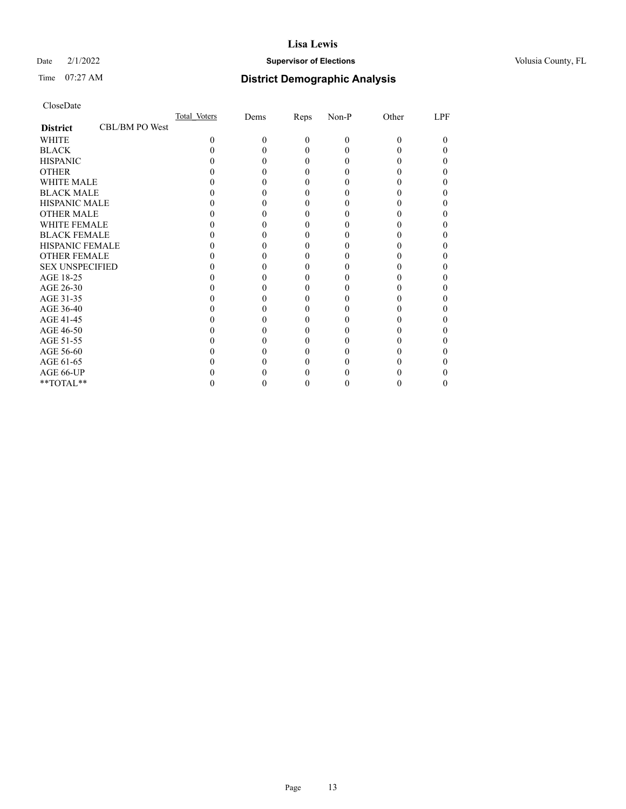## Date  $2/1/2022$  **Supervisor of Elections** Volusia County, FL

# Time 07:27 AM **District Demographic Analysis**

|                        |                | Total Voters | Dems | Reps     | Non-P    | Other    | LPF |
|------------------------|----------------|--------------|------|----------|----------|----------|-----|
| <b>District</b>        | CBL/BM PO West |              |      |          |          |          |     |
| WHITE                  |                | $\Omega$     | 0    | $\Omega$ | $\theta$ | $\Omega$ | 0   |
| <b>BLACK</b>           |                |              |      | 0        | 0        |          |     |
| <b>HISPANIC</b>        |                |              |      | 0        | 0        |          |     |
| <b>OTHER</b>           |                |              |      |          |          |          |     |
| <b>WHITE MALE</b>      |                |              |      |          |          |          |     |
| <b>BLACK MALE</b>      |                |              |      |          |          |          |     |
| <b>HISPANIC MALE</b>   |                |              |      |          |          |          |     |
| <b>OTHER MALE</b>      |                |              |      |          |          |          |     |
| <b>WHITE FEMALE</b>    |                |              |      |          |          |          |     |
| <b>BLACK FEMALE</b>    |                |              |      |          |          |          |     |
| <b>HISPANIC FEMALE</b> |                |              |      |          |          |          |     |
| <b>OTHER FEMALE</b>    |                |              |      |          |          |          |     |
| <b>SEX UNSPECIFIED</b> |                |              |      |          |          |          |     |
| AGE 18-25              |                |              |      |          |          |          |     |
| AGE 26-30              |                |              |      |          |          |          |     |
| AGE 31-35              |                |              |      |          |          |          |     |
| AGE 36-40              |                |              |      |          |          |          |     |
| AGE 41-45              |                |              |      |          |          |          |     |
| AGE 46-50              |                |              |      |          |          |          |     |
| AGE 51-55              |                |              |      |          |          |          |     |
| AGE 56-60              |                |              |      |          |          |          |     |
| AGE 61-65              |                |              |      |          |          |          |     |
| AGE 66-UP              |                |              |      |          |          |          |     |
| **TOTAL**              |                |              |      | 0        | 0        | 0        | 0   |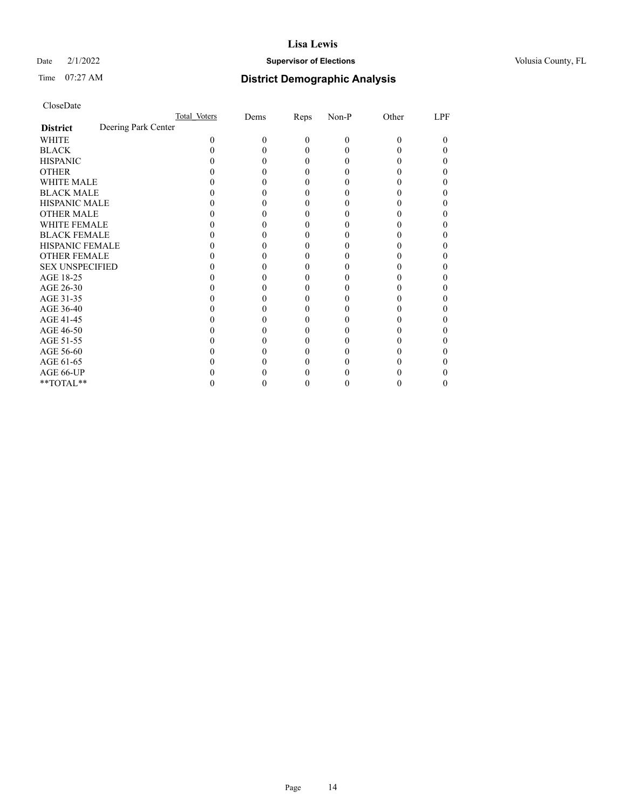## Date  $2/1/2022$  **Supervisor of Elections** Volusia County, FL

# Time 07:27 AM **District Demographic Analysis**

| CloseDate |
|-----------|
|-----------|

|                                        | Total Voters | Dems | Reps | Non-P | Other | LPF |
|----------------------------------------|--------------|------|------|-------|-------|-----|
| Deering Park Center<br><b>District</b> |              |      |      |       |       |     |
| WHITE                                  | 0            | 0    | 0    | 0     | 0     | 0   |
| <b>BLACK</b>                           |              |      |      |       |       |     |
| <b>HISPANIC</b>                        |              |      |      |       |       |     |
| <b>OTHER</b>                           |              |      |      |       |       |     |
| <b>WHITE MALE</b>                      |              |      |      |       |       |     |
| <b>BLACK MALE</b>                      |              |      |      |       |       |     |
| <b>HISPANIC MALE</b>                   |              |      |      |       |       |     |
| <b>OTHER MALE</b>                      |              |      |      |       |       |     |
| <b>WHITE FEMALE</b>                    |              |      |      |       |       |     |
| <b>BLACK FEMALE</b>                    |              |      |      |       |       |     |
| <b>HISPANIC FEMALE</b>                 |              |      |      |       |       |     |
| <b>OTHER FEMALE</b>                    |              |      |      |       |       |     |
| <b>SEX UNSPECIFIED</b>                 |              |      |      |       |       |     |
| AGE 18-25                              |              |      |      |       |       |     |
| AGE 26-30                              |              |      |      |       |       |     |
| AGE 31-35                              |              |      |      |       |       |     |
| AGE 36-40                              |              |      |      |       |       |     |
| AGE 41-45                              |              |      |      |       |       |     |
| AGE 46-50                              |              |      |      |       |       |     |
| AGE 51-55                              |              |      |      |       |       |     |
| AGE 56-60                              |              |      |      |       |       |     |
| AGE 61-65                              |              |      |      |       |       |     |
| AGE 66-UP                              |              |      |      |       |       |     |
| **TOTAL**                              |              |      |      |       |       |     |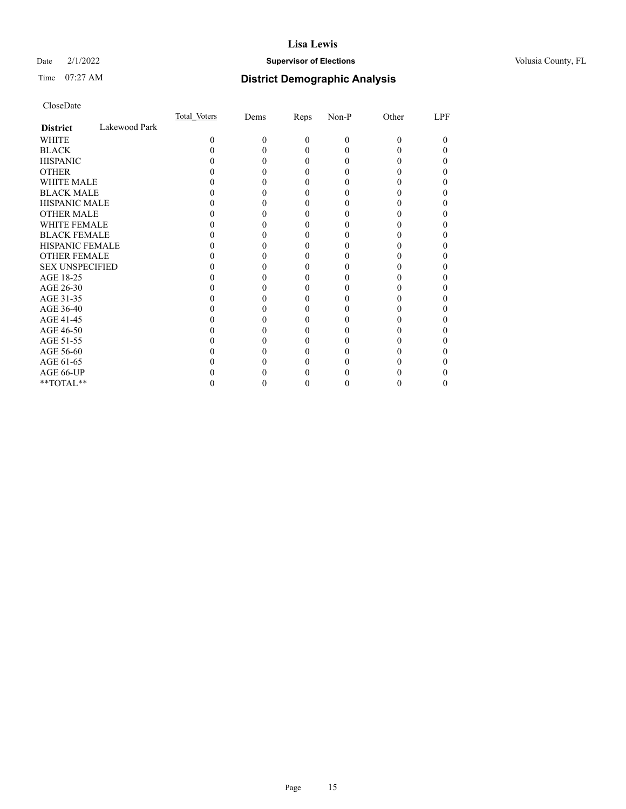## Date  $2/1/2022$  **Supervisor of Elections** Volusia County, FL

# Time 07:27 AM **District Demographic Analysis**

|                        |               | Total Voters | Dems | Reps     | Non-P | Other | LPF      |
|------------------------|---------------|--------------|------|----------|-------|-------|----------|
| <b>District</b>        | Lakewood Park |              |      |          |       |       |          |
| <b>WHITE</b>           |               | $\Omega$     | 0    | $\theta$ | 0     | 0     | $_{0}$   |
| <b>BLACK</b>           |               |              |      | 0        |       |       | $\theta$ |
| <b>HISPANIC</b>        |               |              |      | 0        |       |       |          |
| <b>OTHER</b>           |               |              |      |          |       |       |          |
| WHITE MALE             |               |              |      |          |       |       |          |
| <b>BLACK MALE</b>      |               |              |      |          |       |       |          |
| <b>HISPANIC MALE</b>   |               |              |      |          |       |       |          |
| <b>OTHER MALE</b>      |               |              |      |          |       |       |          |
| <b>WHITE FEMALE</b>    |               |              |      |          |       |       |          |
| <b>BLACK FEMALE</b>    |               |              |      | 0        |       |       |          |
| <b>HISPANIC FEMALE</b> |               |              |      |          |       |       |          |
| <b>OTHER FEMALE</b>    |               |              |      |          |       |       |          |
| <b>SEX UNSPECIFIED</b> |               |              |      |          |       |       |          |
| AGE 18-25              |               |              |      |          |       |       |          |
| AGE 26-30              |               |              |      |          |       |       |          |
| AGE 31-35              |               |              |      |          |       |       |          |
| AGE 36-40              |               |              |      | 0        |       |       | 0        |
| AGE 41-45              |               |              |      |          |       |       |          |
| AGE 46-50              |               |              |      |          |       |       |          |
| AGE 51-55              |               |              |      |          |       |       |          |
| AGE 56-60              |               |              |      |          |       |       |          |
| AGE 61-65              |               |              |      |          |       |       |          |
| AGE 66-UP              |               |              |      |          |       |       |          |
| **TOTAL**              |               |              |      | 0        |       | 0     | $\theta$ |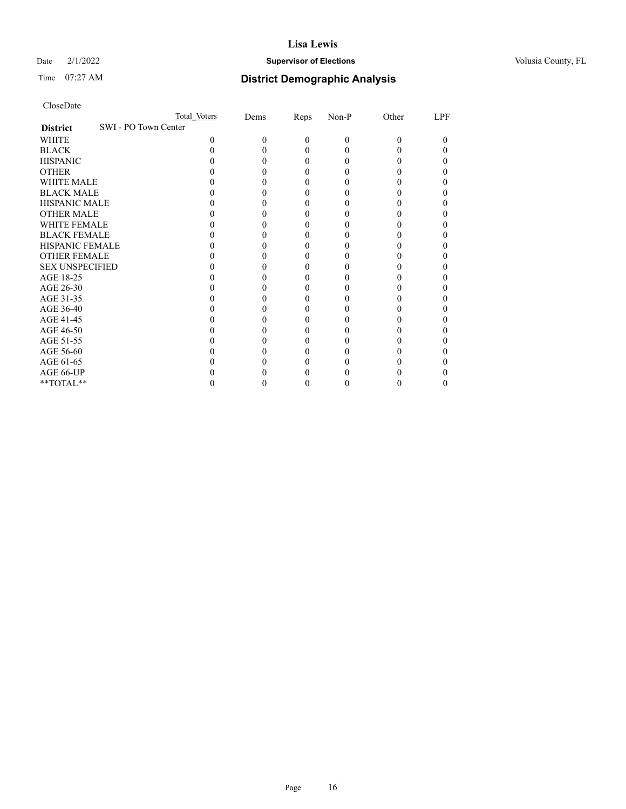## Date  $2/1/2022$  **Supervisor of Elections** Volusia County, FL

## Time 07:27 AM **District Demographic Analysis**

| CloseDate |
|-----------|
|-----------|

|                                         | Total Voters | Dems | Reps     | Non-P    | Other | LPF |
|-----------------------------------------|--------------|------|----------|----------|-------|-----|
| SWI - PO Town Center<br><b>District</b> |              |      |          |          |       |     |
| WHITE                                   | 0            | 0    | $\theta$ | $\theta$ | 0     | 0   |
| <b>BLACK</b>                            |              |      | 0        | $\theta$ |       |     |
| <b>HISPANIC</b>                         |              |      | 0        | $\theta$ |       |     |
| <b>OTHER</b>                            |              |      |          |          |       |     |
| <b>WHITE MALE</b>                       |              |      |          |          |       |     |
| <b>BLACK MALE</b>                       |              |      |          |          |       |     |
| <b>HISPANIC MALE</b>                    |              |      |          |          |       |     |
| <b>OTHER MALE</b>                       |              |      |          |          |       |     |
| <b>WHITE FEMALE</b>                     |              |      |          |          |       |     |
| <b>BLACK FEMALE</b>                     |              |      |          |          |       |     |
| <b>HISPANIC FEMALE</b>                  |              |      |          |          |       |     |
| <b>OTHER FEMALE</b>                     |              |      |          |          |       |     |
| <b>SEX UNSPECIFIED</b>                  |              |      |          |          |       |     |
| AGE 18-25                               |              |      |          |          |       |     |
| AGE 26-30                               |              |      |          |          |       |     |
| AGE 31-35                               |              |      |          |          |       |     |
| AGE 36-40                               |              |      |          |          |       |     |
| AGE 41-45                               |              |      |          |          |       |     |
| AGE 46-50                               |              |      |          |          |       |     |
| AGE 51-55                               |              |      |          |          |       |     |
| AGE 56-60                               |              |      |          |          |       |     |
| AGE 61-65                               |              |      |          |          |       |     |
| AGE 66-UP                               |              |      |          |          |       |     |
| **TOTAL**                               |              |      |          |          |       |     |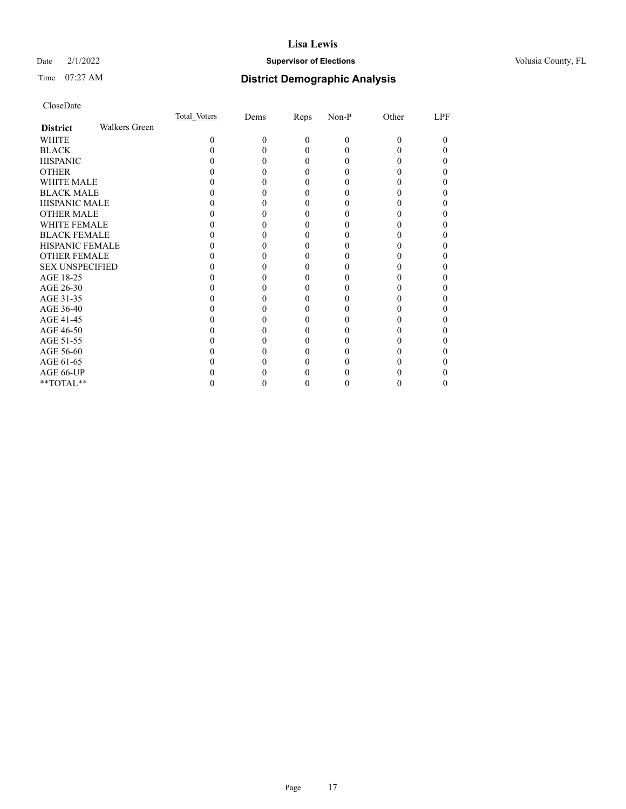## Date  $2/1/2022$  **Supervisor of Elections** Volusia County, FL

# Time 07:27 AM **District Demographic Analysis**

|                        |               | Total Voters | Dems | Reps     | Non-P | Other | LPF      |
|------------------------|---------------|--------------|------|----------|-------|-------|----------|
| <b>District</b>        | Walkers Green |              |      |          |       |       |          |
| WHITE                  |               | 0            | 0    | $\theta$ | 0     | 0     | $\theta$ |
| <b>BLACK</b>           |               |              |      | 0        |       |       |          |
| <b>HISPANIC</b>        |               |              |      | 0        |       |       | 0        |
| <b>OTHER</b>           |               |              |      |          |       |       |          |
| WHITE MALE             |               |              |      |          |       |       |          |
| <b>BLACK MALE</b>      |               |              |      |          |       |       |          |
| <b>HISPANIC MALE</b>   |               |              |      |          |       |       |          |
| <b>OTHER MALE</b>      |               |              |      |          |       |       |          |
| <b>WHITE FEMALE</b>    |               |              |      |          |       |       |          |
| <b>BLACK FEMALE</b>    |               |              |      | 0        |       |       |          |
| <b>HISPANIC FEMALE</b> |               |              |      |          |       |       |          |
| <b>OTHER FEMALE</b>    |               |              |      | 0        |       |       |          |
| <b>SEX UNSPECIFIED</b> |               |              |      |          |       |       |          |
| AGE 18-25              |               |              |      |          |       |       |          |
| AGE 26-30              |               |              |      |          |       |       |          |
| AGE 31-35              |               |              |      |          |       |       |          |
| AGE 36-40              |               |              |      | 0        |       |       |          |
| AGE 41-45              |               |              |      |          |       |       |          |
| AGE 46-50              |               |              |      | 0        |       |       |          |
| AGE 51-55              |               |              |      |          |       |       |          |
| AGE 56-60              |               |              |      |          |       |       |          |
| AGE 61-65              |               |              |      |          |       |       |          |
| AGE 66-UP              |               |              |      |          |       |       |          |
| **TOTAL**              |               |              |      | 0        |       |       |          |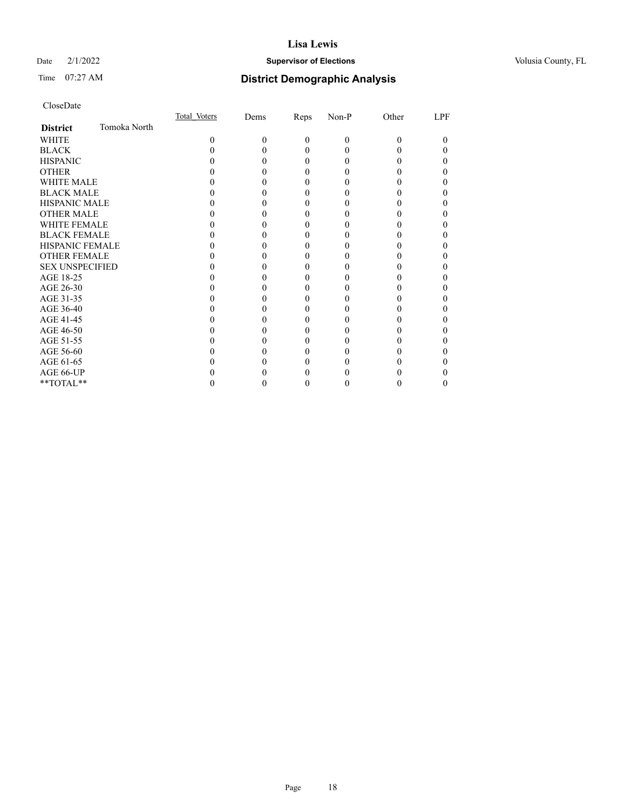## Date  $2/1/2022$  **Supervisor of Elections** Volusia County, FL

# Time 07:27 AM **District Demographic Analysis**

|                        |              | Total Voters | Dems | Reps     | Non-P    | Other | LPF |
|------------------------|--------------|--------------|------|----------|----------|-------|-----|
| <b>District</b>        | Tomoka North |              |      |          |          |       |     |
| <b>WHITE</b>           |              | $\Omega$     | 0    | $\theta$ | $\Omega$ | 0     |     |
| <b>BLACK</b>           |              |              |      | 0        |          |       |     |
| <b>HISPANIC</b>        |              |              |      | 0        |          |       |     |
| <b>OTHER</b>           |              |              |      |          |          |       |     |
| <b>WHITE MALE</b>      |              |              |      |          |          |       |     |
| <b>BLACK MALE</b>      |              |              |      |          |          |       |     |
| <b>HISPANIC MALE</b>   |              |              |      |          |          |       |     |
| <b>OTHER MALE</b>      |              |              |      |          |          |       |     |
| <b>WHITE FEMALE</b>    |              |              |      |          |          |       |     |
| <b>BLACK FEMALE</b>    |              |              |      |          |          |       |     |
| <b>HISPANIC FEMALE</b> |              |              |      |          |          |       |     |
| <b>OTHER FEMALE</b>    |              |              |      |          |          |       |     |
| <b>SEX UNSPECIFIED</b> |              |              |      |          |          |       |     |
| AGE 18-25              |              |              |      |          |          |       |     |
| AGE 26-30              |              |              |      |          |          |       |     |
| AGE 31-35              |              |              |      |          |          |       |     |
| AGE 36-40              |              |              |      | 0        |          |       |     |
| AGE 41-45              |              |              |      |          |          |       |     |
| AGE 46-50              |              |              |      |          |          |       |     |
| AGE 51-55              |              |              |      |          |          |       |     |
| AGE 56-60              |              |              |      |          |          |       |     |
| AGE 61-65              |              |              |      |          |          |       |     |
| AGE 66-UP              |              |              |      |          |          |       |     |
| **TOTAL**              |              |              |      | 0        |          |       | 0   |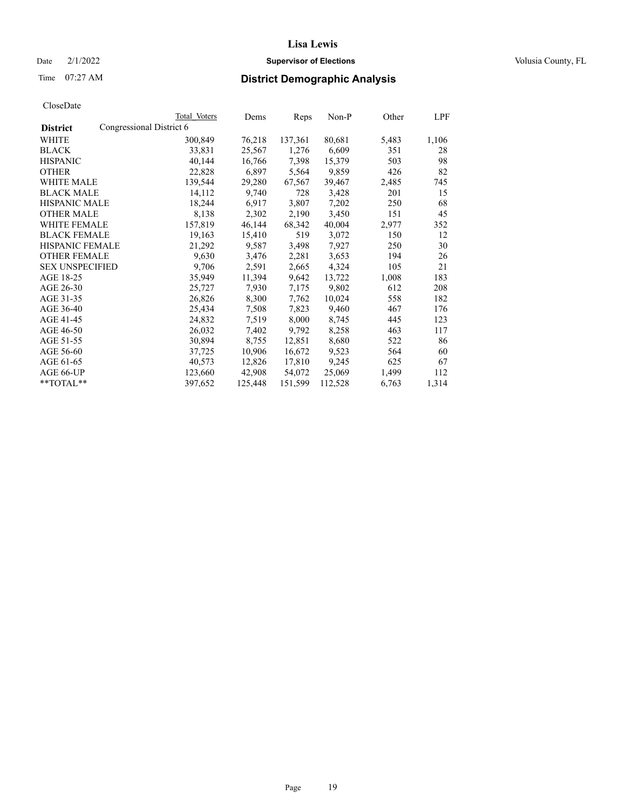## Date  $2/1/2022$  **Supervisor of Elections** Volusia County, FL

# Time 07:27 AM **District Demographic Analysis**

|                                             | Total Voters | Dems    | Reps    | Non-P   | Other | LPF   |
|---------------------------------------------|--------------|---------|---------|---------|-------|-------|
| Congressional District 6<br><b>District</b> |              |         |         |         |       |       |
| WHITE                                       | 300,849      | 76,218  | 137,361 | 80,681  | 5,483 | 1,106 |
| <b>BLACK</b>                                | 33,831       | 25,567  | 1,276   | 6,609   | 351   | 28    |
| <b>HISPANIC</b>                             | 40,144       | 16,766  | 7,398   | 15,379  | 503   | 98    |
| <b>OTHER</b>                                | 22,828       | 6,897   | 5,564   | 9,859   | 426   | 82    |
| <b>WHITE MALE</b>                           | 139,544      | 29,280  | 67,567  | 39,467  | 2,485 | 745   |
| <b>BLACK MALE</b>                           | 14,112       | 9,740   | 728     | 3,428   | 201   | 15    |
| <b>HISPANIC MALE</b>                        | 18,244       | 6,917   | 3,807   | 7,202   | 250   | 68    |
| <b>OTHER MALE</b>                           | 8,138        | 2,302   | 2,190   | 3,450   | 151   | 45    |
| <b>WHITE FEMALE</b>                         | 157,819      | 46,144  | 68,342  | 40,004  | 2,977 | 352   |
| <b>BLACK FEMALE</b>                         | 19,163       | 15,410  | 519     | 3,072   | 150   | 12    |
| HISPANIC FEMALE                             | 21,292       | 9,587   | 3,498   | 7,927   | 250   | 30    |
| <b>OTHER FEMALE</b>                         | 9,630        | 3,476   | 2,281   | 3,653   | 194   | 26    |
| <b>SEX UNSPECIFIED</b>                      | 9,706        | 2,591   | 2,665   | 4,324   | 105   | 21    |
| AGE 18-25                                   | 35,949       | 11,394  | 9,642   | 13,722  | 1,008 | 183   |
| AGE 26-30                                   | 25,727       | 7,930   | 7,175   | 9.802   | 612   | 208   |
| AGE 31-35                                   | 26,826       | 8,300   | 7,762   | 10,024  | 558   | 182   |
| AGE 36-40                                   | 25,434       | 7,508   | 7,823   | 9,460   | 467   | 176   |
| AGE 41-45                                   | 24,832       | 7,519   | 8,000   | 8,745   | 445   | 123   |
| AGE 46-50                                   | 26,032       | 7,402   | 9,792   | 8,258   | 463   | 117   |
| AGE 51-55                                   | 30,894       | 8,755   | 12,851  | 8,680   | 522   | 86    |
| AGE 56-60                                   | 37,725       | 10,906  | 16,672  | 9,523   | 564   | 60    |
| AGE 61-65                                   | 40,573       | 12,826  | 17,810  | 9,245   | 625   | 67    |
| AGE 66-UP                                   | 123,660      | 42,908  | 54,072  | 25,069  | 1,499 | 112   |
| **TOTAL**                                   | 397,652      | 125,448 | 151,599 | 112,528 | 6,763 | 1,314 |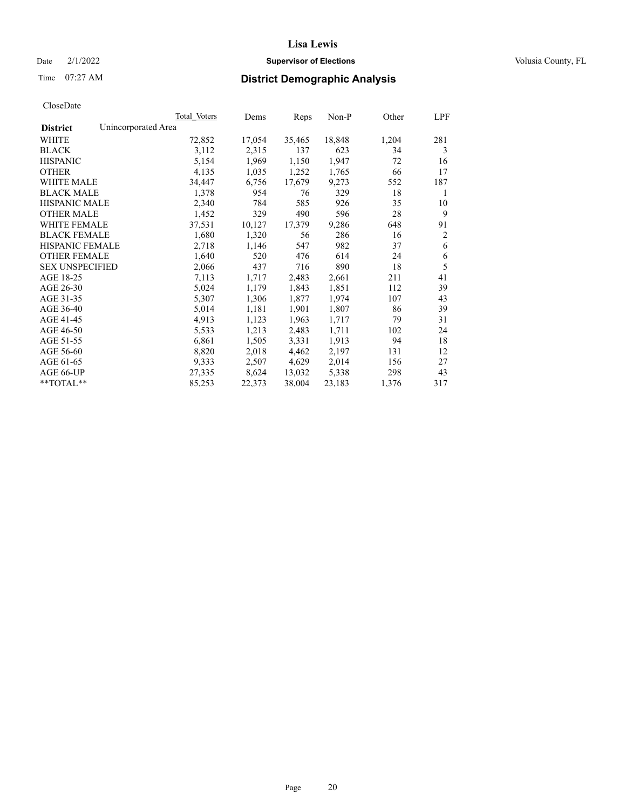## Date  $2/1/2022$  **Supervisor of Elections** Volusia County, FL

# Time 07:27 AM **District Demographic Analysis**

|                        | Total Voters        | Dems   | Reps   | Non-P  | Other | LPF            |
|------------------------|---------------------|--------|--------|--------|-------|----------------|
| <b>District</b>        | Unincorporated Area |        |        |        |       |                |
| WHITE                  | 72,852              | 17,054 | 35,465 | 18,848 | 1,204 | 281            |
| <b>BLACK</b>           | 3,112               | 2,315  | 137    | 623    | 34    | 3              |
| <b>HISPANIC</b>        | 5,154               | 1,969  | 1,150  | 1,947  | 72    | 16             |
| <b>OTHER</b>           | 4,135               | 1,035  | 1,252  | 1,765  | 66    | 17             |
| <b>WHITE MALE</b>      | 34,447              | 6,756  | 17,679 | 9,273  | 552   | 187            |
| <b>BLACK MALE</b>      | 1,378               | 954    | 76     | 329    | 18    | 1              |
| <b>HISPANIC MALE</b>   | 2,340               | 784    | 585    | 926    | 35    | 10             |
| <b>OTHER MALE</b>      | 1,452               | 329    | 490    | 596    | 28    | 9              |
| <b>WHITE FEMALE</b>    | 37,531              | 10,127 | 17,379 | 9,286  | 648   | 91             |
| <b>BLACK FEMALE</b>    | 1,680               | 1,320  | 56     | 286    | 16    | $\overline{2}$ |
| <b>HISPANIC FEMALE</b> | 2,718               | 1,146  | 547    | 982    | 37    | 6              |
| <b>OTHER FEMALE</b>    | 1,640               | 520    | 476    | 614    | 24    | 6              |
| <b>SEX UNSPECIFIED</b> | 2,066               | 437    | 716    | 890    | 18    | 5              |
| AGE 18-25              | 7,113               | 1,717  | 2,483  | 2,661  | 211   | 41             |
| AGE 26-30              | 5,024               | 1,179  | 1,843  | 1,851  | 112   | 39             |
| AGE 31-35              | 5,307               | 1,306  | 1,877  | 1,974  | 107   | 43             |
| AGE 36-40              | 5,014               | 1,181  | 1,901  | 1,807  | 86    | 39             |
| AGE 41-45              | 4,913               | 1,123  | 1,963  | 1,717  | 79    | 31             |
| AGE 46-50              | 5,533               | 1,213  | 2,483  | 1,711  | 102   | 24             |
| AGE 51-55              | 6,861               | 1,505  | 3,331  | 1,913  | 94    | 18             |
| AGE 56-60              | 8,820               | 2,018  | 4,462  | 2,197  | 131   | 12             |
| AGE 61-65              | 9,333               | 2,507  | 4,629  | 2,014  | 156   | 27             |
| AGE 66-UP              | 27,335              | 8,624  | 13,032 | 5,338  | 298   | 43             |
| $*$ $TOTAL**$          | 85,253              | 22,373 | 38,004 | 23,183 | 1,376 | 317            |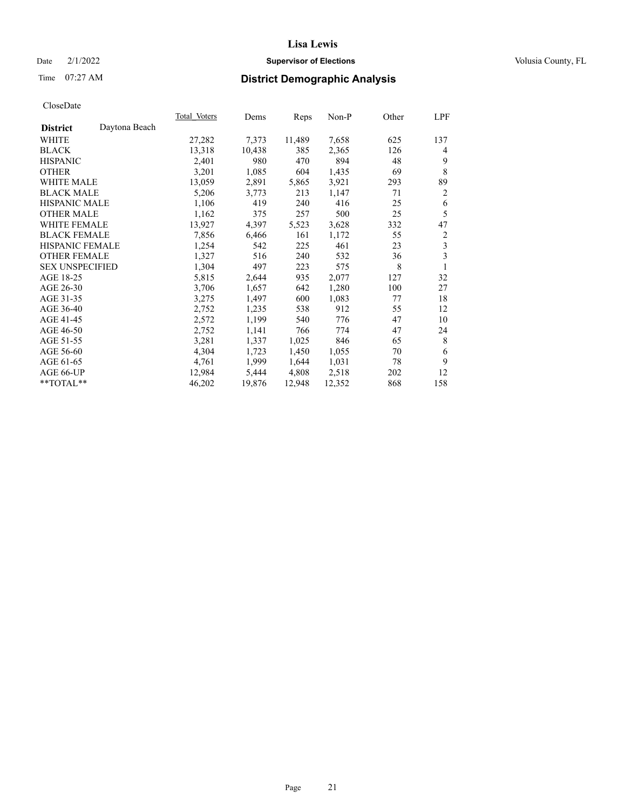## Date  $2/1/2022$  **Supervisor of Elections** Volusia County, FL

# Time 07:27 AM **District Demographic Analysis**

|                        |               | Total Voters | Dems   | Reps   | $Non-P$ | Other | LPF |
|------------------------|---------------|--------------|--------|--------|---------|-------|-----|
| <b>District</b>        | Daytona Beach |              |        |        |         |       |     |
| WHITE                  |               | 27,282       | 7,373  | 11,489 | 7,658   | 625   | 137 |
| <b>BLACK</b>           |               | 13,318       | 10,438 | 385    | 2,365   | 126   | 4   |
| <b>HISPANIC</b>        |               | 2,401        | 980    | 470    | 894     | 48    | 9   |
| <b>OTHER</b>           |               | 3,201        | 1,085  | 604    | 1,435   | 69    | 8   |
| WHITE MALE             |               | 13,059       | 2,891  | 5,865  | 3,921   | 293   | 89  |
| <b>BLACK MALE</b>      |               | 5,206        | 3,773  | 213    | 1,147   | 71    | 2   |
| <b>HISPANIC MALE</b>   |               | 1,106        | 419    | 240    | 416     | 25    | 6   |
| <b>OTHER MALE</b>      |               | 1,162        | 375    | 257    | 500     | 25    | 5   |
| <b>WHITE FEMALE</b>    |               | 13,927       | 4,397  | 5,523  | 3,628   | 332   | 47  |
| <b>BLACK FEMALE</b>    |               | 7,856        | 6,466  | 161    | 1,172   | 55    | 2   |
| <b>HISPANIC FEMALE</b> |               | 1,254        | 542    | 225    | 461     | 23    | 3   |
| <b>OTHER FEMALE</b>    |               | 1,327        | 516    | 240    | 532     | 36    | 3   |
| <b>SEX UNSPECIFIED</b> |               | 1,304        | 497    | 223    | 575     | 8     | 1   |
| AGE 18-25              |               | 5,815        | 2,644  | 935    | 2,077   | 127   | 32  |
| AGE 26-30              |               | 3,706        | 1,657  | 642    | 1,280   | 100   | 27  |
| AGE 31-35              |               | 3,275        | 1,497  | 600    | 1,083   | 77    | 18  |
| AGE 36-40              |               | 2,752        | 1,235  | 538    | 912     | 55    | 12  |
| AGE 41-45              |               | 2,572        | 1,199  | 540    | 776     | 47    | 10  |
| AGE 46-50              |               | 2,752        | 1,141  | 766    | 774     | 47    | 24  |
| AGE 51-55              |               | 3,281        | 1,337  | 1,025  | 846     | 65    | 8   |
| AGE 56-60              |               | 4,304        | 1,723  | 1,450  | 1,055   | 70    | 6   |
| AGE 61-65              |               | 4,761        | 1,999  | 1,644  | 1,031   | 78    | 9   |
| AGE 66-UP              |               | 12,984       | 5,444  | 4,808  | 2,518   | 202   | 12  |
| $*$ TOTAL $*$          |               | 46,202       | 19,876 | 12,948 | 12,352  | 868   | 158 |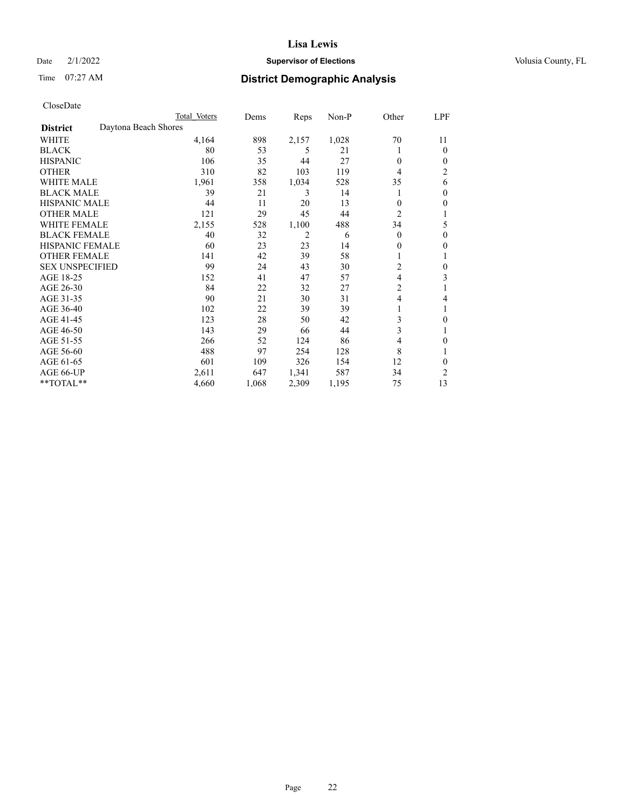## Date  $2/1/2022$  **Supervisor of Elections** Volusia County, FL

# Time 07:27 AM **District Demographic Analysis**

|                                         | Total Voters | Dems  | Reps  | $Non-P$ | Other          | LPF            |
|-----------------------------------------|--------------|-------|-------|---------|----------------|----------------|
| Daytona Beach Shores<br><b>District</b> |              |       |       |         |                |                |
| WHITE                                   | 4,164        | 898   | 2,157 | 1,028   | 70             | 11             |
| <b>BLACK</b>                            | 80           | 53    | 5     | 21      | 1              | $\Omega$       |
| <b>HISPANIC</b>                         | 106          | 35    | 44    | 27      | $\theta$       | $\theta$       |
| <b>OTHER</b>                            | 310          | 82    | 103   | 119     | 4              | $\overline{c}$ |
| <b>WHITE MALE</b>                       | 1,961        | 358   | 1,034 | 528     | 35             | 6              |
| <b>BLACK MALE</b>                       | 39           | 21    | 3     | 14      | 1              | $\theta$       |
| <b>HISPANIC MALE</b>                    | 44           | 11    | 20    | 13      | $\theta$       | $\theta$       |
| <b>OTHER MALE</b>                       | 121          | 29    | 45    | 44      | $\overline{c}$ |                |
| <b>WHITE FEMALE</b>                     | 2,155        | 528   | 1,100 | 488     | 34             | 5              |
| <b>BLACK FEMALE</b>                     | 40           | 32    | 2     | 6       | $\theta$       | $\theta$       |
| <b>HISPANIC FEMALE</b>                  | 60           | 23    | 23    | 14      | $\mathbf{0}$   | $\mathbf{0}$   |
| <b>OTHER FEMALE</b>                     | 141          | 42    | 39    | 58      | 1              | 1              |
| <b>SEX UNSPECIFIED</b>                  | 99           | 24    | 43    | 30      | 2              | $\theta$       |
| AGE 18-25                               | 152          | 41    | 47    | 57      | 4              | 3              |
| AGE 26-30                               | 84           | 22    | 32    | 27      | $\overline{2}$ |                |
| AGE 31-35                               | 90           | 21    | 30    | 31      | $\overline{4}$ | 4              |
| AGE 36-40                               | 102          | 22    | 39    | 39      |                |                |
| AGE 41-45                               | 123          | 28    | 50    | 42      | 3              | $\theta$       |
| AGE 46-50                               | 143          | 29    | 66    | 44      | 3              |                |
| AGE 51-55                               | 266          | 52    | 124   | 86      | $\overline{4}$ | $\theta$       |
| AGE 56-60                               | 488          | 97    | 254   | 128     | 8              |                |
| AGE 61-65                               | 601          | 109   | 326   | 154     | 12             | 0              |
| AGE 66-UP                               | 2,611        | 647   | 1,341 | 587     | 34             | $\overline{2}$ |
| **TOTAL**                               | 4,660        | 1,068 | 2,309 | 1,195   | 75             | 13             |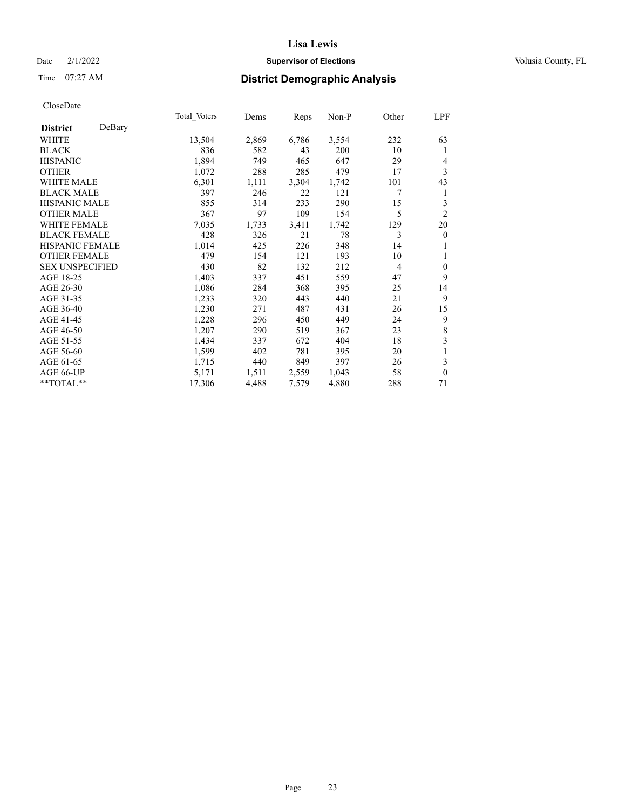## Date  $2/1/2022$  **Supervisor of Elections** Volusia County, FL

## Time 07:27 AM **District Demographic Analysis**

|                        |        | Total Voters | Dems  | Reps  | Non-P | Other          | <u>LPF</u>       |
|------------------------|--------|--------------|-------|-------|-------|----------------|------------------|
| <b>District</b>        | DeBary |              |       |       |       |                |                  |
| WHITE                  |        | 13,504       | 2,869 | 6,786 | 3,554 | 232            | 63               |
| <b>BLACK</b>           |        | 836          | 582   | 43    | 200   | 10             | 1                |
| <b>HISPANIC</b>        |        | 1,894        | 749   | 465   | 647   | 29             | 4                |
| <b>OTHER</b>           |        | 1,072        | 288   | 285   | 479   | 17             | 3                |
| <b>WHITE MALE</b>      |        | 6,301        | 1,111 | 3,304 | 1,742 | 101            | 43               |
| <b>BLACK MALE</b>      |        | 397          | 246   | 22    | 121   | 7              | 1                |
| <b>HISPANIC MALE</b>   |        | 855          | 314   | 233   | 290   | 15             | 3                |
| <b>OTHER MALE</b>      |        | 367          | 97    | 109   | 154   | 5              | $\overline{2}$   |
| <b>WHITE FEMALE</b>    |        | 7,035        | 1,733 | 3,411 | 1,742 | 129            | 20               |
| <b>BLACK FEMALE</b>    |        | 428          | 326   | 21    | 78    | 3              | $\boldsymbol{0}$ |
| <b>HISPANIC FEMALE</b> |        | 1,014        | 425   | 226   | 348   | 14             | 1                |
| <b>OTHER FEMALE</b>    |        | 479          | 154   | 121   | 193   | 10             | 1                |
| <b>SEX UNSPECIFIED</b> |        | 430          | 82    | 132   | 212   | $\overline{4}$ | $\overline{0}$   |
| AGE 18-25              |        | 1,403        | 337   | 451   | 559   | 47             | 9                |
| AGE 26-30              |        | 1,086        | 284   | 368   | 395   | 25             | 14               |
| AGE 31-35              |        | 1,233        | 320   | 443   | 440   | 21             | 9                |
| AGE 36-40              |        | 1,230        | 271   | 487   | 431   | 26             | 15               |
| AGE 41-45              |        | 1,228        | 296   | 450   | 449   | 24             | 9                |
| AGE 46-50              |        | 1,207        | 290   | 519   | 367   | 23             | $\,8\,$          |
| AGE 51-55              |        | 1,434        | 337   | 672   | 404   | 18             | $\mathfrak{Z}$   |
| AGE 56-60              |        | 1,599        | 402   | 781   | 395   | 20             | 1                |
| AGE 61-65              |        | 1,715        | 440   | 849   | 397   | 26             | $\mathfrak{Z}$   |
| AGE 66-UP              |        | 5,171        | 1,511 | 2,559 | 1,043 | 58             | $\overline{0}$   |
| **TOTAL**              |        | 17,306       | 4,488 | 7,579 | 4,880 | 288            | 71               |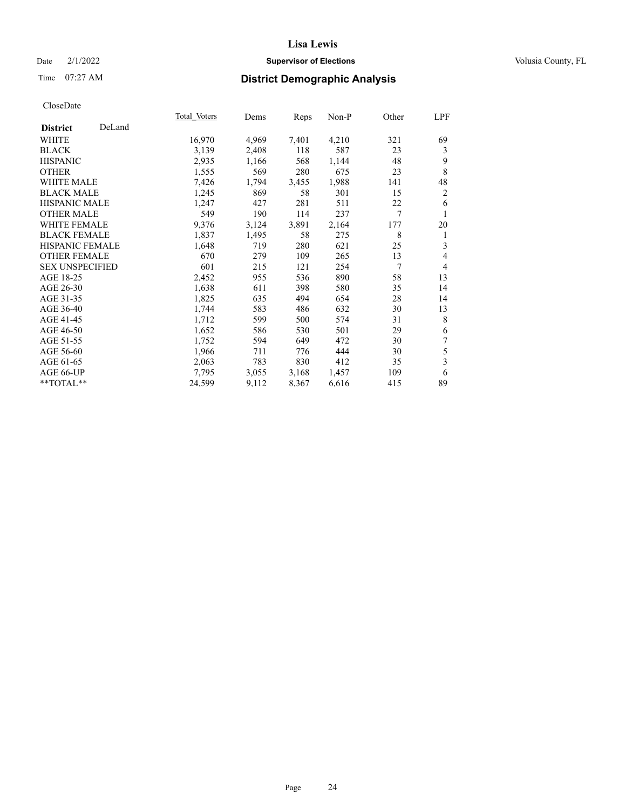## Date  $2/1/2022$  **Supervisor of Elections** Volusia County, FL

# Time 07:27 AM **District Demographic Analysis**

|                        |        | Total Voters | Dems  | Reps  | Non-P | Other | LPF            |
|------------------------|--------|--------------|-------|-------|-------|-------|----------------|
| <b>District</b>        | DeLand |              |       |       |       |       |                |
| WHITE                  |        | 16,970       | 4,969 | 7,401 | 4,210 | 321   | 69             |
| <b>BLACK</b>           |        | 3,139        | 2,408 | 118   | 587   | 23    | 3              |
| <b>HISPANIC</b>        |        | 2,935        | 1,166 | 568   | 1,144 | 48    | 9              |
| <b>OTHER</b>           |        | 1,555        | 569   | 280   | 675   | 23    | 8              |
| <b>WHITE MALE</b>      |        | 7,426        | 1,794 | 3,455 | 1,988 | 141   | 48             |
| <b>BLACK MALE</b>      |        | 1,245        | 869   | 58    | 301   | 15    | $\overline{c}$ |
| <b>HISPANIC MALE</b>   |        | 1,247        | 427   | 281   | 511   | 22    | 6              |
| <b>OTHER MALE</b>      |        | 549          | 190   | 114   | 237   | 7     | 1              |
| <b>WHITE FEMALE</b>    |        | 9,376        | 3,124 | 3,891 | 2,164 | 177   | 20             |
| <b>BLACK FEMALE</b>    |        | 1,837        | 1,495 | 58    | 275   | 8     | 1              |
| <b>HISPANIC FEMALE</b> |        | 1,648        | 719   | 280   | 621   | 25    | 3              |
| <b>OTHER FEMALE</b>    |        | 670          | 279   | 109   | 265   | 13    | $\overline{4}$ |
| <b>SEX UNSPECIFIED</b> |        | 601          | 215   | 121   | 254   | 7     | $\overline{4}$ |
| AGE 18-25              |        | 2,452        | 955   | 536   | 890   | 58    | 13             |
| AGE 26-30              |        | 1,638        | 611   | 398   | 580   | 35    | 14             |
| AGE 31-35              |        | 1,825        | 635   | 494   | 654   | 28    | 14             |
| AGE 36-40              |        | 1,744        | 583   | 486   | 632   | 30    | 13             |
| AGE 41-45              |        | 1,712        | 599   | 500   | 574   | 31    | 8              |
| AGE 46-50              |        | 1,652        | 586   | 530   | 501   | 29    | 6              |
| AGE 51-55              |        | 1,752        | 594   | 649   | 472   | 30    | 7              |
| AGE 56-60              |        | 1,966        | 711   | 776   | 444   | 30    | 5              |
| AGE 61-65              |        | 2,063        | 783   | 830   | 412   | 35    | 3              |
| AGE 66-UP              |        | 7,795        | 3,055 | 3,168 | 1,457 | 109   | 6              |
| **TOTAL**              |        | 24,599       | 9,112 | 8,367 | 6,616 | 415   | 89             |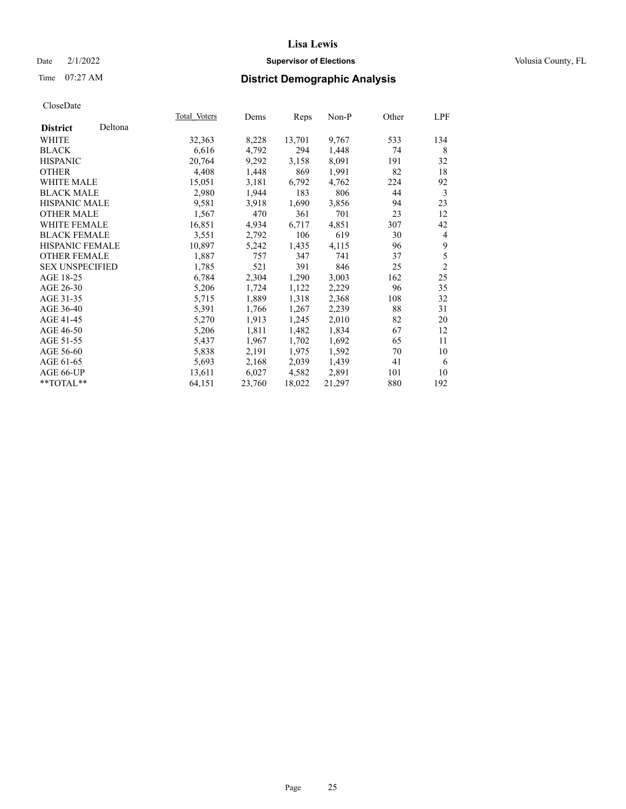## Date  $2/1/2022$  **Supervisor of Elections** Volusia County, FL

# Time 07:27 AM **District Demographic Analysis**

|                        |         | Total Voters | Dems   | Reps   | Non-P  | Other | LPF            |
|------------------------|---------|--------------|--------|--------|--------|-------|----------------|
| <b>District</b>        | Deltona |              |        |        |        |       |                |
| WHITE                  |         | 32,363       | 8,228  | 13,701 | 9,767  | 533   | 134            |
| <b>BLACK</b>           |         | 6,616        | 4,792  | 294    | 1,448  | 74    | 8              |
| <b>HISPANIC</b>        |         | 20,764       | 9,292  | 3,158  | 8,091  | 191   | 32             |
| <b>OTHER</b>           |         | 4,408        | 1,448  | 869    | 1,991  | 82    | 18             |
| WHITE MALE             |         | 15,051       | 3,181  | 6,792  | 4,762  | 224   | 92             |
| <b>BLACK MALE</b>      |         | 2,980        | 1,944  | 183    | 806    | 44    | 3              |
| <b>HISPANIC MALE</b>   |         | 9,581        | 3,918  | 1,690  | 3,856  | 94    | 23             |
| <b>OTHER MALE</b>      |         | 1,567        | 470    | 361    | 701    | 23    | 12             |
| <b>WHITE FEMALE</b>    |         | 16,851       | 4,934  | 6,717  | 4,851  | 307   | 42             |
| <b>BLACK FEMALE</b>    |         | 3,551        | 2,792  | 106    | 619    | 30    | 4              |
| HISPANIC FEMALE        |         | 10,897       | 5,242  | 1,435  | 4,115  | 96    | 9              |
| <b>OTHER FEMALE</b>    |         | 1,887        | 757    | 347    | 741    | 37    | 5              |
| <b>SEX UNSPECIFIED</b> |         | 1,785        | 521    | 391    | 846    | 25    | $\overline{2}$ |
| AGE 18-25              |         | 6,784        | 2,304  | 1,290  | 3,003  | 162   | 25             |
| AGE 26-30              |         | 5,206        | 1,724  | 1,122  | 2,229  | 96    | 35             |
| AGE 31-35              |         | 5,715        | 1,889  | 1,318  | 2,368  | 108   | 32             |
| AGE 36-40              |         | 5,391        | 1,766  | 1,267  | 2,239  | 88    | 31             |
| AGE 41-45              |         | 5,270        | 1,913  | 1,245  | 2,010  | 82    | 20             |
| AGE 46-50              |         | 5,206        | 1,811  | 1,482  | 1,834  | 67    | 12             |
| AGE 51-55              |         | 5,437        | 1,967  | 1,702  | 1,692  | 65    | 11             |
| AGE 56-60              |         | 5,838        | 2,191  | 1,975  | 1,592  | 70    | 10             |
| AGE 61-65              |         | 5,693        | 2,168  | 2,039  | 1,439  | 41    | 6              |
| AGE 66-UP              |         | 13,611       | 6,027  | 4,582  | 2,891  | 101   | 10             |
| **TOTAL**              |         | 64,151       | 23,760 | 18,022 | 21,297 | 880   | 192            |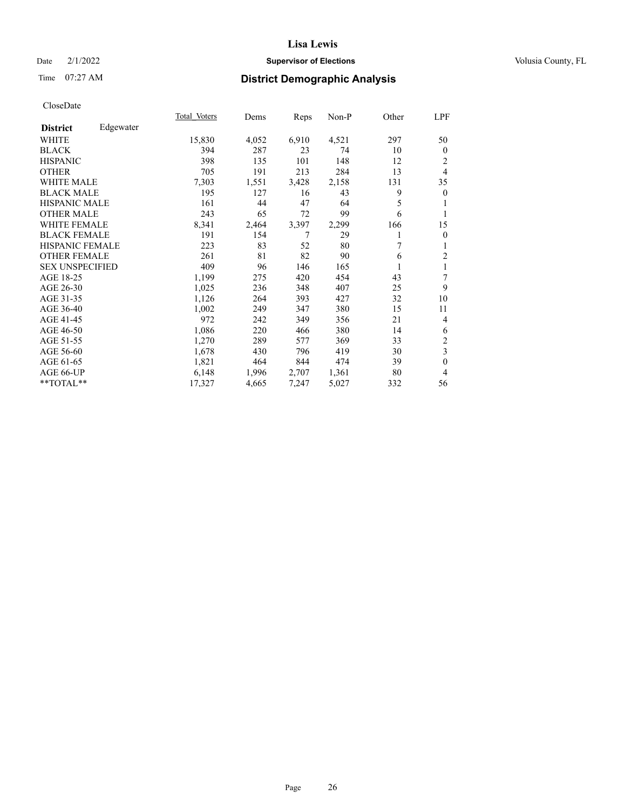## Date  $2/1/2022$  **Supervisor of Elections** Volusia County, FL

# Time 07:27 AM **District Demographic Analysis**

|                        |           | Total Voters | Dems  | Reps  | Non-P | Other | LPF            |
|------------------------|-----------|--------------|-------|-------|-------|-------|----------------|
| <b>District</b>        | Edgewater |              |       |       |       |       |                |
| WHITE                  |           | 15,830       | 4,052 | 6,910 | 4,521 | 297   | 50             |
| <b>BLACK</b>           |           | 394          | 287   | 23    | 74    | 10    | $\mathbf{0}$   |
| <b>HISPANIC</b>        |           | 398          | 135   | 101   | 148   | 12    | 2              |
| <b>OTHER</b>           |           | 705          | 191   | 213   | 284   | 13    | 4              |
| WHITE MALE             |           | 7,303        | 1,551 | 3,428 | 2,158 | 131   | 35             |
| <b>BLACK MALE</b>      |           | 195          | 127   | 16    | 43    | 9     | $\overline{0}$ |
| <b>HISPANIC MALE</b>   |           | 161          | 44    | 47    | 64    | 5     |                |
| <b>OTHER MALE</b>      |           | 243          | 65    | 72    | 99    | 6     | 1              |
| WHITE FEMALE           |           | 8,341        | 2,464 | 3,397 | 2,299 | 166   | 15             |
| <b>BLACK FEMALE</b>    |           | 191          | 154   | 7     | 29    |       | $\theta$       |
| <b>HISPANIC FEMALE</b> |           | 223          | 83    | 52    | 80    | 7     | 1              |
| <b>OTHER FEMALE</b>    |           | 261          | 81    | 82    | 90    | 6     | $\overline{2}$ |
| <b>SEX UNSPECIFIED</b> |           | 409          | 96    | 146   | 165   |       | 1              |
| AGE 18-25              |           | 1,199        | 275   | 420   | 454   | 43    | 7              |
| AGE 26-30              |           | 1,025        | 236   | 348   | 407   | 25    | 9              |
| AGE 31-35              |           | 1,126        | 264   | 393   | 427   | 32    | 10             |
| AGE 36-40              |           | 1,002        | 249   | 347   | 380   | 15    | 11             |
| AGE 41-45              |           | 972          | 242   | 349   | 356   | 21    | 4              |
| AGE 46-50              |           | 1,086        | 220   | 466   | 380   | 14    | 6              |
| AGE 51-55              |           | 1,270        | 289   | 577   | 369   | 33    | $\overline{2}$ |
| AGE 56-60              |           | 1,678        | 430   | 796   | 419   | 30    | 3              |
| AGE 61-65              |           | 1,821        | 464   | 844   | 474   | 39    | $\theta$       |
| AGE 66-UP              |           | 6,148        | 1,996 | 2,707 | 1,361 | 80    | 4              |
| $*$ $TOTAL**$          |           | 17,327       | 4,665 | 7,247 | 5,027 | 332   | 56             |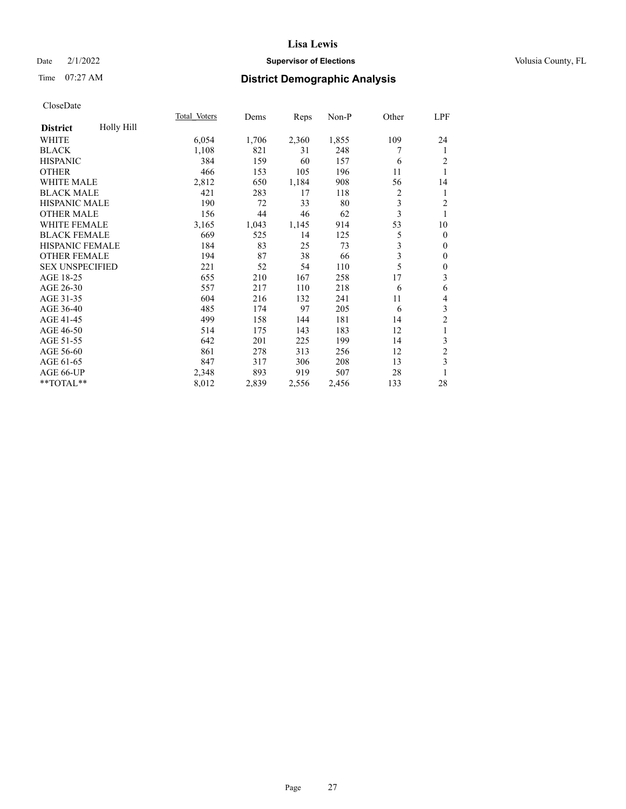## Date  $2/1/2022$  **Supervisor of Elections** Volusia County, FL

# Time 07:27 AM **District Demographic Analysis**

|                               | Total Voters | Dems  | Reps  | Non-P | Other | LPF              |
|-------------------------------|--------------|-------|-------|-------|-------|------------------|
| Holly Hill<br><b>District</b> |              |       |       |       |       |                  |
| WHITE                         | 6,054        | 1,706 | 2,360 | 1,855 | 109   | 24               |
| <b>BLACK</b>                  | 1,108        | 821   | 31    | 248   | 7     | 1                |
| <b>HISPANIC</b>               | 384          | 159   | 60    | 157   | 6     | 2                |
| <b>OTHER</b>                  | 466          | 153   | 105   | 196   | 11    | 1                |
| <b>WHITE MALE</b>             | 2,812        | 650   | 1,184 | 908   | 56    | 14               |
| <b>BLACK MALE</b>             | 421          | 283   | 17    | 118   | 2     | 1                |
| HISPANIC MALE                 | 190          | 72    | 33    | 80    | 3     | 2                |
| <b>OTHER MALE</b>             | 156          | 44    | 46    | 62    | 3     | 1                |
| <b>WHITE FEMALE</b>           | 3,165        | 1,043 | 1,145 | 914   | 53    | 10               |
| <b>BLACK FEMALE</b>           | 669          | 525   | 14    | 125   | 5     | $\theta$         |
| <b>HISPANIC FEMALE</b>        | 184          | 83    | 25    | 73    | 3     | $\boldsymbol{0}$ |
| <b>OTHER FEMALE</b>           | 194          | 87    | 38    | 66    | 3     | $\boldsymbol{0}$ |
| <b>SEX UNSPECIFIED</b>        | 221          | 52    | 54    | 110   | 5     | $\boldsymbol{0}$ |
| AGE 18-25                     | 655          | 210   | 167   | 258   | 17    | 3                |
| AGE 26-30                     | 557          | 217   | 110   | 218   | 6     | 6                |
| AGE 31-35                     | 604          | 216   | 132   | 241   | 11    | 4                |
| AGE 36-40                     | 485          | 174   | 97    | 205   | 6     | 3                |
| AGE 41-45                     | 499          | 158   | 144   | 181   | 14    | $\overline{c}$   |
| AGE 46-50                     | 514          | 175   | 143   | 183   | 12    | 1                |
| AGE 51-55                     | 642          | 201   | 225   | 199   | 14    | 3                |
| AGE 56-60                     | 861          | 278   | 313   | 256   | 12    | $\overline{c}$   |
| AGE 61-65                     | 847          | 317   | 306   | 208   | 13    | 3                |
| AGE 66-UP                     | 2,348        | 893   | 919   | 507   | 28    | 1                |
| **TOTAL**                     | 8,012        | 2,839 | 2,556 | 2,456 | 133   | 28               |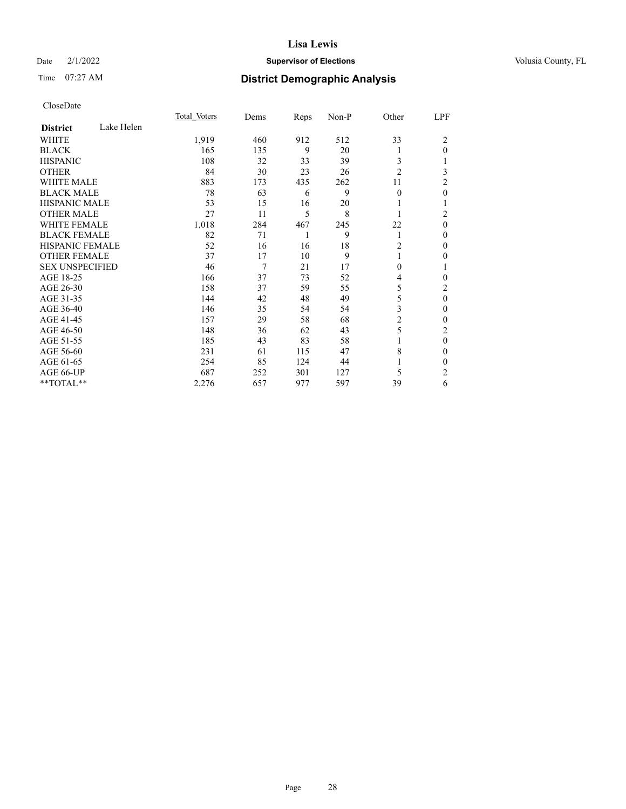## Date  $2/1/2022$  **Supervisor of Elections** Volusia County, FL

## Time 07:27 AM **District Demographic Analysis**

|                        |            | Total Voters | Dems | Reps | Non-P | Other          | LPF            |
|------------------------|------------|--------------|------|------|-------|----------------|----------------|
| <b>District</b>        | Lake Helen |              |      |      |       |                |                |
| WHITE                  |            | 1,919        | 460  | 912  | 512   | 33             | 2              |
| <b>BLACK</b>           |            | 165          | 135  | 9    | 20    |                | $\theta$       |
| <b>HISPANIC</b>        |            | 108          | 32   | 33   | 39    | 3              |                |
| <b>OTHER</b>           |            | 84           | 30   | 23   | 26    | $\overline{2}$ | 3              |
| WHITE MALE             |            | 883          | 173  | 435  | 262   | 11             | 2              |
| <b>BLACK MALE</b>      |            | 78           | 63   | 6    | 9     | $\theta$       | $\theta$       |
| <b>HISPANIC MALE</b>   |            | 53           | 15   | 16   | 20    |                | 1              |
| <b>OTHER MALE</b>      |            | 27           | 11   | 5    | 8     | 1              | $\overline{2}$ |
| <b>WHITE FEMALE</b>    |            | 1,018        | 284  | 467  | 245   | 22             | $\theta$       |
| <b>BLACK FEMALE</b>    |            | 82           | 71   | 1    | 9     | 1              | $\theta$       |
| <b>HISPANIC FEMALE</b> |            | 52           | 16   | 16   | 18    | 2              | $\Omega$       |
| <b>OTHER FEMALE</b>    |            | 37           | 17   | 10   | 9     |                | 0              |
| <b>SEX UNSPECIFIED</b> |            | 46           | 7    | 21   | 17    | $\theta$       | 1              |
| AGE 18-25              |            | 166          | 37   | 73   | 52    | 4              | $\theta$       |
| AGE 26-30              |            | 158          | 37   | 59   | 55    | 5              | $\overline{2}$ |
| AGE 31-35              |            | 144          | 42   | 48   | 49    | 5              | $\mathbf{0}$   |
| AGE 36-40              |            | 146          | 35   | 54   | 54    | 3              | $\theta$       |
| AGE 41-45              |            | 157          | 29   | 58   | 68    | 2              | $\theta$       |
| AGE 46-50              |            | 148          | 36   | 62   | 43    | 5              | $\overline{2}$ |
| AGE 51-55              |            | 185          | 43   | 83   | 58    |                | $\mathbf{0}$   |
| AGE 56-60              |            | 231          | 61   | 115  | 47    | 8              | $\theta$       |
| AGE 61-65              |            | 254          | 85   | 124  | 44    |                | $\theta$       |
| AGE 66-UP              |            | 687          | 252  | 301  | 127   | 5              | $\overline{2}$ |
| **TOTAL**              |            | 2,276        | 657  | 977  | 597   | 39             | 6              |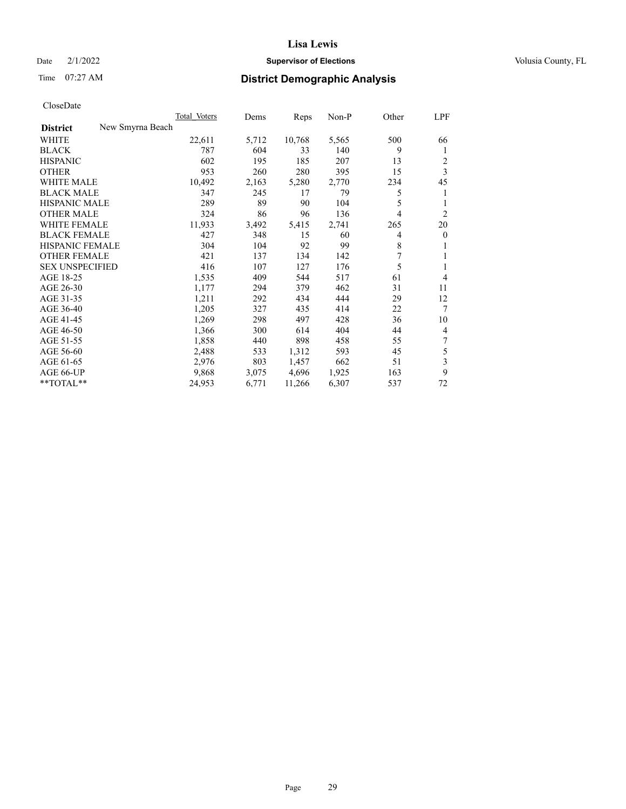## Date  $2/1/2022$  **Supervisor of Elections** Volusia County, FL

## Time 07:27 AM **District Demographic Analysis**

| Total Voters     | Dems  | Reps   | Non-P | Other | <b>LPF</b>     |
|------------------|-------|--------|-------|-------|----------------|
| New Smyrna Beach |       |        |       |       |                |
| 22,611           | 5,712 | 10,768 | 5,565 | 500   | 66             |
| 787              | 604   | 33     | 140   | 9     | 1              |
| 602              | 195   | 185    | 207   | 13    | 2              |
| 953              | 260   | 280    | 395   | 15    | $\overline{3}$ |
| 10,492           | 2,163 | 5,280  | 2,770 | 234   | 45             |
| 347              | 245   | 17     | 79    | 5     | 1              |
| 289              | 89    | 90     | 104   | 5     | 1              |
| 324              | 86    | 96     | 136   | 4     | $\overline{2}$ |
| 11,933           | 3,492 | 5,415  | 2,741 | 265   | 20             |
| 427              | 348   | 15     | 60    | 4     | $\mathbf{0}$   |
| 304              | 104   | 92     | 99    | 8     | 1              |
| 421              | 137   | 134    | 142   | 7     | 1              |
| 416              | 107   | 127    | 176   | 5     | 1              |
| 1,535            | 409   | 544    | 517   | 61    | $\overline{4}$ |
| 1,177            | 294   | 379    | 462   | 31    | 11             |
| 1,211            | 292   | 434    | 444   | 29    | 12             |
| 1,205            | 327   | 435    | 414   | 22    | $\tau$         |
| 1,269            | 298   | 497    | 428   | 36    | 10             |
| 1,366            | 300   | 614    | 404   | 44    | $\overline{4}$ |
| 1,858            | 440   | 898    | 458   | 55    | 7              |
| 2,488            | 533   | 1,312  | 593   | 45    | 5              |
| 2,976            | 803   | 1,457  | 662   | 51    | 3              |
| 9,868            | 3,075 | 4,696  | 1,925 | 163   | 9              |
| 24,953           | 6,771 | 11,266 | 6,307 | 537   | 72             |
|                  |       |        |       |       |                |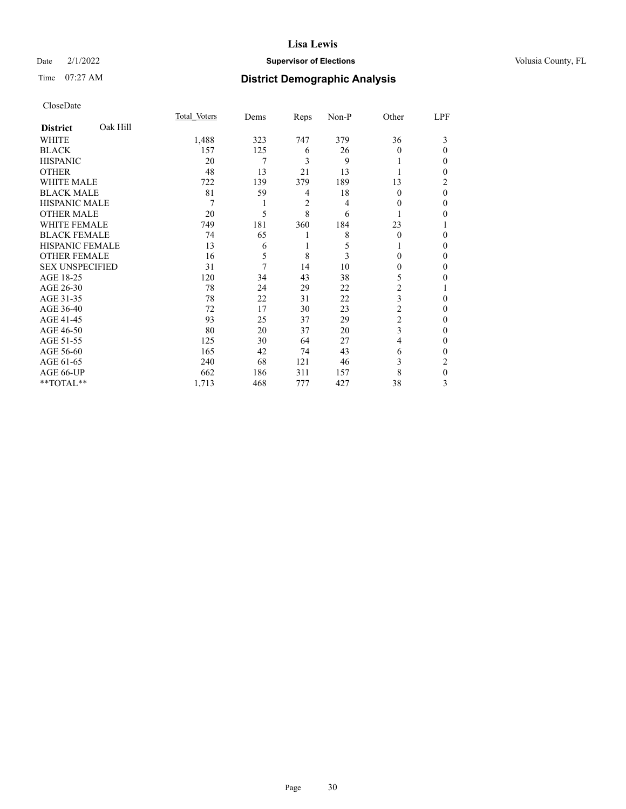### Date  $2/1/2022$  **Supervisor of Elections** Volusia County, FL

# Time 07:27 AM **District Demographic Analysis**

|                        |          | Total Voters | Dems | Reps | Non-P | Other    | LPF |
|------------------------|----------|--------------|------|------|-------|----------|-----|
| <b>District</b>        | Oak Hill |              |      |      |       |          |     |
| WHITE                  |          | 1,488        | 323  | 747  | 379   | 36       | 3   |
| <b>BLACK</b>           |          | 157          | 125  | 6    | 26    | 0        | 0   |
| <b>HISPANIC</b>        |          | 20           | 7    | 3    | 9     |          | 0   |
| <b>OTHER</b>           |          | 48           | 13   | 21   | 13    |          | 0   |
| WHITE MALE             |          | 722          | 139  | 379  | 189   | 13       | 2   |
| <b>BLACK MALE</b>      |          | 81           | 59   | 4    | 18    | $\Omega$ | 0   |
| <b>HISPANIC MALE</b>   |          | 7            |      | 2    | 4     | $_{0}$   | 0   |
| <b>OTHER MALE</b>      |          | 20           | 5    | 8    | 6     |          | 0   |
| <b>WHITE FEMALE</b>    |          | 749          | 181  | 360  | 184   | 23       |     |
| <b>BLACK FEMALE</b>    |          | 74           | 65   | 1    | 8     | $\Omega$ | 0   |
| <b>HISPANIC FEMALE</b> |          | 13           | 6    | 1    | 5     |          | 0   |
| <b>OTHER FEMALE</b>    |          | 16           | 5    | 8    | 3     | 0        | 0   |
| <b>SEX UNSPECIFIED</b> |          | 31           | 7    | 14   | 10    | 0        | 0   |
| AGE 18-25              |          | 120          | 34   | 43   | 38    | 5        | 0   |
| AGE 26-30              |          | 78           | 24   | 29   | 22    | 2        |     |
| AGE 31-35              |          | 78           | 22   | 31   | 22    | 3        | 0   |
| AGE 36-40              |          | 72           | 17   | 30   | 23    | 2        | 0   |
| AGE 41-45              |          | 93           | 25   | 37   | 29    | 2        | 0   |
| AGE 46-50              |          | 80           | 20   | 37   | 20    | 3        | 0   |
| AGE 51-55              |          | 125          | 30   | 64   | 27    | 4        | 0   |
| AGE 56-60              |          | 165          | 42   | 74   | 43    | 6        | 0   |
| AGE 61-65              |          | 240          | 68   | 121  | 46    | 3        | 2   |
| AGE 66-UP              |          | 662          | 186  | 311  | 157   | 8        | 0   |
| **TOTAL**              |          | 1,713        | 468  | 777  | 427   | 38       | 3   |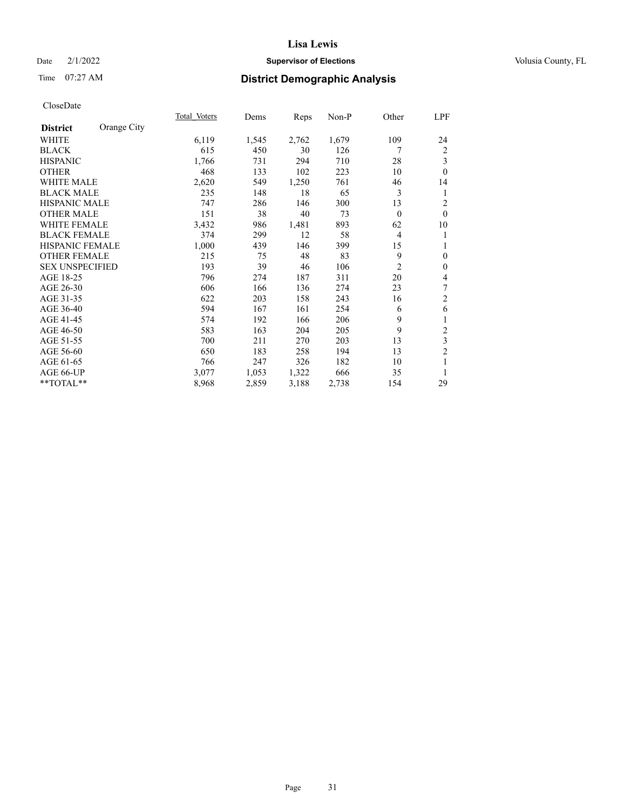## Date  $2/1/2022$  **Supervisor of Elections** Volusia County, FL

# Time 07:27 AM **District Demographic Analysis**

|                        |             | Total Voters | Dems  | Reps  | Non-P | Other          | LPF            |
|------------------------|-------------|--------------|-------|-------|-------|----------------|----------------|
| <b>District</b>        | Orange City |              |       |       |       |                |                |
| WHITE                  |             | 6,119        | 1,545 | 2,762 | 1,679 | 109            | 24             |
| <b>BLACK</b>           |             | 615          | 450   | 30    | 126   | 7              | 2              |
| <b>HISPANIC</b>        |             | 1,766        | 731   | 294   | 710   | 28             | 3              |
| <b>OTHER</b>           |             | 468          | 133   | 102   | 223   | 10             | $\theta$       |
| <b>WHITE MALE</b>      |             | 2,620        | 549   | 1,250 | 761   | 46             | 14             |
| <b>BLACK MALE</b>      |             | 235          | 148   | 18    | 65    | 3              | 1              |
| <b>HISPANIC MALE</b>   |             | 747          | 286   | 146   | 300   | 13             | $\overline{2}$ |
| <b>OTHER MALE</b>      |             | 151          | 38    | 40    | 73    | $\theta$       | $\theta$       |
| <b>WHITE FEMALE</b>    |             | 3,432        | 986   | 1,481 | 893   | 62             | 10             |
| <b>BLACK FEMALE</b>    |             | 374          | 299   | 12    | 58    | 4              | 1              |
| <b>HISPANIC FEMALE</b> |             | 1,000        | 439   | 146   | 399   | 15             | 1              |
| <b>OTHER FEMALE</b>    |             | 215          | 75    | 48    | 83    | 9              | $\mathbf{0}$   |
| <b>SEX UNSPECIFIED</b> |             | 193          | 39    | 46    | 106   | $\overline{2}$ | $\mathbf{0}$   |
| AGE 18-25              |             | 796          | 274   | 187   | 311   | 20             | 4              |
| AGE 26-30              |             | 606          | 166   | 136   | 274   | 23             | 7              |
| AGE 31-35              |             | 622          | 203   | 158   | 243   | 16             | $\overline{2}$ |
| AGE 36-40              |             | 594          | 167   | 161   | 254   | 6              | 6              |
| AGE 41-45              |             | 574          | 192   | 166   | 206   | 9              | 1              |
| AGE 46-50              |             | 583          | 163   | 204   | 205   | 9              | $\overline{2}$ |
| AGE 51-55              |             | 700          | 211   | 270   | 203   | 13             | 3              |
| AGE 56-60              |             | 650          | 183   | 258   | 194   | 13             | $\overline{c}$ |
| AGE 61-65              |             | 766          | 247   | 326   | 182   | 10             | 1              |
| AGE 66-UP              |             | 3,077        | 1,053 | 1,322 | 666   | 35             | 1              |
| **TOTAL**              |             | 8,968        | 2,859 | 3,188 | 2,738 | 154            | 29             |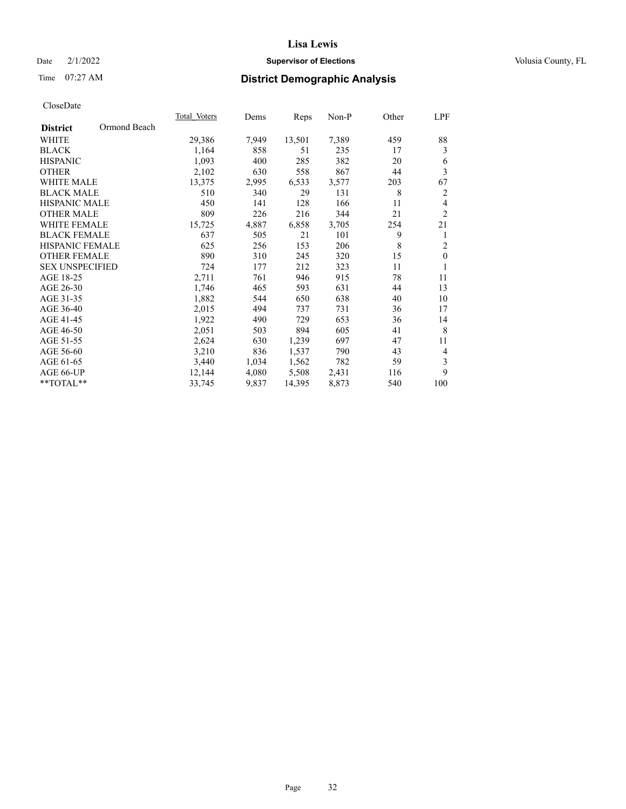## Date  $2/1/2022$  **Supervisor of Elections** Volusia County, FL

# Time 07:27 AM **District Demographic Analysis**

|                        |              | Total Voters | Dems  | Reps   | $Non-P$ | Other | LPF              |
|------------------------|--------------|--------------|-------|--------|---------|-------|------------------|
| <b>District</b>        | Ormond Beach |              |       |        |         |       |                  |
| WHITE                  |              | 29,386       | 7,949 | 13,501 | 7,389   | 459   | 88               |
| <b>BLACK</b>           |              | 1,164        | 858   | 51     | 235     | 17    | 3                |
| <b>HISPANIC</b>        |              | 1,093        | 400   | 285    | 382     | 20    | 6                |
| <b>OTHER</b>           |              | 2,102        | 630   | 558    | 867     | 44    | 3                |
| <b>WHITE MALE</b>      |              | 13,375       | 2,995 | 6,533  | 3,577   | 203   | 67               |
| <b>BLACK MALE</b>      |              | 510          | 340   | 29     | 131     | 8     | 2                |
| <b>HISPANIC MALE</b>   |              | 450          | 141   | 128    | 166     | 11    | 4                |
| <b>OTHER MALE</b>      |              | 809          | 226   | 216    | 344     | 21    | $\overline{2}$   |
| <b>WHITE FEMALE</b>    |              | 15,725       | 4,887 | 6,858  | 3,705   | 254   | 21               |
| <b>BLACK FEMALE</b>    |              | 637          | 505   | 21     | 101     | 9     | 1                |
| <b>HISPANIC FEMALE</b> |              | 625          | 256   | 153    | 206     | 8     | $\overline{2}$   |
| <b>OTHER FEMALE</b>    |              | 890          | 310   | 245    | 320     | 15    | $\boldsymbol{0}$ |
| <b>SEX UNSPECIFIED</b> |              | 724          | 177   | 212    | 323     | 11    | 1                |
| AGE 18-25              |              | 2,711        | 761   | 946    | 915     | 78    | 11               |
| AGE 26-30              |              | 1,746        | 465   | 593    | 631     | 44    | 13               |
| AGE 31-35              |              | 1,882        | 544   | 650    | 638     | 40    | 10               |
| AGE 36-40              |              | 2,015        | 494   | 737    | 731     | 36    | 17               |
| AGE 41-45              |              | 1,922        | 490   | 729    | 653     | 36    | 14               |
| AGE 46-50              |              | 2,051        | 503   | 894    | 605     | 41    | 8                |
| AGE 51-55              |              | 2,624        | 630   | 1,239  | 697     | 47    | 11               |
| AGE 56-60              |              | 3,210        | 836   | 1,537  | 790     | 43    | $\overline{4}$   |
| AGE 61-65              |              | 3,440        | 1,034 | 1,562  | 782     | 59    | 3                |
| AGE 66-UP              |              | 12,144       | 4,080 | 5,508  | 2,431   | 116   | 9                |
| **TOTAL**              |              | 33,745       | 9,837 | 14,395 | 8,873   | 540   | 100              |
|                        |              |              |       |        |         |       |                  |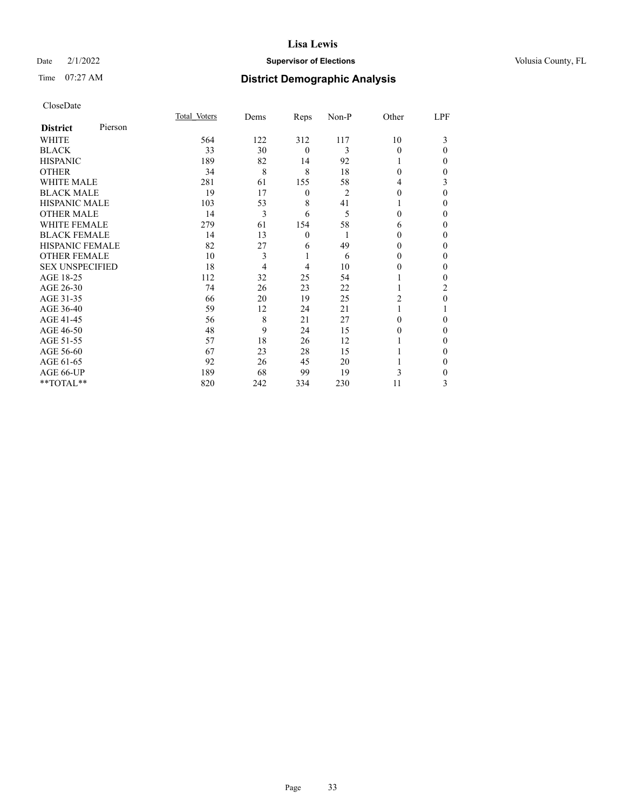## Date  $2/1/2022$  **Supervisor of Elections** Volusia County, FL

# Time 07:27 AM **District Demographic Analysis**

| CloseDate |
|-----------|
|-----------|

|                        |         | Total Voters | Dems | Reps             | Non-P          | Other    | LPF      |
|------------------------|---------|--------------|------|------------------|----------------|----------|----------|
| <b>District</b>        | Pierson |              |      |                  |                |          |          |
| WHITE                  |         | 564          | 122  | 312              | 117            | 10       | 3        |
| <b>BLACK</b>           |         | 33           | 30   | $\mathbf{0}$     | 3              | $\theta$ | $\theta$ |
| <b>HISPANIC</b>        |         | 189          | 82   | 14               | 92             |          | 0        |
| <b>OTHER</b>           |         | 34           | 8    | 8                | 18             | $\Omega$ | 0        |
| <b>WHITE MALE</b>      |         | 281          | 61   | 155              | 58             | 4        | 3        |
| <b>BLACK MALE</b>      |         | 19           | 17   | $\boldsymbol{0}$ | $\overline{2}$ | $\Omega$ | $\Omega$ |
| <b>HISPANIC MALE</b>   |         | 103          | 53   | 8                | 41             |          | 0        |
| <b>OTHER MALE</b>      |         | 14           | 3    | 6                | 5              | $\Omega$ | 0        |
| <b>WHITE FEMALE</b>    |         | 279          | 61   | 154              | 58             | 6        | 0        |
| <b>BLACK FEMALE</b>    |         | 14           | 13   | $\mathbf{0}$     | 1              | $\Omega$ | 0        |
| HISPANIC FEMALE        |         | 82           | 27   | 6                | 49             | 0        | 0        |
| <b>OTHER FEMALE</b>    |         | 10           | 3    | 1                | 6              | 0        | 0        |
| <b>SEX UNSPECIFIED</b> |         | 18           | 4    | $\overline{4}$   | 10             | $\Omega$ | 0        |
| AGE 18-25              |         | 112          | 32   | 25               | 54             |          | 0        |
| AGE 26-30              |         | 74           | 26   | 23               | 22             |          | 2        |
| AGE 31-35              |         | 66           | 20   | 19               | 25             | 2        | 0        |
| AGE 36-40              |         | 59           | 12   | 24               | 21             |          |          |
| AGE 41-45              |         | 56           | 8    | 21               | 27             | 0        | 0        |
| AGE 46-50              |         | 48           | 9    | 24               | 15             | 0        | 0        |
| AGE 51-55              |         | 57           | 18   | 26               | 12             |          | 0        |
| AGE 56-60              |         | 67           | 23   | 28               | 15             |          | 0        |
| AGE 61-65              |         | 92           | 26   | 45               | 20             |          | 0        |
| AGE 66-UP              |         | 189          | 68   | 99               | 19             | 3        | 0        |
| **TOTAL**              |         | 820          | 242  | 334              | 230            | 11       | 3        |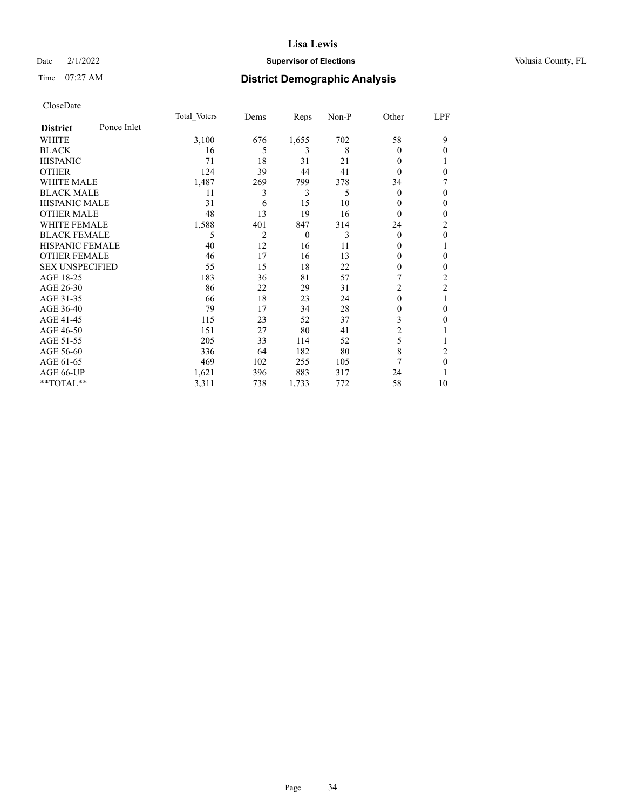## Date  $2/1/2022$  **Supervisor of Elections** Volusia County, FL

# Time 07:27 AM **District Demographic Analysis**

|                        |             | Total Voters | Dems           | Reps     | Non-P | Other          | LPF            |
|------------------------|-------------|--------------|----------------|----------|-------|----------------|----------------|
| <b>District</b>        | Ponce Inlet |              |                |          |       |                |                |
| WHITE                  |             | 3,100        | 676            | 1,655    | 702   | 58             | 9              |
| <b>BLACK</b>           |             | 16           | 5              | 3        | 8     | $\theta$       | $\theta$       |
| <b>HISPANIC</b>        |             | 71           | 18             | 31       | 21    | $\theta$       |                |
| <b>OTHER</b>           |             | 124          | 39             | 44       | 41    | $\theta$       | $\theta$       |
| <b>WHITE MALE</b>      |             | 1,487        | 269            | 799      | 378   | 34             | 7              |
| <b>BLACK MALE</b>      |             | 11           | 3              | 3        | 5     | $\theta$       | $\theta$       |
| <b>HISPANIC MALE</b>   |             | 31           | 6              | 15       | 10    | 0              | $\mathbf{0}$   |
| <b>OTHER MALE</b>      |             | 48           | 13             | 19       | 16    | $\theta$       | $\mathbf{0}$   |
| <b>WHITE FEMALE</b>    |             | 1,588        | 401            | 847      | 314   | 24             | $\overline{2}$ |
| <b>BLACK FEMALE</b>    |             | 5            | $\overline{2}$ | $\theta$ | 3     | $\theta$       | $\mathbf{0}$   |
| <b>HISPANIC FEMALE</b> |             | 40           | 12             | 16       | 11    | 0              | 1              |
| <b>OTHER FEMALE</b>    |             | 46           | 17             | 16       | 13    | 0              | $\theta$       |
| <b>SEX UNSPECIFIED</b> |             | 55           | 15             | 18       | 22    | 0              | $\mathbf{0}$   |
| AGE 18-25              |             | 183          | 36             | 81       | 57    | 7              | $\overline{2}$ |
| AGE 26-30              |             | 86           | 22             | 29       | 31    | 2              | $\overline{c}$ |
| AGE 31-35              |             | 66           | 18             | 23       | 24    | 0              | 1              |
| AGE 36-40              |             | 79           | 17             | 34       | 28    | 0              | $\mathbf{0}$   |
| AGE 41-45              |             | 115          | 23             | 52       | 37    | 3              | $\overline{0}$ |
| AGE 46-50              |             | 151          | 27             | 80       | 41    | $\overline{2}$ | 1              |
| AGE 51-55              |             | 205          | 33             | 114      | 52    | 5              | 1              |
| AGE 56-60              |             | 336          | 64             | 182      | 80    | 8              | 2              |
| AGE 61-65              |             | 469          | 102            | 255      | 105   | 7              | $\mathbf{0}$   |
| AGE 66-UP              |             | 1,621        | 396            | 883      | 317   | 24             |                |
| **TOTAL**              |             | 3,311        | 738            | 1,733    | 772   | 58             | 10             |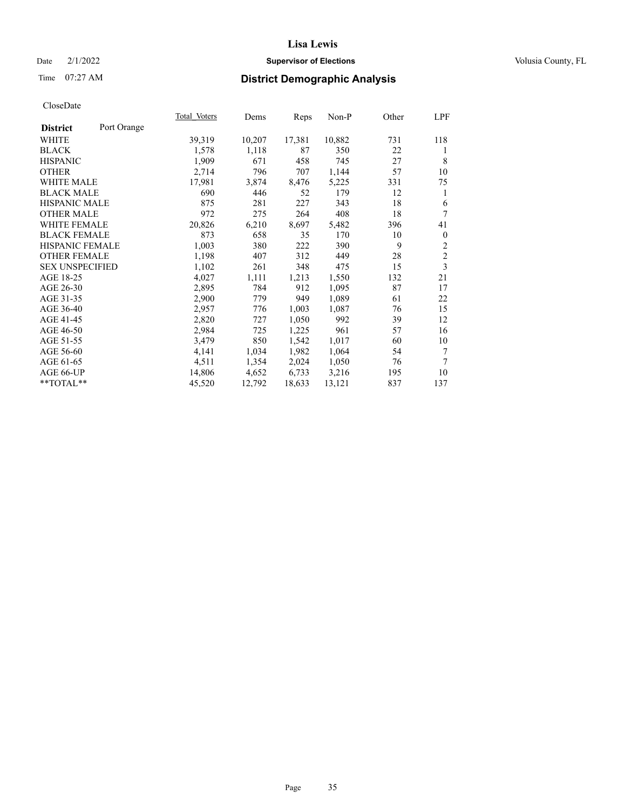## Date  $2/1/2022$  **Supervisor of Elections** Volusia County, FL

# Time 07:27 AM **District Demographic Analysis**

|                        |             | Total Voters | Dems   | Reps   | Non-P  | Other | LPF            |
|------------------------|-------------|--------------|--------|--------|--------|-------|----------------|
| <b>District</b>        | Port Orange |              |        |        |        |       |                |
| WHITE                  |             | 39,319       | 10,207 | 17,381 | 10,882 | 731   | 118            |
| <b>BLACK</b>           |             | 1,578        | 1,118  | 87     | 350    | 22    | 1              |
| <b>HISPANIC</b>        |             | 1,909        | 671    | 458    | 745    | 27    | 8              |
| <b>OTHER</b>           |             | 2,714        | 796    | 707    | 1,144  | 57    | 10             |
| WHITE MALE             |             | 17,981       | 3,874  | 8,476  | 5,225  | 331   | 75             |
| <b>BLACK MALE</b>      |             | 690          | 446    | 52     | 179    | 12    | 1              |
| <b>HISPANIC MALE</b>   |             | 875          | 281    | 227    | 343    | 18    | 6              |
| <b>OTHER MALE</b>      |             | 972          | 275    | 264    | 408    | 18    | 7              |
| <b>WHITE FEMALE</b>    |             | 20,826       | 6,210  | 8,697  | 5,482  | 396   | 41             |
| <b>BLACK FEMALE</b>    |             | 873          | 658    | 35     | 170    | 10    | $\mathbf{0}$   |
| HISPANIC FEMALE        |             | 1,003        | 380    | 222    | 390    | 9     | 2              |
| <b>OTHER FEMALE</b>    |             | 1,198        | 407    | 312    | 449    | 28    | $\overline{2}$ |
| <b>SEX UNSPECIFIED</b> |             | 1,102        | 261    | 348    | 475    | 15    | 3              |
| AGE 18-25              |             | 4,027        | 1,111  | 1,213  | 1,550  | 132   | 21             |
| AGE 26-30              |             | 2,895        | 784    | 912    | 1,095  | 87    | 17             |
| AGE 31-35              |             | 2,900        | 779    | 949    | 1,089  | 61    | 22             |
| AGE 36-40              |             | 2,957        | 776    | 1,003  | 1,087  | 76    | 15             |
| AGE 41-45              |             | 2,820        | 727    | 1,050  | 992    | 39    | 12             |
| AGE 46-50              |             | 2,984        | 725    | 1,225  | 961    | 57    | 16             |
| AGE 51-55              |             | 3,479        | 850    | 1,542  | 1,017  | 60    | 10             |
| AGE 56-60              |             | 4,141        | 1,034  | 1,982  | 1,064  | 54    | 7              |
| AGE 61-65              |             | 4,511        | 1,354  | 2,024  | 1,050  | 76    | 7              |
| AGE 66-UP              |             | 14,806       | 4,652  | 6,733  | 3,216  | 195   | 10             |
| **TOTAL**              |             | 45,520       | 12,792 | 18,633 | 13,121 | 837   | 137            |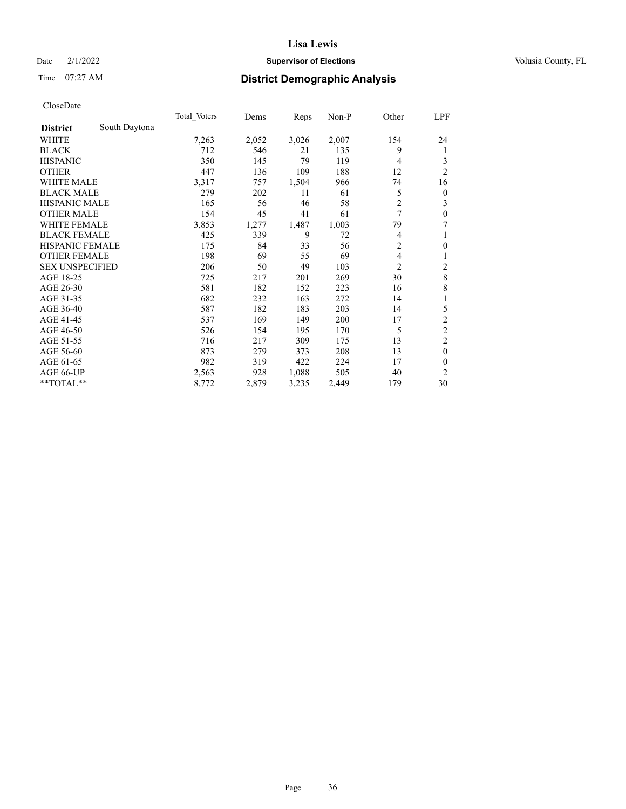## Date  $2/1/2022$  **Supervisor of Elections** Volusia County, FL

# Time 07:27 AM **District Demographic Analysis**

|                        |               | Total Voters | Dems  | Reps  | Non-P | Other          | LPF            |
|------------------------|---------------|--------------|-------|-------|-------|----------------|----------------|
| <b>District</b>        | South Daytona |              |       |       |       |                |                |
| WHITE                  |               | 7,263        | 2,052 | 3,026 | 2,007 | 154            | 24             |
| <b>BLACK</b>           |               | 712          | 546   | 21    | 135   | 9              | 1              |
| <b>HISPANIC</b>        |               | 350          | 145   | 79    | 119   | 4              | 3              |
| <b>OTHER</b>           |               | 447          | 136   | 109   | 188   | 12             | $\overline{2}$ |
| <b>WHITE MALE</b>      |               | 3,317        | 757   | 1,504 | 966   | 74             | 16             |
| <b>BLACK MALE</b>      |               | 279          | 202   | 11    | 61    | 5              | $\overline{0}$ |
| <b>HISPANIC MALE</b>   |               | 165          | 56    | 46    | 58    | $\overline{c}$ | 3              |
| <b>OTHER MALE</b>      |               | 154          | 45    | 41    | 61    | 7              | $\theta$       |
| <b>WHITE FEMALE</b>    |               | 3,853        | 1,277 | 1,487 | 1,003 | 79             | 7              |
| <b>BLACK FEMALE</b>    |               | 425          | 339   | 9     | 72    | 4              | 1              |
| <b>HISPANIC FEMALE</b> |               | 175          | 84    | 33    | 56    | $\overline{c}$ | $\mathbf{0}$   |
| <b>OTHER FEMALE</b>    |               | 198          | 69    | 55    | 69    | 4              | 1              |
| <b>SEX UNSPECIFIED</b> |               | 206          | 50    | 49    | 103   | $\overline{2}$ | $\overline{c}$ |
| AGE 18-25              |               | 725          | 217   | 201   | 269   | 30             | $\,8\,$        |
| AGE 26-30              |               | 581          | 182   | 152   | 223   | 16             | 8              |
| AGE 31-35              |               | 682          | 232   | 163   | 272   | 14             | 1              |
| AGE 36-40              |               | 587          | 182   | 183   | 203   | 14             | 5              |
| AGE 41-45              |               | 537          | 169   | 149   | 200   | 17             | $\overline{c}$ |
| AGE 46-50              |               | 526          | 154   | 195   | 170   | 5              | $\overline{c}$ |
| AGE 51-55              |               | 716          | 217   | 309   | 175   | 13             | $\overline{c}$ |
| AGE 56-60              |               | 873          | 279   | 373   | 208   | 13             | $\theta$       |
| AGE 61-65              |               | 982          | 319   | 422   | 224   | 17             | $\theta$       |
| AGE 66-UP              |               | 2,563        | 928   | 1,088 | 505   | 40             | $\overline{2}$ |
| **TOTAL**              |               | 8,772        | 2,879 | 3,235 | 2,449 | 179            | 30             |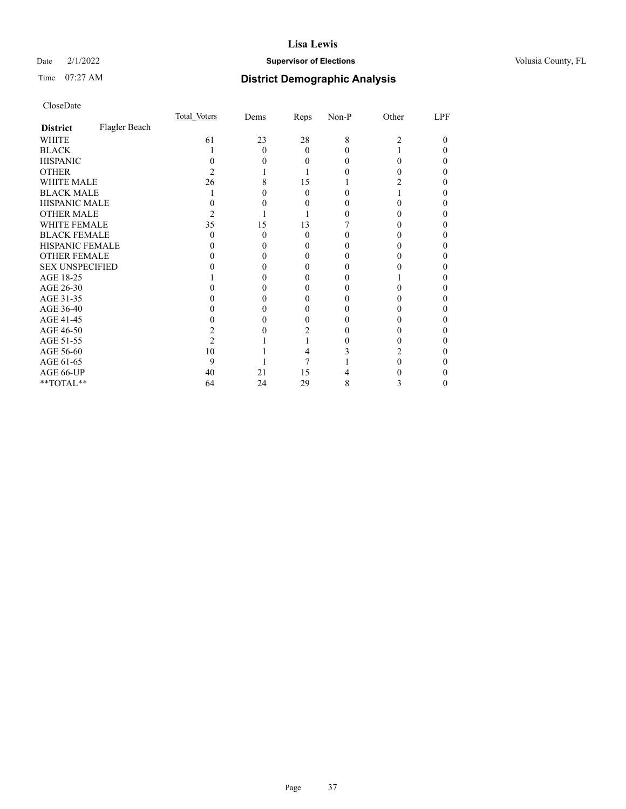## Date  $2/1/2022$  **Supervisor of Elections** Volusia County, FL

# Time 07:27 AM **District Demographic Analysis**

|                        |               | Total Voters | Dems | Reps     | Non-P | Other | LPF |
|------------------------|---------------|--------------|------|----------|-------|-------|-----|
| <b>District</b>        | Flagler Beach |              |      |          |       |       |     |
| WHITE                  |               | 61           | 23   | 28       | 8     | 2     | 0   |
| <b>BLACK</b>           |               |              | 0    | $\theta$ |       |       |     |
| <b>HISPANIC</b>        |               |              |      | 0        |       | 0     |     |
| <b>OTHER</b>           |               |              |      |          |       |       |     |
| WHITE MALE             |               | 26           |      | 15       |       |       |     |
| <b>BLACK MALE</b>      |               |              |      | 0        |       |       |     |
| <b>HISPANIC MALE</b>   |               |              |      |          |       |       |     |
| <b>OTHER MALE</b>      |               | 2            |      |          |       |       |     |
| WHITE FEMALE           |               | 35           | 15   | 13       |       |       |     |
| <b>BLACK FEMALE</b>    |               | $\theta$     | 0    | $\theta$ |       |       |     |
| HISPANIC FEMALE        |               |              |      |          |       |       |     |
| <b>OTHER FEMALE</b>    |               |              |      | $_{0}$   |       |       |     |
| <b>SEX UNSPECIFIED</b> |               |              |      |          |       |       |     |
| AGE 18-25              |               |              |      |          |       |       |     |
| AGE 26-30              |               |              |      |          |       |       |     |
| AGE 31-35              |               |              |      |          |       |       |     |
| AGE 36-40              |               |              |      | 0        |       |       |     |
| AGE 41-45              |               |              |      |          |       |       |     |
| AGE 46-50              |               |              |      |          |       |       |     |
| AGE 51-55              |               |              |      |          |       |       |     |
| AGE 56-60              |               | 10           |      |          |       |       |     |
| AGE 61-65              |               | 9            |      |          |       |       |     |
| AGE 66-UP              |               | 40           | 21   | 15       |       |       |     |
| **TOTAL**              |               | 64           | 24   | 29       | 8     | 3     |     |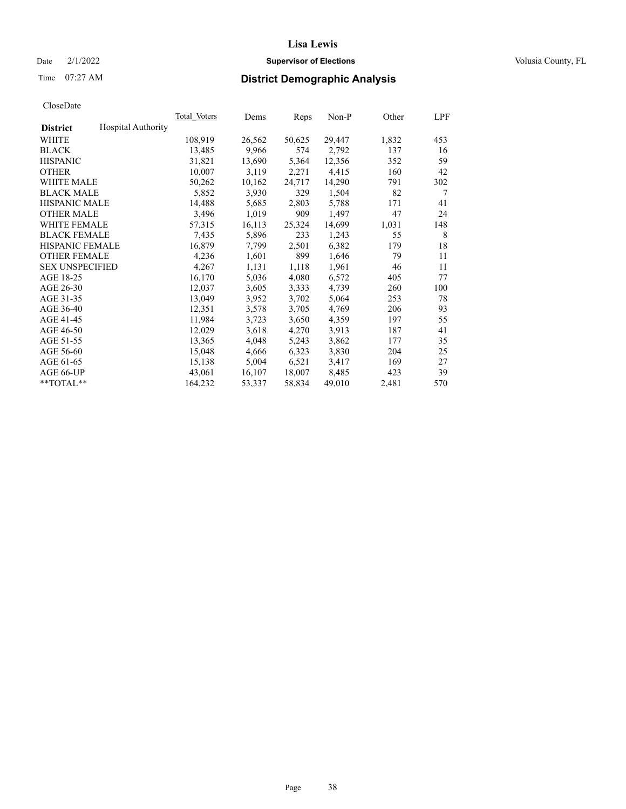## Date  $2/1/2022$  **Supervisor of Elections** Volusia County, FL

# Time 07:27 AM **District Demographic Analysis**

|                        |                           | Total Voters | Dems   | Reps   | Non-P  | Other | LPF |
|------------------------|---------------------------|--------------|--------|--------|--------|-------|-----|
| <b>District</b>        | <b>Hospital Authority</b> |              |        |        |        |       |     |
| WHITE                  |                           | 108,919      | 26,562 | 50,625 | 29,447 | 1,832 | 453 |
| <b>BLACK</b>           |                           | 13,485       | 9,966  | 574    | 2,792  | 137   | 16  |
| <b>HISPANIC</b>        |                           | 31,821       | 13,690 | 5,364  | 12,356 | 352   | 59  |
| <b>OTHER</b>           |                           | 10,007       | 3,119  | 2,271  | 4,415  | 160   | 42  |
| WHITE MALE             |                           | 50,262       | 10,162 | 24,717 | 14,290 | 791   | 302 |
| <b>BLACK MALE</b>      |                           | 5,852        | 3,930  | 329    | 1,504  | 82    | 7   |
| <b>HISPANIC MALE</b>   |                           | 14,488       | 5,685  | 2,803  | 5,788  | 171   | 41  |
| <b>OTHER MALE</b>      |                           | 3,496        | 1,019  | 909    | 1,497  | 47    | 24  |
| <b>WHITE FEMALE</b>    |                           | 57,315       | 16,113 | 25,324 | 14,699 | 1,031 | 148 |
| <b>BLACK FEMALE</b>    |                           | 7,435        | 5,896  | 233    | 1,243  | 55    | 8   |
| <b>HISPANIC FEMALE</b> |                           | 16,879       | 7,799  | 2,501  | 6,382  | 179   | 18  |
| <b>OTHER FEMALE</b>    |                           | 4,236        | 1,601  | 899    | 1,646  | 79    | 11  |
| <b>SEX UNSPECIFIED</b> |                           | 4,267        | 1,131  | 1,118  | 1,961  | 46    | 11  |
| AGE 18-25              |                           | 16,170       | 5,036  | 4,080  | 6,572  | 405   | 77  |
| AGE 26-30              |                           | 12,037       | 3,605  | 3,333  | 4,739  | 260   | 100 |
| AGE 31-35              |                           | 13,049       | 3,952  | 3,702  | 5,064  | 253   | 78  |
| AGE 36-40              |                           | 12,351       | 3,578  | 3,705  | 4,769  | 206   | 93  |
| AGE 41-45              |                           | 11,984       | 3,723  | 3,650  | 4,359  | 197   | 55  |
| AGE 46-50              |                           | 12,029       | 3,618  | 4,270  | 3,913  | 187   | 41  |
| AGE 51-55              |                           | 13,365       | 4,048  | 5,243  | 3,862  | 177   | 35  |
| AGE 56-60              |                           | 15,048       | 4,666  | 6,323  | 3,830  | 204   | 25  |
| AGE 61-65              |                           | 15,138       | 5,004  | 6,521  | 3,417  | 169   | 27  |
| AGE 66-UP              |                           | 43,061       | 16,107 | 18,007 | 8,485  | 423   | 39  |
| $*$ TOTAL $*$          |                           | 164,232      | 53,337 | 58,834 | 49,010 | 2,481 | 570 |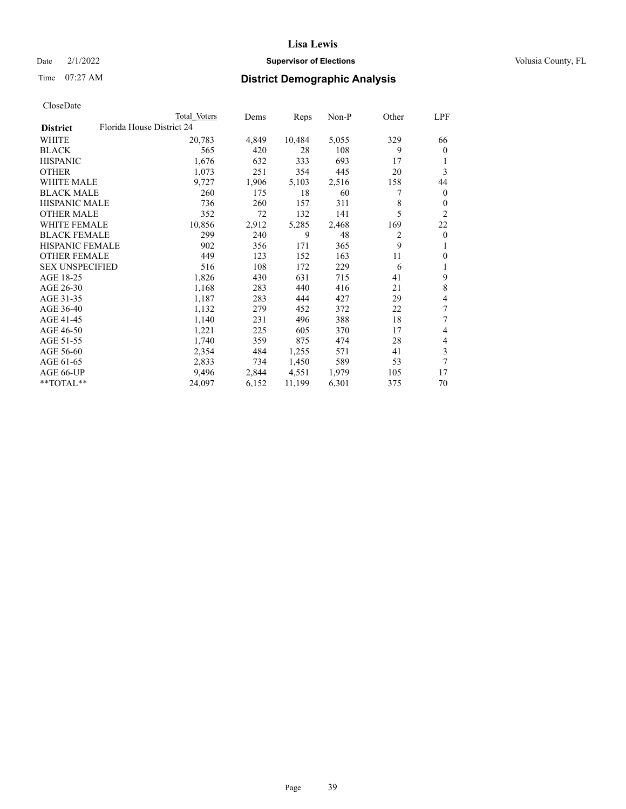## Date  $2/1/2022$  **Supervisor of Elections** Volusia County, FL

|                        |                           | Total Voters | Dems  | Reps   | Non-P | Other | LPF            |
|------------------------|---------------------------|--------------|-------|--------|-------|-------|----------------|
| <b>District</b>        | Florida House District 24 |              |       |        |       |       |                |
| WHITE                  |                           | 20,783       | 4,849 | 10,484 | 5,055 | 329   | 66             |
| <b>BLACK</b>           |                           | 565          | 420   | 28     | 108   | 9     | $\mathbf{0}$   |
| <b>HISPANIC</b>        |                           | 1,676        | 632   | 333    | 693   | 17    | 1              |
| <b>OTHER</b>           |                           | 1,073        | 251   | 354    | 445   | 20    | 3              |
| <b>WHITE MALE</b>      |                           | 9,727        | 1,906 | 5,103  | 2,516 | 158   | 44             |
| <b>BLACK MALE</b>      |                           | 260          | 175   | 18     | 60    | 7     | $\mathbf{0}$   |
| <b>HISPANIC MALE</b>   |                           | 736          | 260   | 157    | 311   | 8     | $\theta$       |
| <b>OTHER MALE</b>      |                           | 352          | 72    | 132    | 141   | 5     | $\overline{2}$ |
| <b>WHITE FEMALE</b>    |                           | 10,856       | 2,912 | 5,285  | 2,468 | 169   | 22             |
| <b>BLACK FEMALE</b>    |                           | 299          | 240   | 9      | 48    | 2     | $\mathbf{0}$   |
| <b>HISPANIC FEMALE</b> |                           | 902          | 356   | 171    | 365   | 9     | 1              |
| <b>OTHER FEMALE</b>    |                           | 449          | 123   | 152    | 163   | 11    | $\mathbf{0}$   |
| <b>SEX UNSPECIFIED</b> |                           | 516          | 108   | 172    | 229   | 6     | 1              |
| AGE 18-25              |                           | 1,826        | 430   | 631    | 715   | 41    | 9              |
| AGE 26-30              |                           | 1,168        | 283   | 440    | 416   | 21    | 8              |
| AGE 31-35              |                           | 1,187        | 283   | 444    | 427   | 29    | 4              |
| AGE 36-40              |                           | 1,132        | 279   | 452    | 372   | 22    | 7              |
| AGE 41-45              |                           | 1,140        | 231   | 496    | 388   | 18    | 7              |
| AGE 46-50              |                           | 1,221        | 225   | 605    | 370   | 17    | 4              |
| AGE 51-55              |                           | 1,740        | 359   | 875    | 474   | 28    | 4              |
| AGE 56-60              |                           | 2,354        | 484   | 1,255  | 571   | 41    | 3              |
| AGE 61-65              |                           | 2,833        | 734   | 1,450  | 589   | 53    | 7              |
| AGE 66-UP              |                           | 9,496        | 2,844 | 4,551  | 1,979 | 105   | 17             |
| **TOTAL**              |                           | 24,097       | 6,152 | 11,199 | 6,301 | 375   | 70             |
|                        |                           |              |       |        |       |       |                |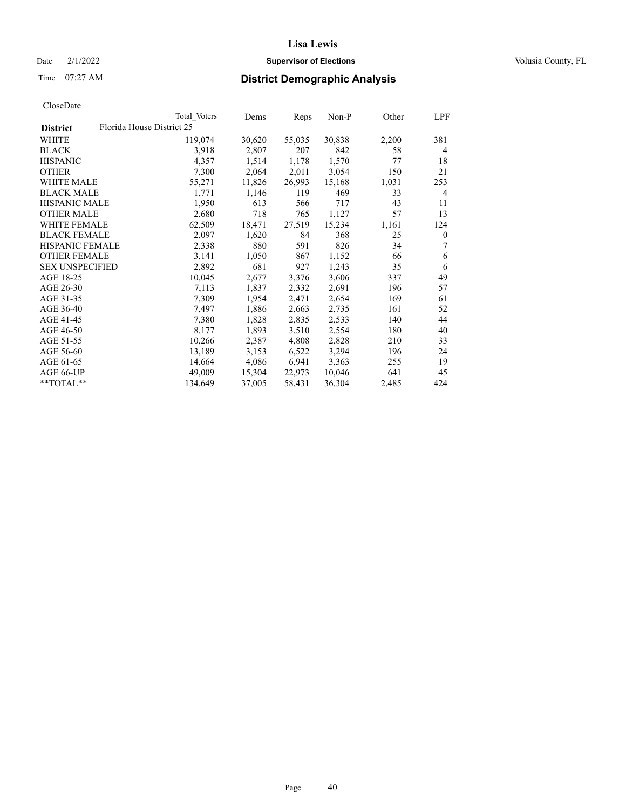## Date  $2/1/2022$  **Supervisor of Elections** Volusia County, FL

| CloseDate |
|-----------|
|-----------|

|                        |                           | Total Voters | Dems   | Reps   | Non-P  | Other | LPF              |
|------------------------|---------------------------|--------------|--------|--------|--------|-------|------------------|
| <b>District</b>        | Florida House District 25 |              |        |        |        |       |                  |
| WHITE                  |                           | 119,074      | 30,620 | 55,035 | 30,838 | 2,200 | 381              |
| <b>BLACK</b>           |                           | 3,918        | 2,807  | 207    | 842    | 58    | 4                |
| <b>HISPANIC</b>        |                           | 4,357        | 1,514  | 1,178  | 1,570  | 77    | 18               |
| <b>OTHER</b>           |                           | 7,300        | 2,064  | 2,011  | 3,054  | 150   | 21               |
| <b>WHITE MALE</b>      |                           | 55,271       | 11,826 | 26,993 | 15,168 | 1,031 | 253              |
| <b>BLACK MALE</b>      |                           | 1,771        | 1,146  | 119    | 469    | 33    | 4                |
| <b>HISPANIC MALE</b>   |                           | 1,950        | 613    | 566    | 717    | 43    | 11               |
| <b>OTHER MALE</b>      |                           | 2,680        | 718    | 765    | 1,127  | 57    | 13               |
| <b>WHITE FEMALE</b>    |                           | 62,509       | 18,471 | 27,519 | 15,234 | 1,161 | 124              |
| <b>BLACK FEMALE</b>    |                           | 2,097        | 1,620  | 84     | 368    | 25    | $\boldsymbol{0}$ |
| <b>HISPANIC FEMALE</b> |                           | 2,338        | 880    | 591    | 826    | 34    | 7                |
| <b>OTHER FEMALE</b>    |                           | 3,141        | 1,050  | 867    | 1,152  | 66    | 6                |
| <b>SEX UNSPECIFIED</b> |                           | 2,892        | 681    | 927    | 1,243  | 35    | 6                |
| AGE 18-25              |                           | 10,045       | 2,677  | 3,376  | 3,606  | 337   | 49               |
| AGE 26-30              |                           | 7,113        | 1,837  | 2,332  | 2,691  | 196   | 57               |
| AGE 31-35              |                           | 7,309        | 1,954  | 2,471  | 2,654  | 169   | 61               |
| AGE 36-40              |                           | 7,497        | 1,886  | 2,663  | 2,735  | 161   | 52               |
| AGE 41-45              |                           | 7,380        | 1,828  | 2,835  | 2,533  | 140   | 44               |
| AGE 46-50              |                           | 8,177        | 1,893  | 3,510  | 2,554  | 180   | 40               |
| AGE 51-55              |                           | 10,266       | 2,387  | 4,808  | 2,828  | 210   | 33               |
| AGE 56-60              |                           | 13,189       | 3,153  | 6,522  | 3,294  | 196   | 24               |
| AGE 61-65              |                           | 14,664       | 4,086  | 6,941  | 3,363  | 255   | 19               |
| AGE 66-UP              |                           | 49,009       | 15,304 | 22,973 | 10,046 | 641   | 45               |
| **TOTAL**              |                           | 134,649      | 37,005 | 58,431 | 36,304 | 2,485 | 424              |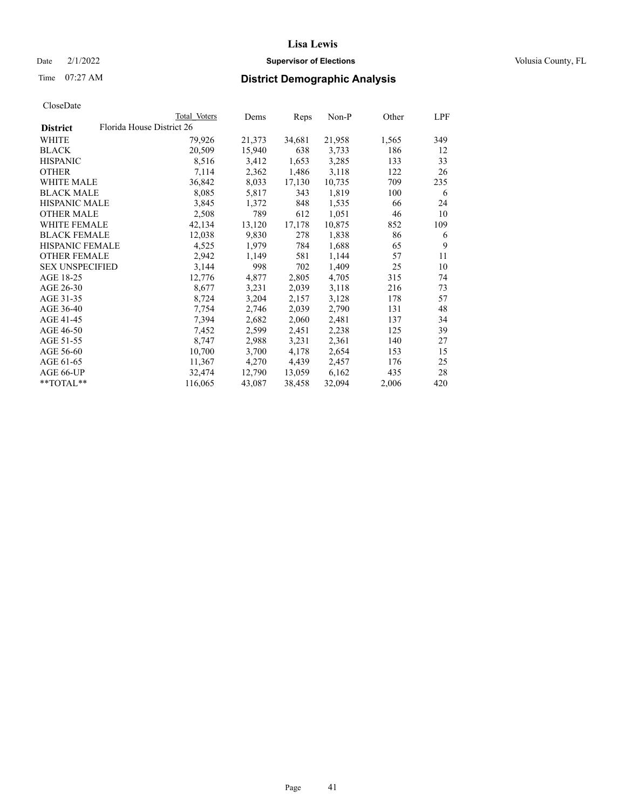## Date  $2/1/2022$  **Supervisor of Elections** Volusia County, FL

|                                              | Total Voters | Dems   | Reps   | Non-P  | Other | LPF |
|----------------------------------------------|--------------|--------|--------|--------|-------|-----|
| Florida House District 26<br><b>District</b> |              |        |        |        |       |     |
| WHITE                                        | 79,926       | 21,373 | 34,681 | 21,958 | 1,565 | 349 |
| <b>BLACK</b>                                 | 20,509       | 15,940 | 638    | 3,733  | 186   | 12  |
| <b>HISPANIC</b>                              | 8,516        | 3,412  | 1,653  | 3,285  | 133   | 33  |
| <b>OTHER</b>                                 | 7,114        | 2,362  | 1,486  | 3,118  | 122   | 26  |
| WHITE MALE                                   | 36,842       | 8,033  | 17,130 | 10,735 | 709   | 235 |
| <b>BLACK MALE</b>                            | 8,085        | 5,817  | 343    | 1,819  | 100   | 6   |
| <b>HISPANIC MALE</b>                         | 3,845        | 1,372  | 848    | 1,535  | 66    | 24  |
| <b>OTHER MALE</b>                            | 2,508        | 789    | 612    | 1,051  | 46    | 10  |
| <b>WHITE FEMALE</b>                          | 42,134       | 13,120 | 17,178 | 10,875 | 852   | 109 |
| <b>BLACK FEMALE</b>                          | 12,038       | 9,830  | 278    | 1,838  | 86    | 6   |
| <b>HISPANIC FEMALE</b>                       | 4,525        | 1,979  | 784    | 1,688  | 65    | 9   |
| <b>OTHER FEMALE</b>                          | 2,942        | 1,149  | 581    | 1,144  | 57    | 11  |
| <b>SEX UNSPECIFIED</b>                       | 3,144        | 998    | 702    | 1,409  | 25    | 10  |
| AGE 18-25                                    | 12,776       | 4,877  | 2,805  | 4,705  | 315   | 74  |
| AGE 26-30                                    | 8,677        | 3,231  | 2,039  | 3,118  | 216   | 73  |
| AGE 31-35                                    | 8,724        | 3,204  | 2,157  | 3,128  | 178   | 57  |
| AGE 36-40                                    | 7,754        | 2,746  | 2,039  | 2,790  | 131   | 48  |
| AGE 41-45                                    | 7,394        | 2,682  | 2,060  | 2,481  | 137   | 34  |
| AGE 46-50                                    | 7,452        | 2,599  | 2,451  | 2,238  | 125   | 39  |
| AGE 51-55                                    | 8,747        | 2,988  | 3,231  | 2,361  | 140   | 27  |
| AGE 56-60                                    | 10,700       | 3,700  | 4,178  | 2,654  | 153   | 15  |
| AGE 61-65                                    | 11,367       | 4,270  | 4,439  | 2,457  | 176   | 25  |
| AGE 66-UP                                    | 32,474       | 12,790 | 13,059 | 6,162  | 435   | 28  |
| $*$ TOTAL $*$                                | 116,065      | 43,087 | 38,458 | 32,094 | 2,006 | 420 |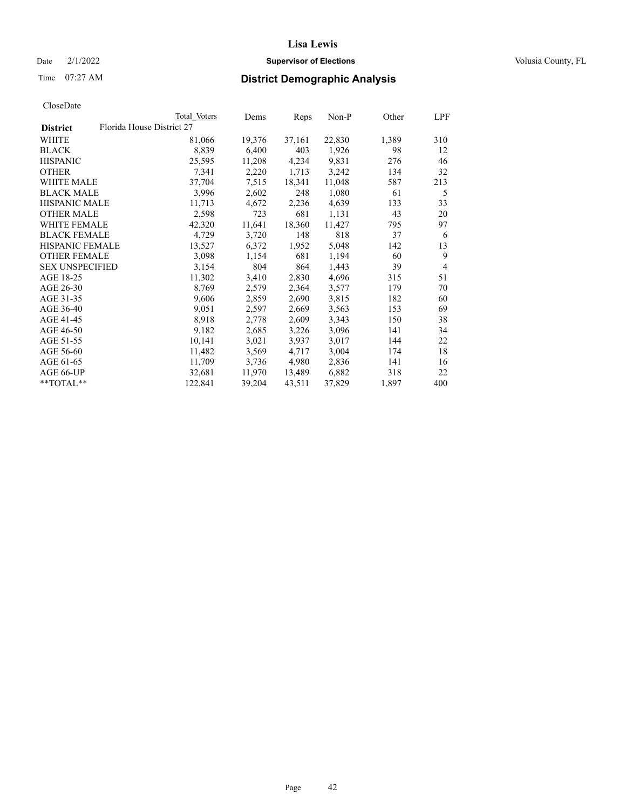## Date  $2/1/2022$  **Supervisor of Elections** Volusia County, FL

| CloseDate |
|-----------|
|-----------|

|                                              | Total Voters | Dems   | Reps   | Non-P  | Other | LPF            |
|----------------------------------------------|--------------|--------|--------|--------|-------|----------------|
| Florida House District 27<br><b>District</b> |              |        |        |        |       |                |
| WHITE                                        | 81,066       | 19,376 | 37,161 | 22,830 | 1,389 | 310            |
| <b>BLACK</b>                                 | 8,839        | 6,400  | 403    | 1,926  | 98    | 12             |
| <b>HISPANIC</b>                              | 25,595       | 11,208 | 4,234  | 9,831  | 276   | 46             |
| <b>OTHER</b>                                 | 7,341        | 2,220  | 1,713  | 3,242  | 134   | 32             |
| <b>WHITE MALE</b>                            | 37,704       | 7,515  | 18,341 | 11,048 | 587   | 213            |
| <b>BLACK MALE</b>                            | 3,996        | 2,602  | 248    | 1,080  | 61    | 5              |
| <b>HISPANIC MALE</b>                         | 11,713       | 4,672  | 2,236  | 4,639  | 133   | 33             |
| <b>OTHER MALE</b>                            | 2,598        | 723    | 681    | 1,131  | 43    | 20             |
| <b>WHITE FEMALE</b>                          | 42,320       | 11,641 | 18,360 | 11,427 | 795   | 97             |
| <b>BLACK FEMALE</b>                          | 4,729        | 3,720  | 148    | 818    | 37    | 6              |
| <b>HISPANIC FEMALE</b>                       | 13,527       | 6,372  | 1,952  | 5,048  | 142   | 13             |
| <b>OTHER FEMALE</b>                          | 3,098        | 1,154  | 681    | 1,194  | 60    | 9              |
| <b>SEX UNSPECIFIED</b>                       | 3,154        | 804    | 864    | 1,443  | 39    | $\overline{4}$ |
| AGE 18-25                                    | 11,302       | 3,410  | 2,830  | 4,696  | 315   | 51             |
| AGE 26-30                                    | 8,769        | 2,579  | 2,364  | 3,577  | 179   | 70             |
| AGE 31-35                                    | 9,606        | 2,859  | 2,690  | 3,815  | 182   | 60             |
| AGE 36-40                                    | 9,051        | 2,597  | 2,669  | 3,563  | 153   | 69             |
| AGE 41-45                                    | 8,918        | 2,778  | 2,609  | 3,343  | 150   | 38             |
| AGE 46-50                                    | 9,182        | 2,685  | 3,226  | 3,096  | 141   | 34             |
| AGE 51-55                                    | 10,141       | 3,021  | 3,937  | 3,017  | 144   | 22             |
| AGE 56-60                                    | 11,482       | 3,569  | 4,717  | 3,004  | 174   | 18             |
| AGE 61-65                                    | 11,709       | 3,736  | 4,980  | 2,836  | 141   | 16             |
| AGE 66-UP                                    | 32,681       | 11,970 | 13,489 | 6,882  | 318   | 22             |
| $*$ $TOTAL**$                                | 122,841      | 39,204 | 43,511 | 37,829 | 1,897 | 400            |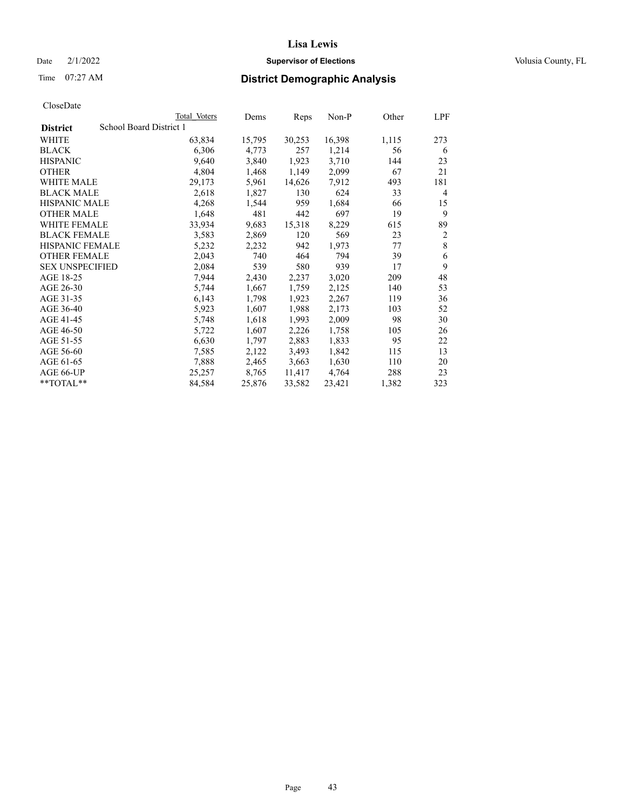## Date  $2/1/2022$  **Supervisor of Elections** Volusia County, FL

## Time 07:27 AM **District Demographic Analysis**

|                        | Total Voters            | Dems   | Reps   | Non-P  | Other | LPF            |
|------------------------|-------------------------|--------|--------|--------|-------|----------------|
| <b>District</b>        | School Board District 1 |        |        |        |       |                |
| WHITE                  | 63,834                  | 15,795 | 30,253 | 16,398 | 1,115 | 273            |
| <b>BLACK</b>           | 6,306                   | 4,773  | 257    | 1,214  | 56    | 6              |
| <b>HISPANIC</b>        | 9,640                   | 3,840  | 1,923  | 3,710  | 144   | 23             |
| <b>OTHER</b>           | 4,804                   | 1,468  | 1,149  | 2,099  | 67    | 21             |
| WHITE MALE             | 29,173                  | 5,961  | 14,626 | 7,912  | 493   | 181            |
| <b>BLACK MALE</b>      | 2,618                   | 1,827  | 130    | 624    | 33    | 4              |
| <b>HISPANIC MALE</b>   | 4,268                   | 1,544  | 959    | 1,684  | 66    | 15             |
| <b>OTHER MALE</b>      | 1,648                   | 481    | 442    | 697    | 19    | 9              |
| WHITE FEMALE           | 33,934                  | 9,683  | 15,318 | 8,229  | 615   | 89             |
| <b>BLACK FEMALE</b>    | 3,583                   | 2,869  | 120    | 569    | 23    | $\overline{2}$ |
| <b>HISPANIC FEMALE</b> | 5,232                   | 2,232  | 942    | 1,973  | 77    | 8              |
| <b>OTHER FEMALE</b>    | 2,043                   | 740    | 464    | 794    | 39    | 6              |
| <b>SEX UNSPECIFIED</b> | 2,084                   | 539    | 580    | 939    | 17    | 9              |
| AGE 18-25              | 7,944                   | 2,430  | 2,237  | 3,020  | 209   | 48             |
| AGE 26-30              | 5,744                   | 1,667  | 1,759  | 2,125  | 140   | 53             |
| AGE 31-35              | 6,143                   | 1,798  | 1,923  | 2,267  | 119   | 36             |
| AGE 36-40              | 5,923                   | 1,607  | 1,988  | 2,173  | 103   | 52             |
| AGE 41-45              | 5,748                   | 1,618  | 1,993  | 2,009  | 98    | 30             |
| AGE 46-50              | 5,722                   | 1,607  | 2,226  | 1,758  | 105   | 26             |
| AGE 51-55              | 6,630                   | 1,797  | 2,883  | 1,833  | 95    | 22             |
| AGE 56-60              | 7,585                   | 2,122  | 3,493  | 1,842  | 115   | 13             |
| AGE 61-65              | 7,888                   | 2,465  | 3,663  | 1,630  | 110   | 20             |
| AGE 66-UP              | 25,257                  | 8,765  | 11,417 | 4,764  | 288   | 23             |
| $*$ $TOTAL**$          | 84,584                  | 25,876 | 33,582 | 23,421 | 1,382 | 323            |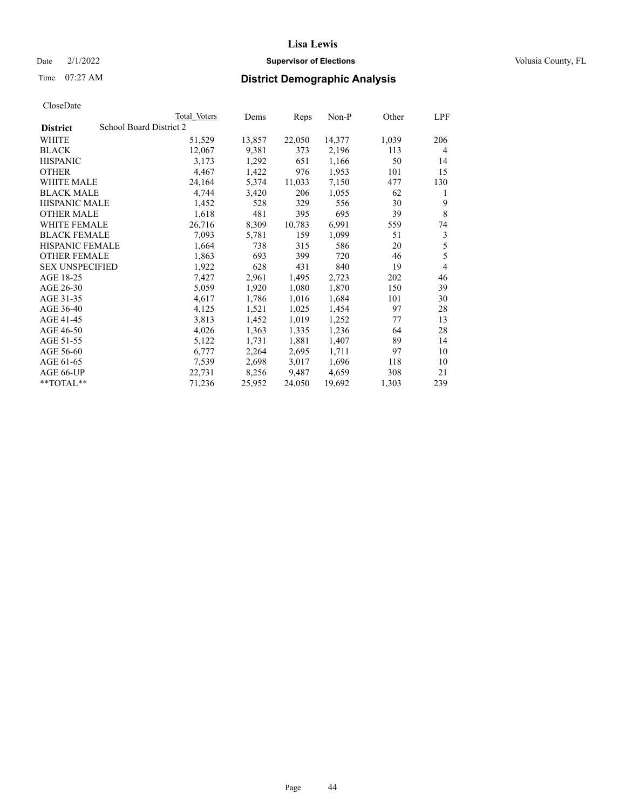## Date  $2/1/2022$  **Supervisor of Elections** Volusia County, FL

# Time 07:27 AM **District Demographic Analysis**

|                        | Total Voters            | Dems   | Reps   | Non-P  | Other | LPF |
|------------------------|-------------------------|--------|--------|--------|-------|-----|
| <b>District</b>        | School Board District 2 |        |        |        |       |     |
| WHITE                  | 51,529                  | 13,857 | 22,050 | 14,377 | 1,039 | 206 |
| <b>BLACK</b>           | 12,067                  | 9,381  | 373    | 2,196  | 113   | 4   |
| <b>HISPANIC</b>        | 3,173                   | 1,292  | 651    | 1,166  | 50    | 14  |
| <b>OTHER</b>           | 4,467                   | 1,422  | 976    | 1,953  | 101   | 15  |
| WHITE MALE             | 24,164                  | 5,374  | 11,033 | 7,150  | 477   | 130 |
| <b>BLACK MALE</b>      | 4,744                   | 3,420  | 206    | 1,055  | 62    | 1   |
| <b>HISPANIC MALE</b>   | 1,452                   | 528    | 329    | 556    | 30    | 9   |
| <b>OTHER MALE</b>      | 1,618                   | 481    | 395    | 695    | 39    | 8   |
| <b>WHITE FEMALE</b>    | 26,716                  | 8,309  | 10,783 | 6,991  | 559   | 74  |
| <b>BLACK FEMALE</b>    | 7,093                   | 5,781  | 159    | 1,099  | 51    | 3   |
| <b>HISPANIC FEMALE</b> | 1,664                   | 738    | 315    | 586    | 20    | 5   |
| <b>OTHER FEMALE</b>    | 1,863                   | 693    | 399    | 720    | 46    | 5   |
| <b>SEX UNSPECIFIED</b> | 1,922                   | 628    | 431    | 840    | 19    | 4   |
| AGE 18-25              | 7,427                   | 2,961  | 1,495  | 2,723  | 202   | 46  |
| AGE 26-30              | 5,059                   | 1,920  | 1,080  | 1,870  | 150   | 39  |
| AGE 31-35              | 4,617                   | 1,786  | 1,016  | 1,684  | 101   | 30  |
| AGE 36-40              | 4,125                   | 1,521  | 1,025  | 1,454  | 97    | 28  |
| AGE 41-45              | 3,813                   | 1,452  | 1,019  | 1,252  | 77    | 13  |
| AGE 46-50              | 4,026                   | 1,363  | 1,335  | 1,236  | 64    | 28  |
| AGE 51-55              | 5,122                   | 1,731  | 1,881  | 1,407  | 89    | 14  |
| AGE 56-60              | 6,777                   | 2,264  | 2,695  | 1,711  | 97    | 10  |
| AGE 61-65              | 7,539                   | 2,698  | 3,017  | 1,696  | 118   | 10  |
| AGE 66-UP              | 22,731                  | 8,256  | 9,487  | 4,659  | 308   | 21  |
| **TOTAL**              | 71,236                  | 25,952 | 24,050 | 19,692 | 1,303 | 239 |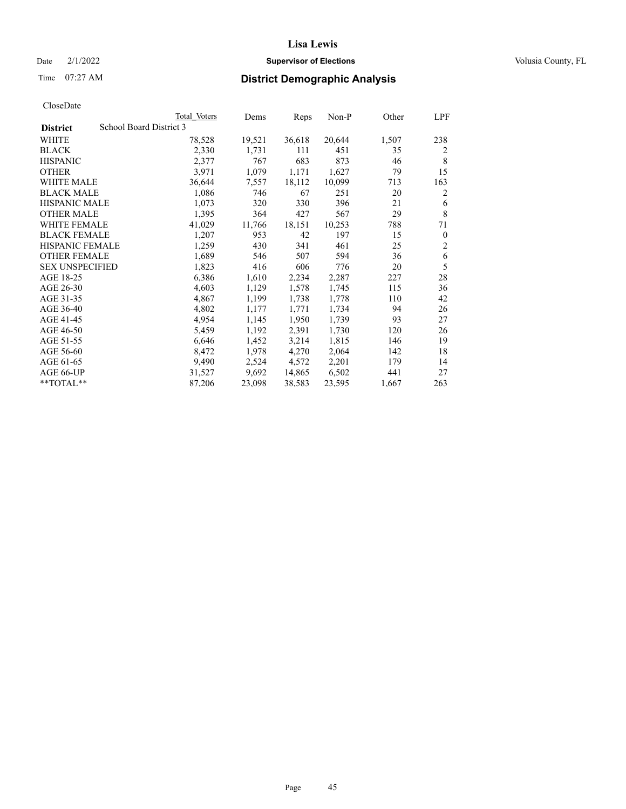## Date  $2/1/2022$  **Supervisor of Elections** Volusia County, FL

## Time 07:27 AM **District Demographic Analysis**

|                                            | Total Voters | Dems   | Reps   | Non-P  | Other | LPF            |
|--------------------------------------------|--------------|--------|--------|--------|-------|----------------|
| School Board District 3<br><b>District</b> |              |        |        |        |       |                |
| WHITE                                      | 78,528       | 19,521 | 36,618 | 20,644 | 1,507 | 238            |
| <b>BLACK</b>                               | 2,330        | 1,731  | 111    | 451    | 35    | 2              |
| <b>HISPANIC</b>                            | 2,377        | 767    | 683    | 873    | 46    | 8              |
| <b>OTHER</b>                               | 3,971        | 1,079  | 1,171  | 1,627  | 79    | 15             |
| WHITE MALE                                 | 36,644       | 7,557  | 18,112 | 10,099 | 713   | 163            |
| <b>BLACK MALE</b>                          | 1,086        | 746    | 67     | 251    | 20    | 2              |
| <b>HISPANIC MALE</b>                       | 1,073        | 320    | 330    | 396    | 21    | 6              |
| <b>OTHER MALE</b>                          | 1,395        | 364    | 427    | 567    | 29    | 8              |
| <b>WHITE FEMALE</b>                        | 41,029       | 11,766 | 18,151 | 10,253 | 788   | 71             |
| <b>BLACK FEMALE</b>                        | 1,207        | 953    | 42     | 197    | 15    | $\theta$       |
| <b>HISPANIC FEMALE</b>                     | 1,259        | 430    | 341    | 461    | 25    | $\overline{2}$ |
| <b>OTHER FEMALE</b>                        | 1,689        | 546    | 507    | 594    | 36    | 6              |
| <b>SEX UNSPECIFIED</b>                     | 1,823        | 416    | 606    | 776    | 20    | 5              |
| AGE 18-25                                  | 6,386        | 1,610  | 2,234  | 2,287  | 227   | 28             |
| AGE 26-30                                  | 4,603        | 1,129  | 1,578  | 1,745  | 115   | 36             |
| AGE 31-35                                  | 4,867        | 1,199  | 1,738  | 1,778  | 110   | 42             |
| AGE 36-40                                  | 4,802        | 1,177  | 1,771  | 1,734  | 94    | 26             |
| AGE 41-45                                  | 4,954        | 1,145  | 1,950  | 1,739  | 93    | 27             |
| AGE 46-50                                  | 5,459        | 1,192  | 2,391  | 1,730  | 120   | 26             |
| AGE 51-55                                  | 6,646        | 1,452  | 3,214  | 1,815  | 146   | 19             |
| AGE 56-60                                  | 8,472        | 1,978  | 4,270  | 2,064  | 142   | 18             |
| AGE 61-65                                  | 9,490        | 2,524  | 4,572  | 2,201  | 179   | 14             |
| AGE 66-UP                                  | 31,527       | 9,692  | 14,865 | 6,502  | 441   | 27             |
| $*$ $TOTAL**$                              | 87,206       | 23,098 | 38,583 | 23,595 | 1,667 | 263            |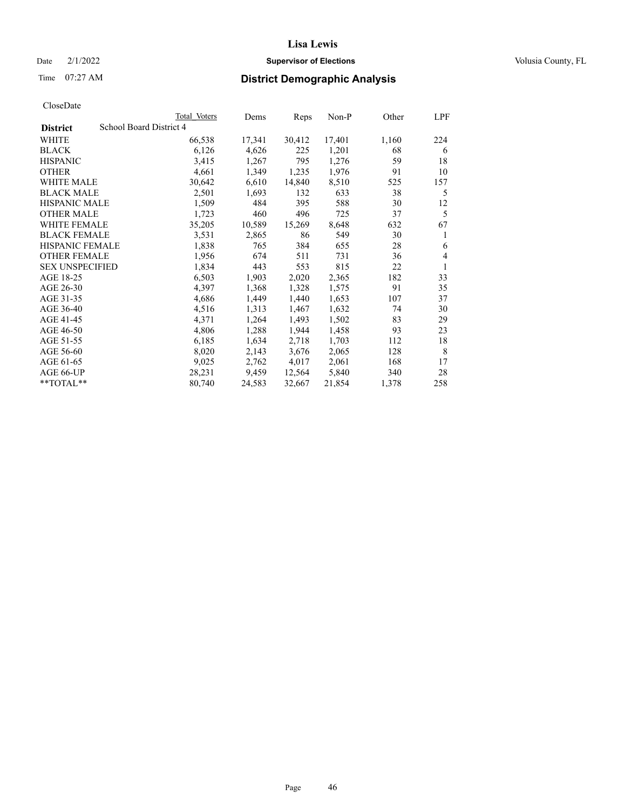## Date  $2/1/2022$  **Supervisor of Elections** Volusia County, FL

## Time 07:27 AM **District Demographic Analysis**

|                        |                         | Total Voters | Dems   | Reps   | Non-P  | Other | LPF |
|------------------------|-------------------------|--------------|--------|--------|--------|-------|-----|
| <b>District</b>        | School Board District 4 |              |        |        |        |       |     |
| WHITE                  |                         | 66,538       | 17,341 | 30,412 | 17,401 | 1,160 | 224 |
| <b>BLACK</b>           |                         | 6,126        | 4,626  | 225    | 1,201  | 68    | 6   |
| <b>HISPANIC</b>        |                         | 3,415        | 1,267  | 795    | 1,276  | 59    | 18  |
| <b>OTHER</b>           |                         | 4,661        | 1,349  | 1,235  | 1,976  | 91    | 10  |
| WHITE MALE             |                         | 30,642       | 6,610  | 14,840 | 8,510  | 525   | 157 |
| <b>BLACK MALE</b>      |                         | 2,501        | 1,693  | 132    | 633    | 38    | 5   |
| <b>HISPANIC MALE</b>   |                         | 1,509        | 484    | 395    | 588    | 30    | 12  |
| <b>OTHER MALE</b>      |                         | 1,723        | 460    | 496    | 725    | 37    | 5   |
| <b>WHITE FEMALE</b>    |                         | 35,205       | 10,589 | 15,269 | 8,648  | 632   | 67  |
| <b>BLACK FEMALE</b>    |                         | 3,531        | 2,865  | 86     | 549    | 30    | 1   |
| <b>HISPANIC FEMALE</b> |                         | 1,838        | 765    | 384    | 655    | 28    | 6   |
| <b>OTHER FEMALE</b>    |                         | 1,956        | 674    | 511    | 731    | 36    | 4   |
| <b>SEX UNSPECIFIED</b> |                         | 1,834        | 443    | 553    | 815    | 22    | 1   |
| AGE 18-25              |                         | 6,503        | 1,903  | 2,020  | 2,365  | 182   | 33  |
| AGE 26-30              |                         | 4,397        | 1,368  | 1,328  | 1,575  | 91    | 35  |
| AGE 31-35              |                         | 4,686        | 1,449  | 1,440  | 1,653  | 107   | 37  |
| AGE 36-40              |                         | 4,516        | 1,313  | 1,467  | 1,632  | 74    | 30  |
| AGE 41-45              |                         | 4,371        | 1,264  | 1,493  | 1,502  | 83    | 29  |
| AGE 46-50              |                         | 4,806        | 1,288  | 1,944  | 1,458  | 93    | 23  |
| AGE 51-55              |                         | 6,185        | 1,634  | 2,718  | 1,703  | 112   | 18  |
| AGE 56-60              |                         | 8,020        | 2,143  | 3,676  | 2,065  | 128   | 8   |
| AGE 61-65              |                         | 9,025        | 2,762  | 4,017  | 2,061  | 168   | 17  |
| AGE 66-UP              |                         | 28,231       | 9,459  | 12,564 | 5,840  | 340   | 28  |
| **TOTAL**              |                         | 80,740       | 24,583 | 32,667 | 21,854 | 1,378 | 258 |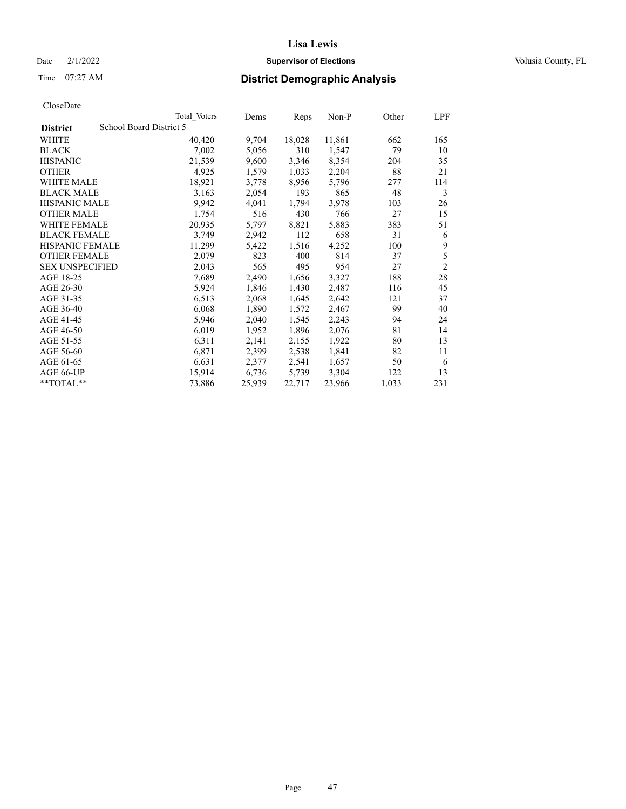## Date  $2/1/2022$  **Supervisor of Elections** Volusia County, FL

| CloseDate |
|-----------|
|-----------|

|                        | Total Voters            | Dems   | Reps   | Non-P  | Other | LPF            |
|------------------------|-------------------------|--------|--------|--------|-------|----------------|
| <b>District</b>        | School Board District 5 |        |        |        |       |                |
| WHITE                  | 40,420                  | 9,704  | 18,028 | 11,861 | 662   | 165            |
| <b>BLACK</b>           | 7,002                   | 5,056  | 310    | 1,547  | 79    | 10             |
| <b>HISPANIC</b>        | 21,539                  | 9,600  | 3,346  | 8,354  | 204   | 35             |
| <b>OTHER</b>           | 4,925                   | 1,579  | 1,033  | 2,204  | 88    | 21             |
| WHITE MALE             | 18,921                  | 3,778  | 8,956  | 5,796  | 277   | 114            |
| <b>BLACK MALE</b>      | 3,163                   | 2,054  | 193    | 865    | 48    | 3              |
| <b>HISPANIC MALE</b>   | 9,942                   | 4,041  | 1,794  | 3,978  | 103   | 26             |
| <b>OTHER MALE</b>      | 1,754                   | 516    | 430    | 766    | 27    | 15             |
| WHITE FEMALE           | 20,935                  | 5,797  | 8,821  | 5,883  | 383   | 51             |
| <b>BLACK FEMALE</b>    | 3,749                   | 2,942  | 112    | 658    | 31    | 6              |
| HISPANIC FEMALE        | 11,299                  | 5,422  | 1,516  | 4,252  | 100   | 9              |
| <b>OTHER FEMALE</b>    | 2,079                   | 823    | 400    | 814    | 37    | 5              |
| <b>SEX UNSPECIFIED</b> | 2,043                   | 565    | 495    | 954    | 27    | $\mathfrak{2}$ |
| AGE 18-25              | 7,689                   | 2,490  | 1,656  | 3,327  | 188   | 28             |
| AGE 26-30              | 5,924                   | 1,846  | 1,430  | 2,487  | 116   | 45             |
| AGE 31-35              | 6,513                   | 2,068  | 1,645  | 2,642  | 121   | 37             |
| AGE 36-40              | 6,068                   | 1,890  | 1,572  | 2,467  | 99    | 40             |
| AGE 41-45              | 5,946                   | 2,040  | 1,545  | 2,243  | 94    | 24             |
| AGE 46-50              | 6,019                   | 1,952  | 1,896  | 2,076  | 81    | 14             |
| AGE 51-55              | 6,311                   | 2,141  | 2,155  | 1,922  | 80    | 13             |
| AGE 56-60              | 6,871                   | 2,399  | 2,538  | 1,841  | 82    | 11             |
| AGE 61-65              | 6,631                   | 2,377  | 2,541  | 1,657  | 50    | 6              |
| AGE 66-UP              | 15,914                  | 6,736  | 5,739  | 3,304  | 122   | 13             |
| $*$ TOTAL $*$          | 73,886                  | 25,939 | 22,717 | 23,966 | 1,033 | 231            |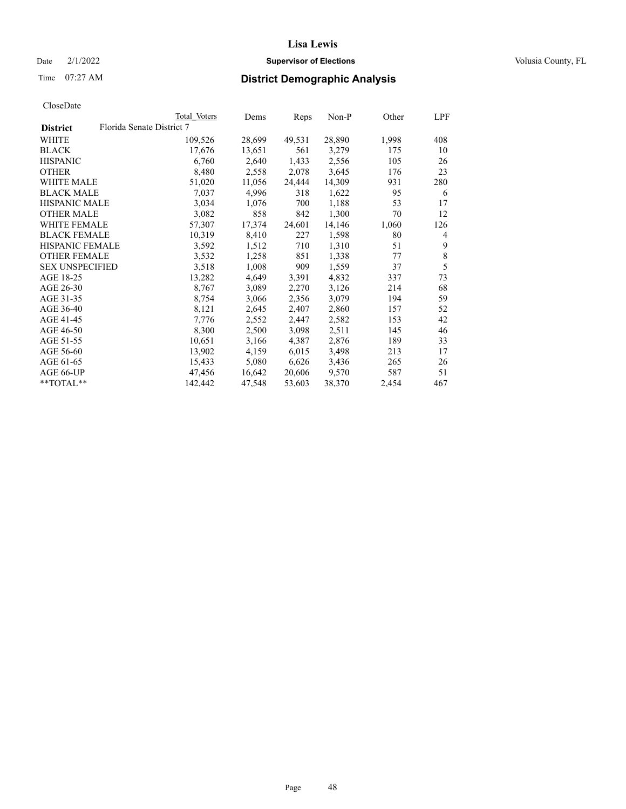## Date  $2/1/2022$  **Supervisor of Elections** Volusia County, FL

| CloseDate |
|-----------|
|-----------|

|                                              | Total Voters | Dems   | Reps   | Non-P  | Other | LPF            |
|----------------------------------------------|--------------|--------|--------|--------|-------|----------------|
| Florida Senate District 7<br><b>District</b> |              |        |        |        |       |                |
| WHITE                                        | 109,526      | 28,699 | 49,531 | 28,890 | 1,998 | 408            |
| <b>BLACK</b>                                 | 17,676       | 13,651 | 561    | 3,279  | 175   | 10             |
| <b>HISPANIC</b>                              | 6,760        | 2,640  | 1,433  | 2,556  | 105   | 26             |
| <b>OTHER</b>                                 | 8,480        | 2,558  | 2,078  | 3,645  | 176   | 23             |
| WHITE MALE                                   | 51,020       | 11,056 | 24,444 | 14,309 | 931   | 280            |
| <b>BLACK MALE</b>                            | 7,037        | 4,996  | 318    | 1,622  | 95    | 6              |
| <b>HISPANIC MALE</b>                         | 3,034        | 1,076  | 700    | 1,188  | 53    | 17             |
| <b>OTHER MALE</b>                            | 3,082        | 858    | 842    | 1,300  | 70    | 12             |
| <b>WHITE FEMALE</b>                          | 57,307       | 17,374 | 24,601 | 14,146 | 1,060 | 126            |
| <b>BLACK FEMALE</b>                          | 10,319       | 8,410  | 227    | 1,598  | 80    | $\overline{4}$ |
| <b>HISPANIC FEMALE</b>                       | 3,592        | 1,512  | 710    | 1,310  | 51    | 9              |
| <b>OTHER FEMALE</b>                          | 3,532        | 1,258  | 851    | 1,338  | 77    | 8              |
| <b>SEX UNSPECIFIED</b>                       | 3,518        | 1,008  | 909    | 1,559  | 37    | 5              |
| AGE 18-25                                    | 13,282       | 4,649  | 3,391  | 4,832  | 337   | 73             |
| AGE 26-30                                    | 8,767        | 3,089  | 2,270  | 3,126  | 214   | 68             |
| AGE 31-35                                    | 8,754        | 3,066  | 2,356  | 3,079  | 194   | 59             |
| AGE 36-40                                    | 8,121        | 2,645  | 2,407  | 2,860  | 157   | 52             |
| AGE 41-45                                    | 7,776        | 2,552  | 2,447  | 2,582  | 153   | 42             |
| AGE 46-50                                    | 8,300        | 2,500  | 3,098  | 2,511  | 145   | 46             |
| AGE 51-55                                    | 10,651       | 3,166  | 4,387  | 2,876  | 189   | 33             |
| AGE 56-60                                    | 13,902       | 4,159  | 6,015  | 3,498  | 213   | 17             |
| AGE 61-65                                    | 15,433       | 5,080  | 6,626  | 3,436  | 265   | 26             |
| AGE 66-UP                                    | 47,456       | 16,642 | 20,606 | 9,570  | 587   | 51             |
| $*$ TOTAL $*$                                | 142,442      | 47,548 | 53,603 | 38,370 | 2,454 | 467            |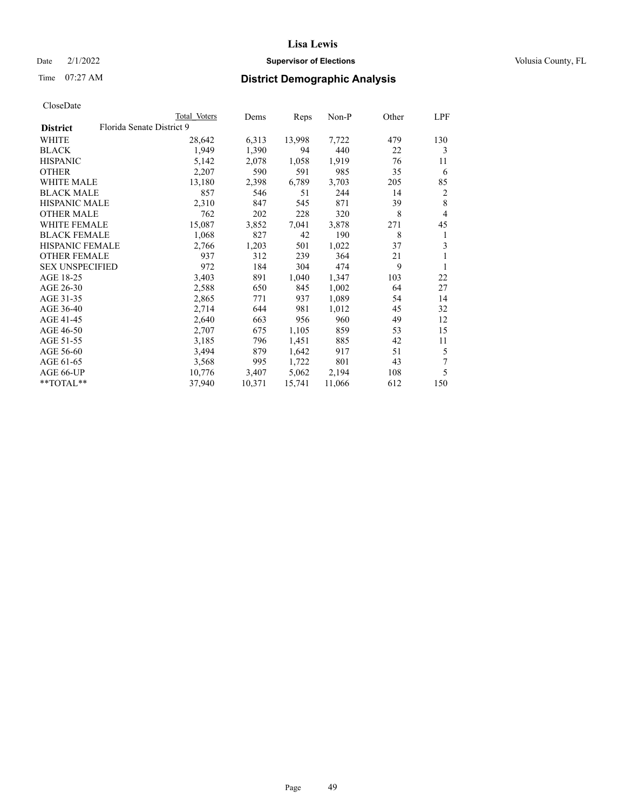## Date  $2/1/2022$  **Supervisor of Elections** Volusia County, FL

## Time 07:27 AM **District Demographic Analysis**

|                        |                           | Total Voters | Dems   | Reps   | $Non-P$ | Other | LPF            |
|------------------------|---------------------------|--------------|--------|--------|---------|-------|----------------|
| <b>District</b>        | Florida Senate District 9 |              |        |        |         |       |                |
| WHITE                  |                           | 28,642       | 6,313  | 13,998 | 7,722   | 479   | 130            |
| <b>BLACK</b>           |                           | 1.949        | 1,390  | 94     | 440     | 22    | 3              |
| <b>HISPANIC</b>        |                           | 5,142        | 2,078  | 1,058  | 1,919   | 76    | 11             |
| <b>OTHER</b>           |                           | 2,207        | 590    | 591    | 985     | 35    | 6              |
| <b>WHITE MALE</b>      |                           | 13,180       | 2,398  | 6,789  | 3,703   | 205   | 85             |
| <b>BLACK MALE</b>      |                           | 857          | 546    | 51     | 244     | 14    | $\overline{2}$ |
| <b>HISPANIC MALE</b>   |                           | 2,310        | 847    | 545    | 871     | 39    | 8              |
| <b>OTHER MALE</b>      |                           | 762          | 202    | 228    | 320     | 8     | 4              |
| WHITE FEMALE           |                           | 15,087       | 3,852  | 7,041  | 3,878   | 271   | 45             |
| <b>BLACK FEMALE</b>    |                           | 1,068        | 827    | 42     | 190     | 8     | 1              |
| HISPANIC FEMALE        |                           | 2,766        | 1,203  | 501    | 1,022   | 37    | 3              |
| <b>OTHER FEMALE</b>    |                           | 937          | 312    | 239    | 364     | 21    | 1              |
| <b>SEX UNSPECIFIED</b> |                           | 972          | 184    | 304    | 474     | 9     |                |
| AGE 18-25              |                           | 3,403        | 891    | 1,040  | 1,347   | 103   | 22             |
| AGE 26-30              |                           | 2,588        | 650    | 845    | 1,002   | 64    | 27             |
| AGE 31-35              |                           | 2,865        | 771    | 937    | 1,089   | 54    | 14             |
| AGE 36-40              |                           | 2,714        | 644    | 981    | 1,012   | 45    | 32             |
| AGE 41-45              |                           | 2,640        | 663    | 956    | 960     | 49    | 12             |
| AGE 46-50              |                           | 2,707        | 675    | 1,105  | 859     | 53    | 15             |
| AGE 51-55              |                           | 3,185        | 796    | 1,451  | 885     | 42    | 11             |
| AGE 56-60              |                           | 3,494        | 879    | 1,642  | 917     | 51    | 5              |
| AGE 61-65              |                           | 3,568        | 995    | 1,722  | 801     | 43    | 7              |
| AGE 66-UP              |                           | 10,776       | 3,407  | 5,062  | 2,194   | 108   | 5              |
| $*$ $TOTAL**$          |                           | 37,940       | 10,371 | 15,741 | 11,066  | 612   | 150            |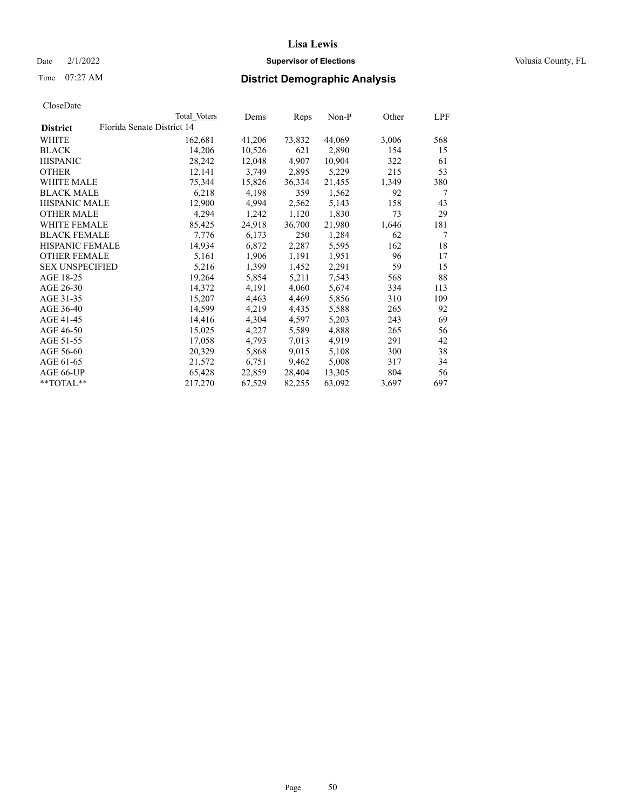## Date  $2/1/2022$  **Supervisor of Elections** Volusia County, FL

|                        | Total Voters               | Dems   | Reps   | Non-P  | Other | LPF |
|------------------------|----------------------------|--------|--------|--------|-------|-----|
| <b>District</b>        | Florida Senate District 14 |        |        |        |       |     |
| WHITE                  | 162,681                    | 41,206 | 73,832 | 44,069 | 3,006 | 568 |
| BLACK                  | 14,206                     | 10,526 | 621    | 2,890  | 154   | 15  |
| <b>HISPANIC</b>        | 28,242                     | 12,048 | 4,907  | 10,904 | 322   | 61  |
| OTHER                  | 12,141                     | 3,749  | 2,895  | 5,229  | 215   | 53  |
| <b>WHITE MALE</b>      | 75,344                     | 15,826 | 36,334 | 21,455 | 1,349 | 380 |
| <b>BLACK MALE</b>      | 6,218                      | 4,198  | 359    | 1,562  | 92    | 7   |
| <b>HISPANIC MALE</b>   | 12,900                     | 4,994  | 2,562  | 5,143  | 158   | 43  |
| <b>OTHER MALE</b>      | 4,294                      | 1,242  | 1,120  | 1,830  | 73    | 29  |
| <b>WHITE FEMALE</b>    | 85,425                     | 24,918 | 36,700 | 21,980 | 1,646 | 181 |
| <b>BLACK FEMALE</b>    | 7,776                      | 6,173  | 250    | 1,284  | 62    | 7   |
| <b>HISPANIC FEMALE</b> | 14,934                     | 6,872  | 2,287  | 5,595  | 162   | 18  |
| <b>OTHER FEMALE</b>    | 5,161                      | 1,906  | 1,191  | 1,951  | 96    | 17  |
| <b>SEX UNSPECIFIED</b> | 5,216                      | 1,399  | 1,452  | 2,291  | 59    | 15  |
| AGE 18-25              | 19,264                     | 5,854  | 5,211  | 7,543  | 568   | 88  |
| AGE 26-30              | 14,372                     | 4,191  | 4,060  | 5,674  | 334   | 113 |
| AGE 31-35              | 15,207                     | 4,463  | 4,469  | 5,856  | 310   | 109 |
| AGE 36-40              | 14,599                     | 4,219  | 4,435  | 5,588  | 265   | 92  |
| AGE 41-45              | 14,416                     | 4,304  | 4,597  | 5,203  | 243   | 69  |
| AGE 46-50              | 15,025                     | 4,227  | 5,589  | 4,888  | 265   | 56  |
| AGE 51-55              | 17,058                     | 4,793  | 7,013  | 4,919  | 291   | 42  |
| AGE 56-60              | 20,329                     | 5,868  | 9,015  | 5,108  | 300   | 38  |
| AGE 61-65              | 21,572                     | 6,751  | 9,462  | 5,008  | 317   | 34  |
| AGE 66-UP              | 65,428                     | 22,859 | 28,404 | 13,305 | 804   | 56  |
| $*$ $TOTAL**$          | 217,270                    | 67,529 | 82,255 | 63,092 | 3,697 | 697 |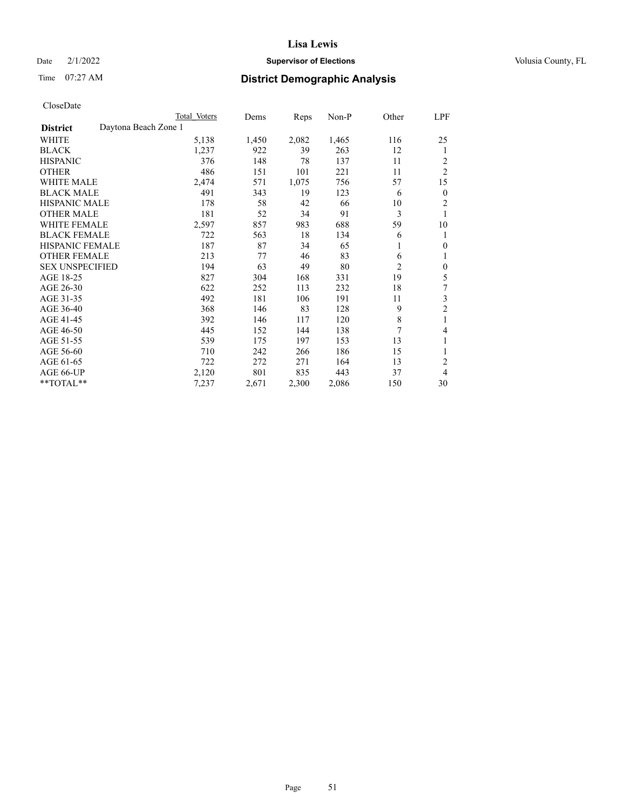## Date  $2/1/2022$  **Supervisor of Elections** Volusia County, FL

| CloseDate |
|-----------|
|-----------|

|                                         | Total Voters | Dems  | Reps  | Non-P | Other          | LPF              |
|-----------------------------------------|--------------|-------|-------|-------|----------------|------------------|
| Daytona Beach Zone 1<br><b>District</b> |              |       |       |       |                |                  |
| WHITE                                   | 5,138        | 1,450 | 2,082 | 1,465 | 116            | 25               |
| <b>BLACK</b>                            | 1,237        | 922   | 39    | 263   | 12             | 1                |
| <b>HISPANIC</b>                         | 376          | 148   | 78    | 137   | 11             | 2                |
| <b>OTHER</b>                            | 486          | 151   | 101   | 221   | 11             | $\overline{2}$   |
| <b>WHITE MALE</b>                       | 2,474        | 571   | 1,075 | 756   | 57             | 15               |
| <b>BLACK MALE</b>                       | 491          | 343   | 19    | 123   | 6              | $\mathbf{0}$     |
| <b>HISPANIC MALE</b>                    | 178          | 58    | 42    | 66    | 10             | 2                |
| <b>OTHER MALE</b>                       | 181          | 52    | 34    | 91    | 3              | 1                |
| <b>WHITE FEMALE</b>                     | 2,597        | 857   | 983   | 688   | 59             | 10               |
| <b>BLACK FEMALE</b>                     | 722          | 563   | 18    | 134   | 6              | 1                |
| HISPANIC FEMALE                         | 187          | 87    | 34    | 65    | 1              | $\theta$         |
| <b>OTHER FEMALE</b>                     | 213          | 77    | 46    | 83    | 6              | 1                |
| <b>SEX UNSPECIFIED</b>                  | 194          | 63    | 49    | 80    | $\overline{c}$ | $\boldsymbol{0}$ |
| AGE 18-25                               | 827          | 304   | 168   | 331   | 19             | 5                |
| AGE 26-30                               | 622          | 252   | 113   | 232   | 18             | 7                |
| AGE 31-35                               | 492          | 181   | 106   | 191   | 11             | 3                |
| AGE 36-40                               | 368          | 146   | 83    | 128   | 9              | $\mathfrak{2}$   |
| AGE 41-45                               | 392          | 146   | 117   | 120   | 8              | 1                |
| AGE 46-50                               | 445          | 152   | 144   | 138   | 7              | 4                |
| AGE 51-55                               | 539          | 175   | 197   | 153   | 13             | 1                |
| AGE 56-60                               | 710          | 242   | 266   | 186   | 15             | 1                |
| AGE 61-65                               | 722          | 272   | 271   | 164   | 13             | $\overline{2}$   |
| AGE 66-UP                               | 2,120        | 801   | 835   | 443   | 37             | 4                |
| **TOTAL**                               | 7,237        | 2,671 | 2,300 | 2,086 | 150            | 30               |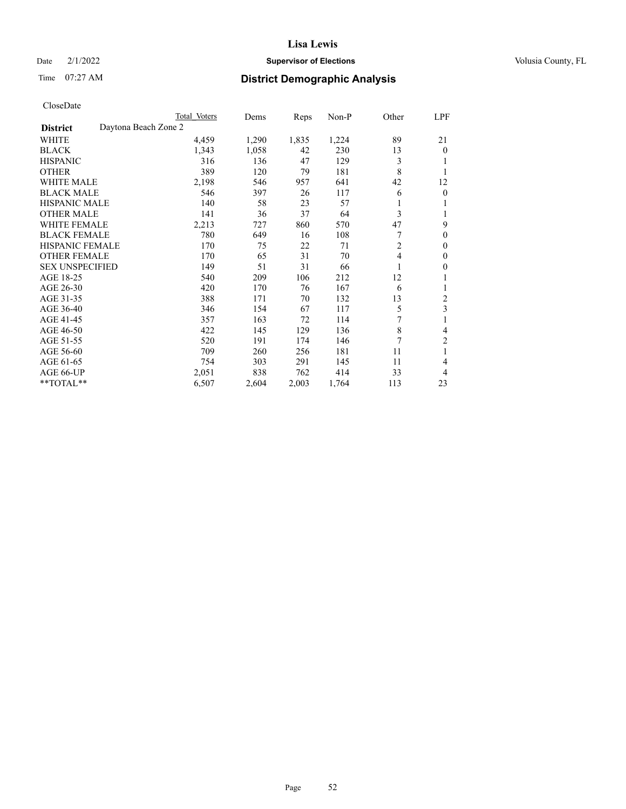## Date  $2/1/2022$  **Supervisor of Elections** Volusia County, FL

# Time 07:27 AM **District Demographic Analysis**

|                                         | Total Voters | Dems  | Reps  | $Non-P$ | Other          | LPF            |
|-----------------------------------------|--------------|-------|-------|---------|----------------|----------------|
| Daytona Beach Zone 2<br><b>District</b> |              |       |       |         |                |                |
| WHITE                                   | 4,459        | 1,290 | 1,835 | 1,224   | 89             | 21             |
| <b>BLACK</b>                            | 1,343        | 1,058 | 42    | 230     | 13             | $\theta$       |
| <b>HISPANIC</b>                         | 316          | 136   | 47    | 129     | 3              |                |
| <b>OTHER</b>                            | 389          | 120   | 79    | 181     | 8              | 1              |
| <b>WHITE MALE</b>                       | 2,198        | 546   | 957   | 641     | 42             | 12             |
| <b>BLACK MALE</b>                       | 546          | 397   | 26    | 117     | 6              | $\mathbf{0}$   |
| <b>HISPANIC MALE</b>                    | 140          | 58    | 23    | 57      |                | 1              |
| <b>OTHER MALE</b>                       | 141          | 36    | 37    | 64      | 3              | 1              |
| <b>WHITE FEMALE</b>                     | 2,213        | 727   | 860   | 570     | 47             | 9              |
| <b>BLACK FEMALE</b>                     | 780          | 649   | 16    | 108     | 7              | $\theta$       |
| <b>HISPANIC FEMALE</b>                  | 170          | 75    | 22    | 71      | $\overline{c}$ | $\theta$       |
| <b>OTHER FEMALE</b>                     | 170          | 65    | 31    | 70      | 4              | $\mathbf{0}$   |
| <b>SEX UNSPECIFIED</b>                  | 149          | 51    | 31    | 66      |                | $\mathbf{0}$   |
| AGE 18-25                               | 540          | 209   | 106   | 212     | 12             | 1              |
| AGE 26-30                               | 420          | 170   | 76    | 167     | 6              | 1              |
| AGE 31-35                               | 388          | 171   | 70    | 132     | 13             | $\overline{c}$ |
| AGE 36-40                               | 346          | 154   | 67    | 117     | 5              | $\mathfrak{Z}$ |
| AGE 41-45                               | 357          | 163   | 72    | 114     | 7              | 1              |
| AGE 46-50                               | 422          | 145   | 129   | 136     | $\,$ 8 $\,$    | 4              |
| AGE 51-55                               | 520          | 191   | 174   | 146     | 7              | $\overline{c}$ |
| AGE 56-60                               | 709          | 260   | 256   | 181     | 11             | 1              |
| AGE 61-65                               | 754          | 303   | 291   | 145     | 11             | 4              |
| AGE 66-UP                               | 2,051        | 838   | 762   | 414     | 33             | 4              |
| **TOTAL**                               | 6,507        | 2,604 | 2,003 | 1,764   | 113            | 23             |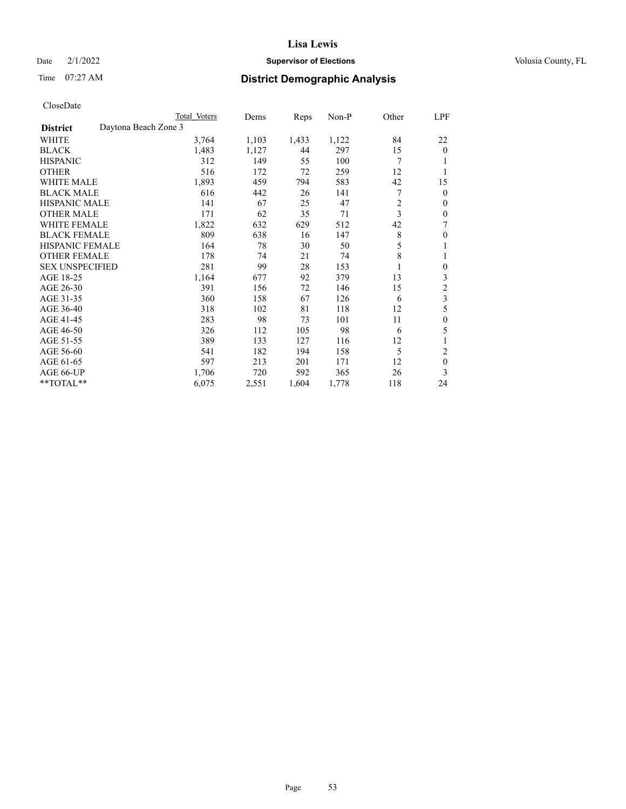## Date  $2/1/2022$  **Supervisor of Elections** Volusia County, FL

# Time 07:27 AM **District Demographic Analysis**

|                        | Total Voters         | Dems  | Reps  | Non-P | Other          | LPF              |
|------------------------|----------------------|-------|-------|-------|----------------|------------------|
| <b>District</b>        | Daytona Beach Zone 3 |       |       |       |                |                  |
| WHITE                  | 3,764                | 1,103 | 1,433 | 1,122 | 84             | 22               |
| <b>BLACK</b>           | 1,483                | 1,127 | 44    | 297   | 15             | $\overline{0}$   |
| <b>HISPANIC</b>        | 312                  | 149   | 55    | 100   | 7              |                  |
| <b>OTHER</b>           | 516                  | 172   | 72    | 259   | 12             |                  |
| WHITE MALE             | 1,893                | 459   | 794   | 583   | 42             | 15               |
| <b>BLACK MALE</b>      | 616                  | 442   | 26    | 141   | 7              | 0                |
| <b>HISPANIC MALE</b>   | 141                  | 67    | 25    | 47    | $\overline{c}$ | 0                |
| <b>OTHER MALE</b>      | 171                  | 62    | 35    | 71    | 3              | 0                |
| WHITE FEMALE           | 1,822                | 632   | 629   | 512   | 42             | 7                |
| <b>BLACK FEMALE</b>    | 809                  | 638   | 16    | 147   | 8              | 0                |
| <b>HISPANIC FEMALE</b> | 164                  | 78    | 30    | 50    | 5              |                  |
| <b>OTHER FEMALE</b>    | 178                  | 74    | 21    | 74    | 8              |                  |
| <b>SEX UNSPECIFIED</b> | 281                  | 99    | 28    | 153   |                | $\boldsymbol{0}$ |
| AGE 18-25              | 1,164                | 677   | 92    | 379   | 13             | 3                |
| AGE 26-30              | 391                  | 156   | 72    | 146   | 15             | 2                |
| AGE 31-35              | 360                  | 158   | 67    | 126   | 6              | 3                |
| AGE 36-40              | 318                  | 102   | 81    | 118   | 12             | 5                |
| AGE 41-45              | 283                  | 98    | 73    | 101   | 11             | 0                |
| AGE 46-50              | 326                  | 112   | 105   | 98    | 6              | 5                |
| AGE 51-55              | 389                  | 133   | 127   | 116   | 12             | 1                |
| AGE 56-60              | 541                  | 182   | 194   | 158   | 5              | 2                |
| AGE 61-65              | 597                  | 213   | 201   | 171   | 12             | $\boldsymbol{0}$ |
| AGE 66-UP              | 1,706                | 720   | 592   | 365   | 26             | 3                |
| **TOTAL**              | 6,075                | 2,551 | 1,604 | 1,778 | 118            | 24               |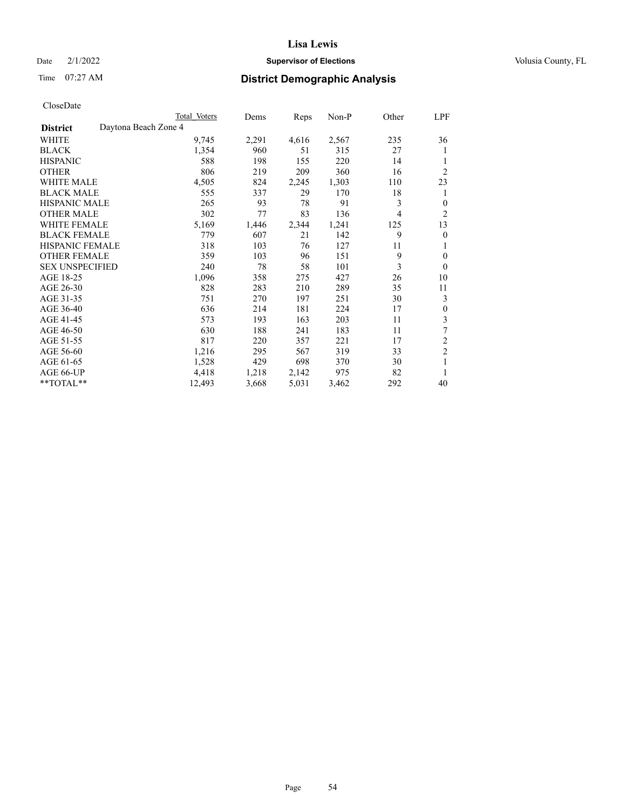## Date  $2/1/2022$  **Supervisor of Elections** Volusia County, FL

# Time 07:27 AM **District Demographic Analysis**

|                        |                      | Total Voters | Dems  | Reps  | Non-P | Other | LPF            |
|------------------------|----------------------|--------------|-------|-------|-------|-------|----------------|
| <b>District</b>        | Daytona Beach Zone 4 |              |       |       |       |       |                |
| WHITE                  |                      | 9,745        | 2,291 | 4,616 | 2,567 | 235   | 36             |
| <b>BLACK</b>           |                      | 1,354        | 960   | 51    | 315   | 27    | 1              |
| <b>HISPANIC</b>        |                      | 588          | 198   | 155   | 220   | 14    | 1              |
| <b>OTHER</b>           |                      | 806          | 219   | 209   | 360   | 16    | $\overline{2}$ |
| WHITE MALE             |                      | 4,505        | 824   | 2,245 | 1,303 | 110   | 23             |
| <b>BLACK MALE</b>      |                      | 555          | 337   | 29    | 170   | 18    | 1              |
| <b>HISPANIC MALE</b>   |                      | 265          | 93    | 78    | 91    | 3     | $\theta$       |
| <b>OTHER MALE</b>      |                      | 302          | 77    | 83    | 136   | 4     | 2              |
| WHITE FEMALE           |                      | 5,169        | 1,446 | 2,344 | 1,241 | 125   | 13             |
| <b>BLACK FEMALE</b>    |                      | 779          | 607   | 21    | 142   | 9     | $\overline{0}$ |
| <b>HISPANIC FEMALE</b> |                      | 318          | 103   | 76    | 127   | 11    | 1              |
| <b>OTHER FEMALE</b>    |                      | 359          | 103   | 96    | 151   | 9     | $\theta$       |
| <b>SEX UNSPECIFIED</b> |                      | 240          | 78    | 58    | 101   | 3     | $\theta$       |
| AGE 18-25              |                      | 1,096        | 358   | 275   | 427   | 26    | 10             |
| AGE 26-30              |                      | 828          | 283   | 210   | 289   | 35    | 11             |
| AGE 31-35              |                      | 751          | 270   | 197   | 251   | 30    | 3              |
| AGE 36-40              |                      | 636          | 214   | 181   | 224   | 17    | $\theta$       |
| AGE 41-45              |                      | 573          | 193   | 163   | 203   | 11    | 3              |
| AGE 46-50              |                      | 630          | 188   | 241   | 183   | 11    | 7              |
| AGE 51-55              |                      | 817          | 220   | 357   | 221   | 17    | $\overline{2}$ |
| AGE 56-60              |                      | 1,216        | 295   | 567   | 319   | 33    | $\overline{c}$ |
| AGE 61-65              |                      | 1,528        | 429   | 698   | 370   | 30    | 1              |
| AGE 66-UP              |                      | 4,418        | 1,218 | 2,142 | 975   | 82    | 1              |
| **TOTAL**              |                      | 12,493       | 3,668 | 5,031 | 3,462 | 292   | 40             |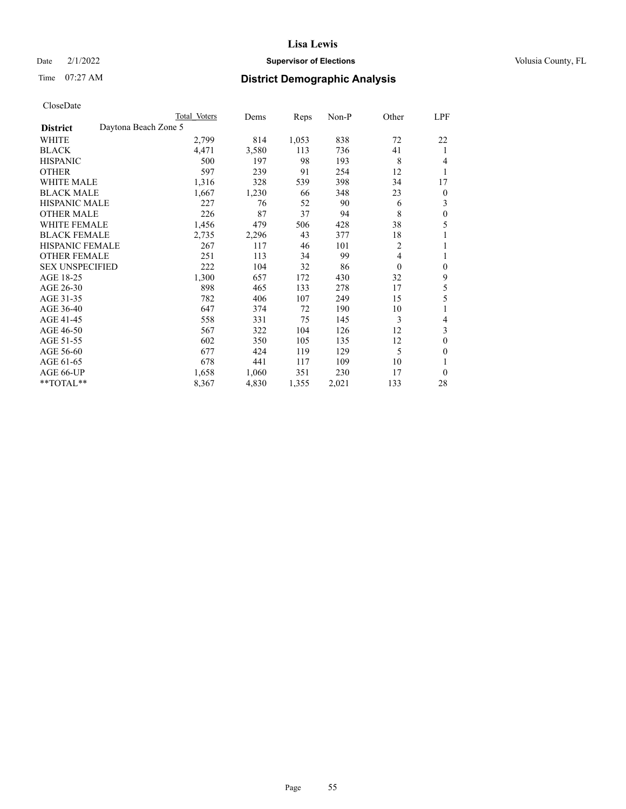## Date  $2/1/2022$  **Supervisor of Elections** Volusia County, FL

# Time 07:27 AM **District Demographic Analysis**

| Total Voters         | Dems  | Reps  | $Non-P$ | Other        | LPF            |
|----------------------|-------|-------|---------|--------------|----------------|
| Daytona Beach Zone 5 |       |       |         |              |                |
| 2,799                | 814   | 1,053 | 838     | 72           | 22             |
| 4,471                | 3,580 | 113   | 736     | 41           | 1              |
| 500                  | 197   | 98    | 193     | 8            | 4              |
| 597                  | 239   | 91    | 254     | 12           | 1              |
| 1,316                | 328   | 539   | 398     | 34           | 17             |
| 1,667                | 1,230 | 66    | 348     | 23           | $\overline{0}$ |
| 227                  | 76    | 52    | 90      | 6            | 3              |
| 226                  | 87    | 37    | 94      | 8            | $\theta$       |
| 1,456                | 479   | 506   | 428     | 38           | 5              |
| 2,735                | 2,296 | 43    | 377     | 18           | 1              |
| 267                  | 117   | 46    | 101     | 2            | 1              |
| 251                  | 113   | 34    | 99      | 4            | 1              |
| 222                  | 104   | 32    | 86      | $\mathbf{0}$ | $\theta$       |
| 1,300                | 657   | 172   | 430     | 32           | 9              |
| 898                  | 465   | 133   | 278     | 17           | 5              |
| 782                  | 406   | 107   | 249     | 15           | 5              |
| 647                  | 374   | 72    | 190     | 10           | 1              |
| 558                  | 331   | 75    | 145     | 3            | 4              |
| 567                  | 322   | 104   | 126     | 12           | 3              |
| 602                  | 350   | 105   | 135     | 12           | $\theta$       |
| 677                  | 424   | 119   | 129     | 5            | $\theta$       |
| 678                  | 441   | 117   | 109     | 10           | 1              |
| 1,658                | 1,060 | 351   | 230     | 17           | $\theta$       |
| 8,367                | 4,830 | 1,355 | 2,021   | 133          | 28             |
|                      |       |       |         |              |                |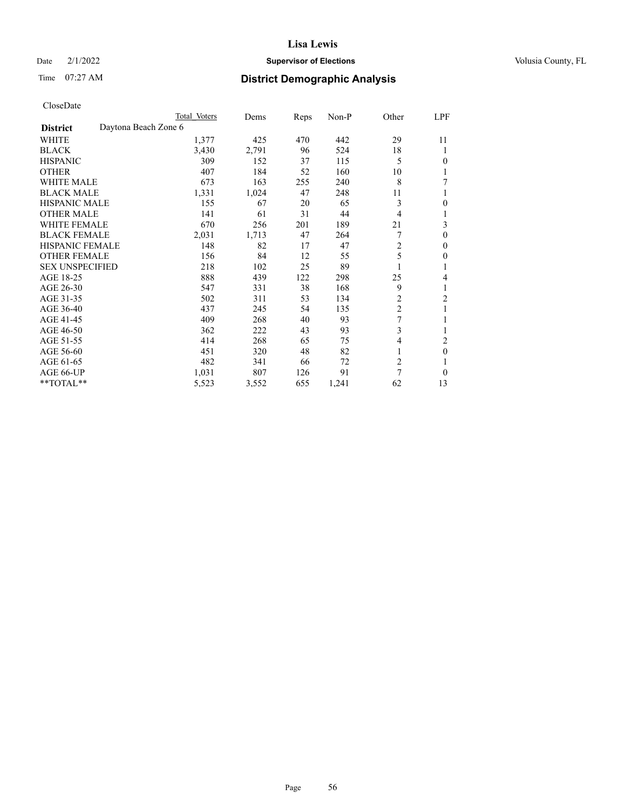## Date  $2/1/2022$  **Supervisor of Elections** Volusia County, FL

| CloseDate |
|-----------|
|-----------|

|                                         | Total Voters | Dems  | Reps | Non-P | Other          | LPF            |
|-----------------------------------------|--------------|-------|------|-------|----------------|----------------|
| Daytona Beach Zone 6<br><b>District</b> |              |       |      |       |                |                |
| <b>WHITE</b>                            | 1,377        | 425   | 470  | 442   | 29             | 11             |
| BLACK                                   | 3,430        | 2,791 | 96   | 524   | 18             | 1              |
| <b>HISPANIC</b>                         | 309          | 152   | 37   | 115   | 5              | 0              |
| <b>OTHER</b>                            | 407          | 184   | 52   | 160   | 10             |                |
| <b>WHITE MALE</b>                       | 673          | 163   | 255  | 240   | 8              | 7              |
| <b>BLACK MALE</b>                       | 1,331        | 1,024 | 47   | 248   | 11             | 1              |
| <b>HISPANIC MALE</b>                    | 155          | 67    | 20   | 65    | 3              | 0              |
| OTHER MALE                              | 141          | 61    | 31   | 44    | $\overline{4}$ | 1              |
| <b>WHITE FEMALE</b>                     | 670          | 256   | 201  | 189   | 21             | 3              |
| <b>BLACK FEMALE</b>                     | 2,031        | 1,713 | 47   | 264   | 7              | 0              |
| <b>HISPANIC FEMALE</b>                  | 148          | 82    | 17   | 47    | $\overline{c}$ | 0              |
| <b>OTHER FEMALE</b>                     | 156          | 84    | 12   | 55    | 5              | 0              |
| <b>SEX UNSPECIFIED</b>                  | 218          | 102   | 25   | 89    |                | 1              |
| AGE 18-25                               | 888          | 439   | 122  | 298   | 25             | 4              |
| AGE 26-30                               | 547          | 331   | 38   | 168   | 9              | 1              |
| AGE 31-35                               | 502          | 311   | 53   | 134   | $\overline{c}$ | $\overline{c}$ |
| AGE 36-40                               | 437          | 245   | 54   | 135   | $\overline{2}$ |                |
| AGE 41-45                               | 409          | 268   | 40   | 93    | 7              |                |
| AGE 46-50                               | 362          | 222   | 43   | 93    | 3              | 1              |
| AGE 51-55                               | 414          | 268   | 65   | 75    | 4              | 2              |
| AGE 56-60                               | 451          | 320   | 48   | 82    | 1              | $\theta$       |
| AGE 61-65                               | 482          | 341   | 66   | 72    | $\overline{c}$ | 1              |
| AGE 66-UP                               | 1,031        | 807   | 126  | 91    | $\overline{7}$ | $\Omega$       |
| **TOTAL**                               | 5,523        | 3,552 | 655  | 1,241 | 62             | 13             |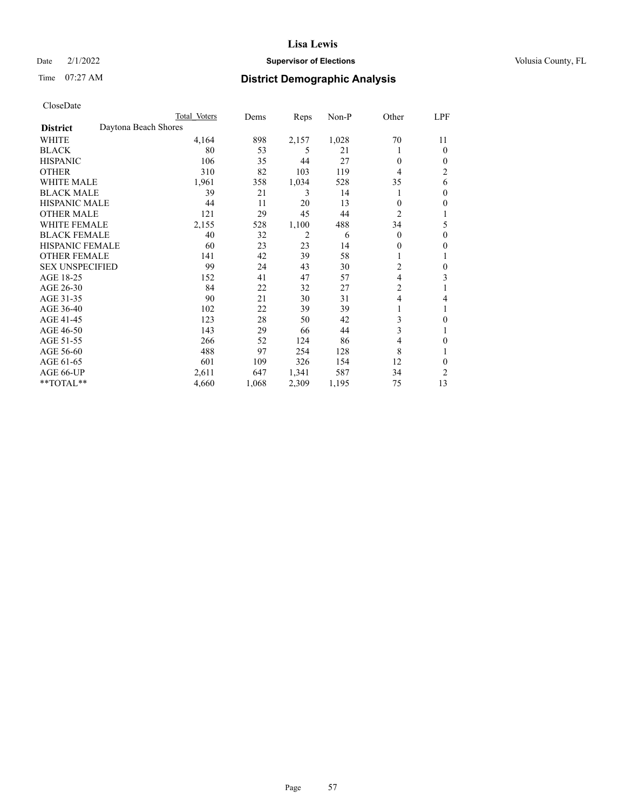## Date  $2/1/2022$  **Supervisor of Elections** Volusia County, FL

# Time 07:27 AM **District Demographic Analysis**

|                                         | Total Voters | Dems  | Reps           | $Non-P$ | Other          | LPF |
|-----------------------------------------|--------------|-------|----------------|---------|----------------|-----|
| Daytona Beach Shores<br><b>District</b> |              |       |                |         |                |     |
| WHITE                                   | 4,164        | 898   | 2,157          | 1,028   | 70             | 11  |
| <b>BLACK</b>                            | 80           | 53    | 5              | 21      |                | 0   |
| <b>HISPANIC</b>                         | 106          | 35    | 44             | 27      | $\theta$       | 0   |
| <b>OTHER</b>                            | 310          | 82    | 103            | 119     | 4              | 2   |
| <b>WHITE MALE</b>                       | 1,961        | 358   | 1,034          | 528     | 35             | 6   |
| <b>BLACK MALE</b>                       | 39           | 21    | 3              | 14      | 1              | 0   |
| <b>HISPANIC MALE</b>                    | 44           | 11    | 20             | 13      | $\theta$       | 0   |
| <b>OTHER MALE</b>                       | 121          | 29    | 45             | 44      | $\overline{c}$ |     |
| <b>WHITE FEMALE</b>                     | 2,155        | 528   | 1,100          | 488     | 34             | 5   |
| <b>BLACK FEMALE</b>                     | 40           | 32    | $\overline{2}$ | 6       | $\theta$       | 0   |
| <b>HISPANIC FEMALE</b>                  | 60           | 23    | 23             | 14      | $\theta$       | 0   |
| <b>OTHER FEMALE</b>                     | 141          | 42    | 39             | 58      |                |     |
| <b>SEX UNSPECIFIED</b>                  | 99           | 24    | 43             | 30      | $\overline{c}$ | 0   |
| AGE 18-25                               | 152          | 41    | 47             | 57      | $\overline{4}$ | 3   |
| AGE 26-30                               | 84           | 22    | 32             | 27      | $\overline{2}$ |     |
| AGE 31-35                               | 90           | 21    | 30             | 31      | 4              | 4   |
| AGE 36-40                               | 102          | 22    | 39             | 39      |                |     |
| AGE 41-45                               | 123          | 28    | 50             | 42      | 3              | 0   |
| AGE 46-50                               | 143          | 29    | 66             | 44      | 3              |     |
| AGE 51-55                               | 266          | 52    | 124            | 86      | $\overline{4}$ | 0   |
| AGE 56-60                               | 488          | 97    | 254            | 128     | 8              |     |
| AGE 61-65                               | 601          | 109   | 326            | 154     | 12             | 0   |
| AGE 66-UP                               | 2,611        | 647   | 1,341          | 587     | 34             | 2   |
| **TOTAL**                               | 4,660        | 1,068 | 2,309          | 1,195   | 75             | 13  |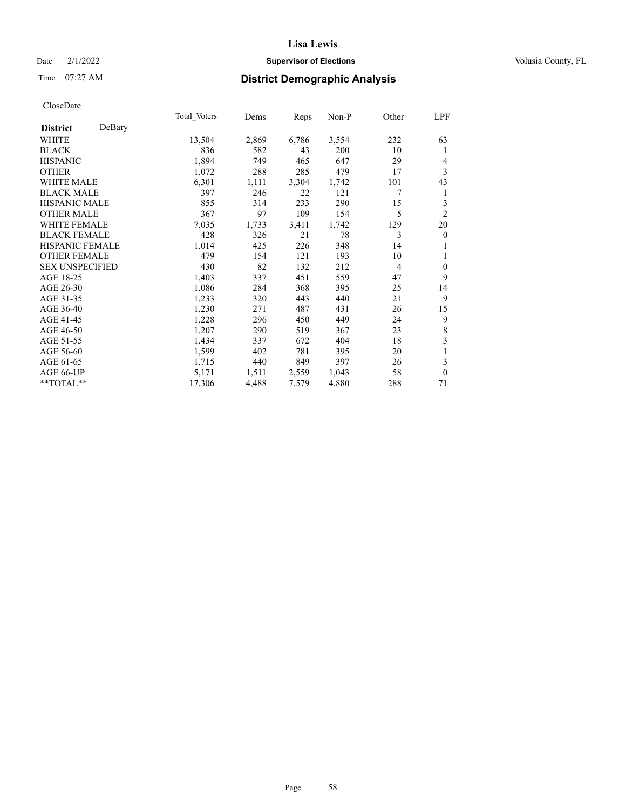## Date  $2/1/2022$  **Supervisor of Elections** Volusia County, FL

## Time 07:27 AM **District Demographic Analysis**

|                        |        | Total Voters | Dems  | Reps  | Non-P | Other          | LPF              |
|------------------------|--------|--------------|-------|-------|-------|----------------|------------------|
| <b>District</b>        | DeBary |              |       |       |       |                |                  |
| WHITE                  |        | 13,504       | 2,869 | 6,786 | 3,554 | 232            | 63               |
| <b>BLACK</b>           |        | 836          | 582   | 43    | 200   | 10             | 1                |
| <b>HISPANIC</b>        |        | 1,894        | 749   | 465   | 647   | 29             | 4                |
| <b>OTHER</b>           |        | 1,072        | 288   | 285   | 479   | 17             | 3                |
| WHITE MALE             |        | 6,301        | 1,111 | 3,304 | 1,742 | 101            | 43               |
| <b>BLACK MALE</b>      |        | 397          | 246   | 22    | 121   | 7              | 1                |
| <b>HISPANIC MALE</b>   |        | 855          | 314   | 233   | 290   | 15             | 3                |
| <b>OTHER MALE</b>      |        | 367          | 97    | 109   | 154   | 5              | $\overline{2}$   |
| <b>WHITE FEMALE</b>    |        | 7,035        | 1,733 | 3,411 | 1,742 | 129            | 20               |
| <b>BLACK FEMALE</b>    |        | 428          | 326   | 21    | 78    | 3              | $\boldsymbol{0}$ |
| <b>HISPANIC FEMALE</b> |        | 1,014        | 425   | 226   | 348   | 14             | 1                |
| <b>OTHER FEMALE</b>    |        | 479          | 154   | 121   | 193   | 10             | 1                |
| <b>SEX UNSPECIFIED</b> |        | 430          | 82    | 132   | 212   | $\overline{4}$ | $\overline{0}$   |
| AGE 18-25              |        | 1,403        | 337   | 451   | 559   | 47             | 9                |
| AGE 26-30              |        | 1,086        | 284   | 368   | 395   | 25             | 14               |
| AGE 31-35              |        | 1,233        | 320   | 443   | 440   | 21             | 9                |
| AGE 36-40              |        | 1,230        | 271   | 487   | 431   | 26             | 15               |
| AGE 41-45              |        | 1,228        | 296   | 450   | 449   | 24             | 9                |
| AGE 46-50              |        | 1,207        | 290   | 519   | 367   | 23             | $\,8\,$          |
| AGE 51-55              |        | 1,434        | 337   | 672   | 404   | 18             | $\mathfrak{Z}$   |
| AGE 56-60              |        | 1,599        | 402   | 781   | 395   | 20             | $\mathbf{1}$     |
| AGE 61-65              |        | 1,715        | 440   | 849   | 397   | 26             | 3                |
| AGE 66-UP              |        | 5,171        | 1,511 | 2,559 | 1,043 | 58             | $\overline{0}$   |
| **TOTAL**              |        | 17,306       | 4,488 | 7,579 | 4,880 | 288            | 71               |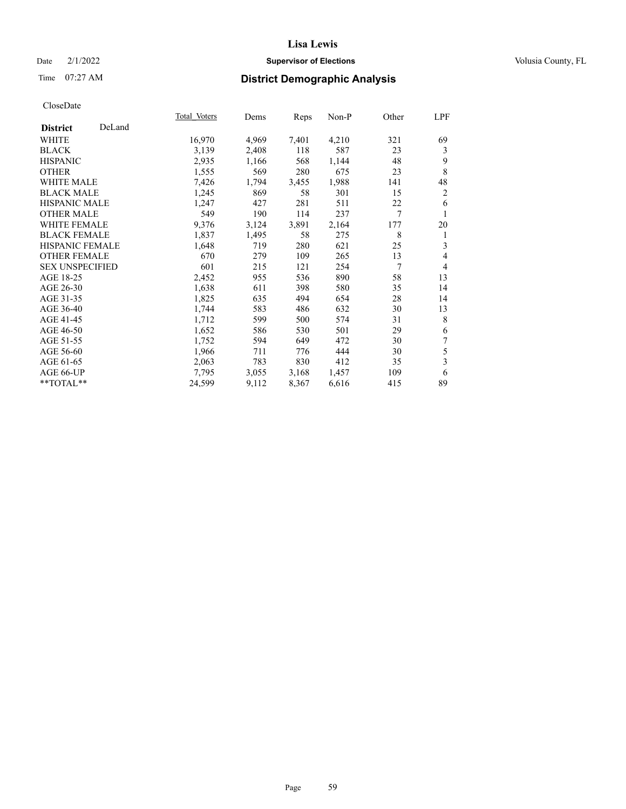## Date  $2/1/2022$  **Supervisor of Elections** Volusia County, FL

## Time 07:27 AM **District Demographic Analysis**

|                        |        | Total Voters | Dems  | Reps  | Non-P | Other | LPF            |
|------------------------|--------|--------------|-------|-------|-------|-------|----------------|
| <b>District</b>        | DeLand |              |       |       |       |       |                |
| WHITE                  |        | 16,970       | 4,969 | 7,401 | 4,210 | 321   | 69             |
| <b>BLACK</b>           |        | 3,139        | 2,408 | 118   | 587   | 23    | 3              |
| <b>HISPANIC</b>        |        | 2,935        | 1,166 | 568   | 1,144 | 48    | 9              |
| <b>OTHER</b>           |        | 1,555        | 569   | 280   | 675   | 23    | 8              |
| WHITE MALE             |        | 7,426        | 1,794 | 3,455 | 1,988 | 141   | 48             |
| <b>BLACK MALE</b>      |        | 1,245        | 869   | 58    | 301   | 15    | $\overline{2}$ |
| <b>HISPANIC MALE</b>   |        | 1,247        | 427   | 281   | 511   | 22    | 6              |
| <b>OTHER MALE</b>      |        | 549          | 190   | 114   | 237   | 7     | 1              |
| <b>WHITE FEMALE</b>    |        | 9,376        | 3,124 | 3,891 | 2,164 | 177   | 20             |
| <b>BLACK FEMALE</b>    |        | 1,837        | 1,495 | 58    | 275   | 8     | 1              |
| HISPANIC FEMALE        |        | 1,648        | 719   | 280   | 621   | 25    | 3              |
| <b>OTHER FEMALE</b>    |        | 670          | 279   | 109   | 265   | 13    | $\overline{4}$ |
| <b>SEX UNSPECIFIED</b> |        | 601          | 215   | 121   | 254   | 7     | $\overline{4}$ |
| AGE 18-25              |        | 2,452        | 955   | 536   | 890   | 58    | 13             |
| AGE 26-30              |        | 1,638        | 611   | 398   | 580   | 35    | 14             |
| AGE 31-35              |        | 1,825        | 635   | 494   | 654   | 28    | 14             |
| AGE 36-40              |        | 1,744        | 583   | 486   | 632   | 30    | 13             |
| AGE 41-45              |        | 1,712        | 599   | 500   | 574   | 31    | $\,$ 8 $\,$    |
| AGE 46-50              |        | 1,652        | 586   | 530   | 501   | 29    | 6              |
| AGE 51-55              |        | 1,752        | 594   | 649   | 472   | 30    | 7              |
| AGE 56-60              |        | 1,966        | 711   | 776   | 444   | 30    | 5              |
| AGE 61-65              |        | 2,063        | 783   | 830   | 412   | 35    | 3              |
| AGE 66-UP              |        | 7,795        | 3,055 | 3,168 | 1,457 | 109   | 6              |
| **TOTAL**              |        | 24,599       | 9,112 | 8,367 | 6,616 | 415   | 89             |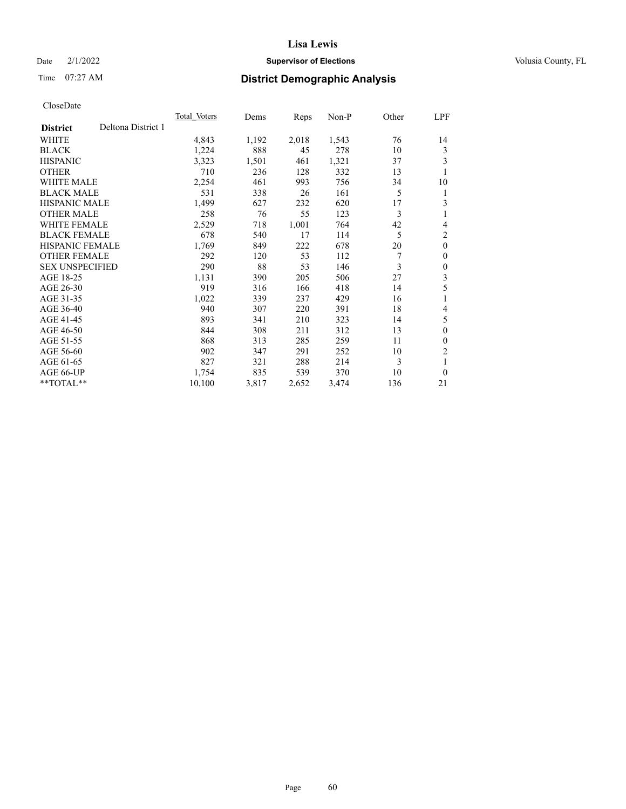## Date  $2/1/2022$  **Supervisor of Elections** Volusia County, FL

# Time 07:27 AM **District Demographic Analysis**

|                                       | <b>Total Voters</b> | Dems  | Reps  | $Non-P$ | Other | LPF            |
|---------------------------------------|---------------------|-------|-------|---------|-------|----------------|
| Deltona District 1<br><b>District</b> |                     |       |       |         |       |                |
| WHITE                                 | 4,843               | 1,192 | 2,018 | 1,543   | 76    | 14             |
| <b>BLACK</b>                          | 1,224               | 888   | 45    | 278     | 10    | 3              |
| <b>HISPANIC</b>                       | 3,323               | 1,501 | 461   | 1,321   | 37    | 3              |
| <b>OTHER</b>                          | 710                 | 236   | 128   | 332     | 13    | 1              |
| <b>WHITE MALE</b>                     | 2,254               | 461   | 993   | 756     | 34    | 10             |
| <b>BLACK MALE</b>                     | 531                 | 338   | 26    | 161     | 5     | 1              |
| <b>HISPANIC MALE</b>                  | 1,499               | 627   | 232   | 620     | 17    | 3              |
| <b>OTHER MALE</b>                     | 258                 | 76    | 55    | 123     | 3     | 1              |
| <b>WHITE FEMALE</b>                   | 2,529               | 718   | 1,001 | 764     | 42    | 4              |
| <b>BLACK FEMALE</b>                   | 678                 | 540   | 17    | 114     | 5     | $\overline{2}$ |
| <b>HISPANIC FEMALE</b>                | 1,769               | 849   | 222   | 678     | 20    | $\mathbf{0}$   |
| <b>OTHER FEMALE</b>                   | 292                 | 120   | 53    | 112     | 7     | $\mathbf{0}$   |
| <b>SEX UNSPECIFIED</b>                | 290                 | 88    | 53    | 146     | 3     | $\theta$       |
| AGE 18-25                             | 1,131               | 390   | 205   | 506     | 27    | 3              |
| AGE 26-30                             | 919                 | 316   | 166   | 418     | 14    | 5              |
| AGE 31-35                             | 1,022               | 339   | 237   | 429     | 16    | 1              |
| AGE 36-40                             | 940                 | 307   | 220   | 391     | 18    | 4              |
| AGE 41-45                             | 893                 | 341   | 210   | 323     | 14    | 5              |
| AGE 46-50                             | 844                 | 308   | 211   | 312     | 13    | $\mathbf{0}$   |
| AGE 51-55                             | 868                 | 313   | 285   | 259     | 11    | $\theta$       |
| AGE 56-60                             | 902                 | 347   | 291   | 252     | 10    | 2              |
| AGE 61-65                             | 827                 | 321   | 288   | 214     | 3     | 1              |
| AGE 66-UP                             | 1,754               | 835   | 539   | 370     | 10    | $\theta$       |
| $*$ $TOTAL**$                         | 10,100              | 3,817 | 2,652 | 3,474   | 136   | 21             |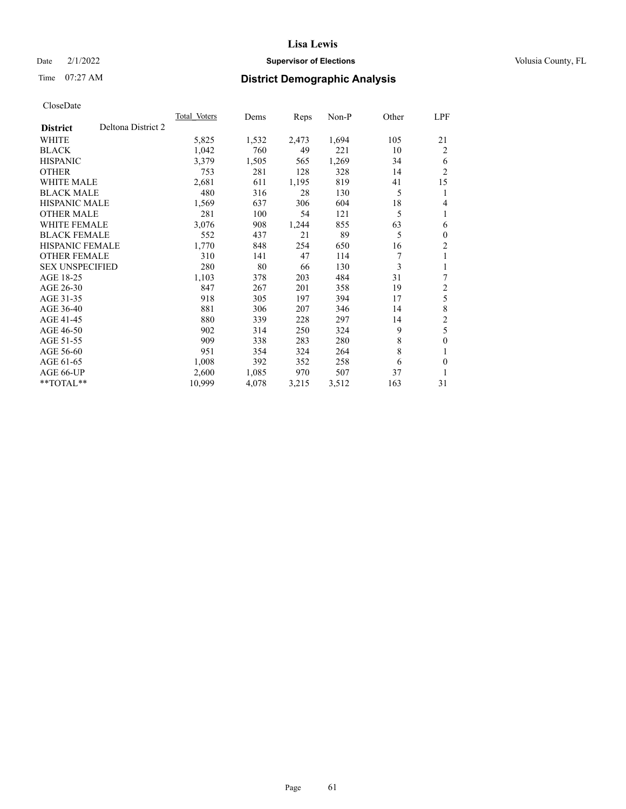## Date  $2/1/2022$  **Supervisor of Elections** Volusia County, FL

# Time 07:27 AM **District Demographic Analysis**

|                                       | Total Voters | Dems  | Reps  | $Non-P$ | Other | <u>LPF</u>     |
|---------------------------------------|--------------|-------|-------|---------|-------|----------------|
| Deltona District 2<br><b>District</b> |              |       |       |         |       |                |
| WHITE                                 | 5,825        | 1,532 | 2,473 | 1,694   | 105   | 21             |
| <b>BLACK</b>                          | 1,042        | 760   | 49    | 221     | 10    | 2              |
| <b>HISPANIC</b>                       | 3,379        | 1,505 | 565   | 1,269   | 34    | 6              |
| <b>OTHER</b>                          | 753          | 281   | 128   | 328     | 14    | $\overline{2}$ |
| <b>WHITE MALE</b>                     | 2,681        | 611   | 1,195 | 819     | 41    | 15             |
| <b>BLACK MALE</b>                     | 480          | 316   | 28    | 130     | 5     | 1              |
| <b>HISPANIC MALE</b>                  | 1,569        | 637   | 306   | 604     | 18    | 4              |
| <b>OTHER MALE</b>                     | 281          | 100   | 54    | 121     | 5     | 1              |
| <b>WHITE FEMALE</b>                   | 3,076        | 908   | 1,244 | 855     | 63    | 6              |
| <b>BLACK FEMALE</b>                   | 552          | 437   | 21    | 89      | 5     | $\mathbf{0}$   |
| <b>HISPANIC FEMALE</b>                | 1,770        | 848   | 254   | 650     | 16    | $\overline{2}$ |
| <b>OTHER FEMALE</b>                   | 310          | 141   | 47    | 114     | 7     | 1              |
| <b>SEX UNSPECIFIED</b>                | 280          | 80    | 66    | 130     | 3     | 1              |
| AGE 18-25                             | 1,103        | 378   | 203   | 484     | 31    | 7              |
| AGE 26-30                             | 847          | 267   | 201   | 358     | 19    | $\overline{2}$ |
| AGE 31-35                             | 918          | 305   | 197   | 394     | 17    | 5              |
| AGE 36-40                             | 881          | 306   | 207   | 346     | 14    | 8              |
| AGE 41-45                             | 880          | 339   | 228   | 297     | 14    | $\overline{c}$ |
| AGE 46-50                             | 902          | 314   | 250   | 324     | 9     | 5              |
| AGE 51-55                             | 909          | 338   | 283   | 280     | 8     | $\mathbf{0}$   |
| AGE 56-60                             | 951          | 354   | 324   | 264     | 8     | 1              |
| AGE 61-65                             | 1,008        | 392   | 352   | 258     | 6     | $\theta$       |
| AGE 66-UP                             | 2,600        | 1,085 | 970   | 507     | 37    | 1              |
| $*$ $TOTAL**$                         | 10,999       | 4,078 | 3,215 | 3,512   | 163   | 31             |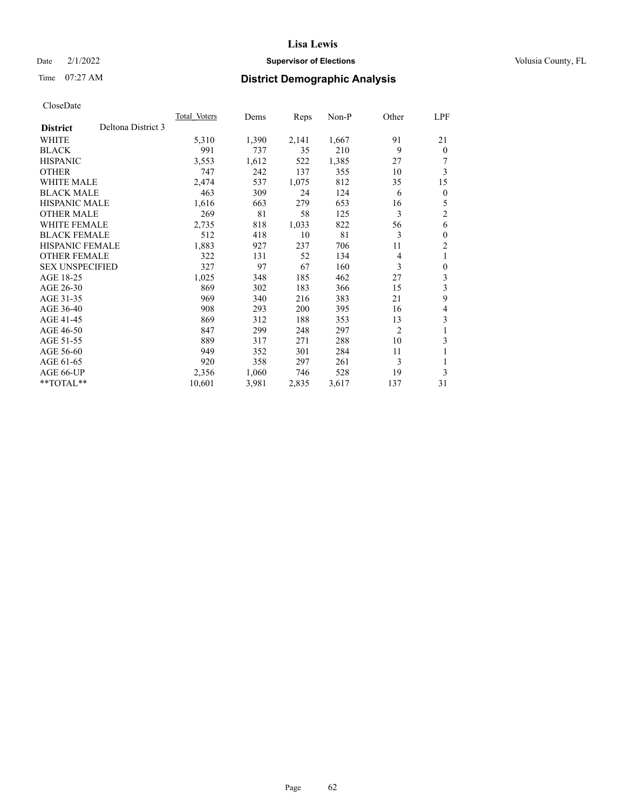## Date  $2/1/2022$  **Supervisor of Elections** Volusia County, FL

# Time 07:27 AM **District Demographic Analysis**

|                                       | Total Voters | Dems  | Reps  | $Non-P$ | Other | <u>LPF</u>     |
|---------------------------------------|--------------|-------|-------|---------|-------|----------------|
| Deltona District 3<br><b>District</b> |              |       |       |         |       |                |
| WHITE                                 | 5,310        | 1,390 | 2,141 | 1,667   | 91    | 21             |
| <b>BLACK</b>                          | 991          | 737   | 35    | 210     | 9     | $\theta$       |
| <b>HISPANIC</b>                       | 3,553        | 1,612 | 522   | 1,385   | 27    | 7              |
| <b>OTHER</b>                          | 747          | 242   | 137   | 355     | 10    | 3              |
| <b>WHITE MALE</b>                     | 2,474        | 537   | 1,075 | 812     | 35    | 15             |
| <b>BLACK MALE</b>                     | 463          | 309   | 24    | 124     | 6     | $\mathbf{0}$   |
| <b>HISPANIC MALE</b>                  | 1,616        | 663   | 279   | 653     | 16    | 5              |
| <b>OTHER MALE</b>                     | 269          | 81    | 58    | 125     | 3     | $\mathfrak{2}$ |
| <b>WHITE FEMALE</b>                   | 2,735        | 818   | 1,033 | 822     | 56    | 6              |
| <b>BLACK FEMALE</b>                   | 512          | 418   | 10    | 81      | 3     | $\mathbf{0}$   |
| <b>HISPANIC FEMALE</b>                | 1,883        | 927   | 237   | 706     | 11    | $\overline{2}$ |
| <b>OTHER FEMALE</b>                   | 322          | 131   | 52    | 134     | 4     | 1              |
| <b>SEX UNSPECIFIED</b>                | 327          | 97    | 67    | 160     | 3     | $\mathbf{0}$   |
| AGE 18-25                             | 1,025        | 348   | 185   | 462     | 27    | 3              |
| AGE 26-30                             | 869          | 302   | 183   | 366     | 15    | 3              |
| AGE 31-35                             | 969          | 340   | 216   | 383     | 21    | 9              |
| AGE 36-40                             | 908          | 293   | 200   | 395     | 16    | 4              |
| AGE 41-45                             | 869          | 312   | 188   | 353     | 13    | 3              |
| AGE 46-50                             | 847          | 299   | 248   | 297     | 2     | 1              |
| AGE 51-55                             | 889          | 317   | 271   | 288     | 10    | 3              |
| AGE 56-60                             | 949          | 352   | 301   | 284     | 11    | 1              |
| AGE 61-65                             | 920          | 358   | 297   | 261     | 3     | 1              |
| AGE 66-UP                             | 2,356        | 1,060 | 746   | 528     | 19    | 3              |
| $*$ $TOTAL**$                         | 10,601       | 3,981 | 2,835 | 3,617   | 137   | 31             |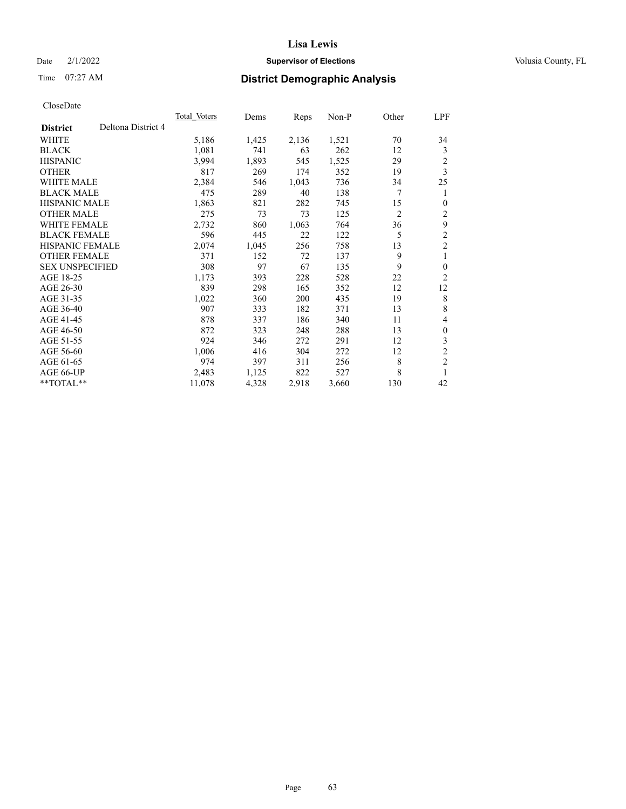## Date  $2/1/2022$  **Supervisor of Elections** Volusia County, FL

# Time 07:27 AM **District Demographic Analysis**

|                                       | <b>Total Voters</b> | Dems  | Reps  | $Non-P$ | Other          | LPF            |
|---------------------------------------|---------------------|-------|-------|---------|----------------|----------------|
| Deltona District 4<br><b>District</b> |                     |       |       |         |                |                |
| WHITE                                 | 5,186               | 1,425 | 2,136 | 1,521   | 70             | 34             |
| <b>BLACK</b>                          | 1,081               | 741   | 63    | 262     | 12             | 3              |
| <b>HISPANIC</b>                       | 3,994               | 1,893 | 545   | 1,525   | 29             | $\overline{c}$ |
| <b>OTHER</b>                          | 817                 | 269   | 174   | 352     | 19             | 3              |
| <b>WHITE MALE</b>                     | 2,384               | 546   | 1,043 | 736     | 34             | 25             |
| <b>BLACK MALE</b>                     | 475                 | 289   | 40    | 138     | 7              | 1              |
| <b>HISPANIC MALE</b>                  | 1,863               | 821   | 282   | 745     | 15             | $\theta$       |
| <b>OTHER MALE</b>                     | 275                 | 73    | 73    | 125     | $\overline{2}$ | 2              |
| <b>WHITE FEMALE</b>                   | 2,732               | 860   | 1,063 | 764     | 36             | 9              |
| <b>BLACK FEMALE</b>                   | 596                 | 445   | 22    | 122     | 5              | $\mathfrak{2}$ |
| <b>HISPANIC FEMALE</b>                | 2,074               | 1,045 | 256   | 758     | 13             | $\overline{2}$ |
| <b>OTHER FEMALE</b>                   | 371                 | 152   | 72    | 137     | 9              | 1              |
| <b>SEX UNSPECIFIED</b>                | 308                 | 97    | 67    | 135     | 9              | $\mathbf{0}$   |
| AGE 18-25                             | 1,173               | 393   | 228   | 528     | 22             | $\overline{2}$ |
| AGE 26-30                             | 839                 | 298   | 165   | 352     | 12             | 12             |
| AGE 31-35                             | 1,022               | 360   | 200   | 435     | 19             | 8              |
| AGE 36-40                             | 907                 | 333   | 182   | 371     | 13             | 8              |
| AGE 41-45                             | 878                 | 337   | 186   | 340     | 11             | 4              |
| AGE 46-50                             | 872                 | 323   | 248   | 288     | 13             | $\mathbf{0}$   |
| AGE 51-55                             | 924                 | 346   | 272   | 291     | 12             | 3              |
| AGE 56-60                             | 1,006               | 416   | 304   | 272     | 12             | $\overline{c}$ |
| AGE 61-65                             | 974                 | 397   | 311   | 256     | 8              | $\mathfrak{2}$ |
| AGE 66-UP                             | 2,483               | 1,125 | 822   | 527     | 8              | 1              |
| $*$ $TOTAL**$                         | 11,078              | 4,328 | 2,918 | 3,660   | 130            | 42             |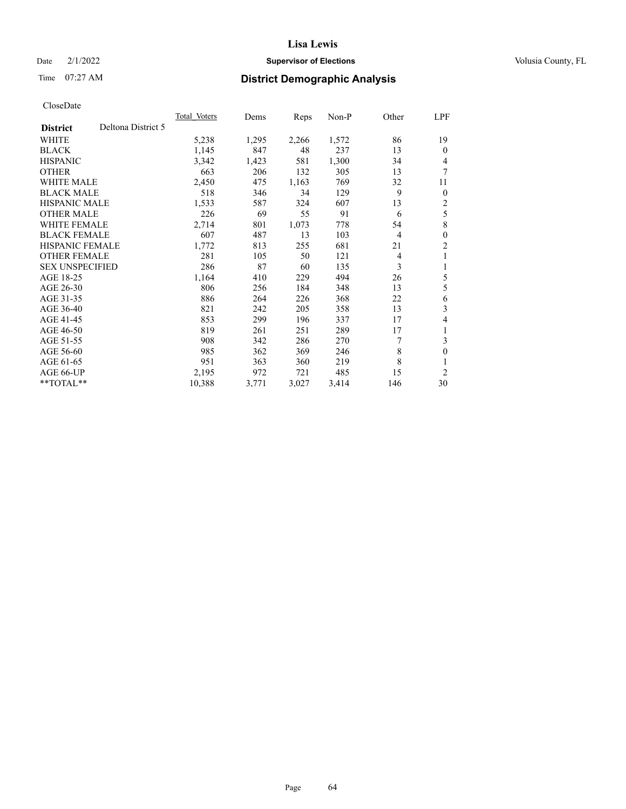## Date  $2/1/2022$  **Supervisor of Elections** Volusia County, FL

# Time 07:27 AM **District Demographic Analysis**

|                        |                    | <b>Total Voters</b> | Dems  | Reps  | $Non-P$ | Other          | LPF            |
|------------------------|--------------------|---------------------|-------|-------|---------|----------------|----------------|
| <b>District</b>        | Deltona District 5 |                     |       |       |         |                |                |
| WHITE                  |                    | 5,238               | 1,295 | 2,266 | 1,572   | 86             | 19             |
| <b>BLACK</b>           |                    | 1,145               | 847   | 48    | 237     | 13             | $\Omega$       |
| <b>HISPANIC</b>        |                    | 3,342               | 1,423 | 581   | 1,300   | 34             | 4              |
| <b>OTHER</b>           |                    | 663                 | 206   | 132   | 305     | 13             | 7              |
| <b>WHITE MALE</b>      |                    | 2,450               | 475   | 1,163 | 769     | 32             | 11             |
| <b>BLACK MALE</b>      |                    | 518                 | 346   | 34    | 129     | 9              | $\overline{0}$ |
| <b>HISPANIC MALE</b>   |                    | 1,533               | 587   | 324   | 607     | 13             | 2              |
| <b>OTHER MALE</b>      |                    | 226                 | 69    | 55    | 91      | 6              | 5              |
| <b>WHITE FEMALE</b>    |                    | 2,714               | 801   | 1,073 | 778     | 54             | 8              |
| <b>BLACK FEMALE</b>    |                    | 607                 | 487   | 13    | 103     | $\overline{4}$ | 0              |
| <b>HISPANIC FEMALE</b> |                    | 1,772               | 813   | 255   | 681     | 21             | 2              |
| <b>OTHER FEMALE</b>    |                    | 281                 | 105   | 50    | 121     | 4              | 1              |
| <b>SEX UNSPECIFIED</b> |                    | 286                 | 87    | 60    | 135     | 3              | 1              |
| AGE 18-25              |                    | 1,164               | 410   | 229   | 494     | 26             | 5              |
| AGE 26-30              |                    | 806                 | 256   | 184   | 348     | 13             | 5              |
| AGE 31-35              |                    | 886                 | 264   | 226   | 368     | 22             | 6              |
| AGE 36-40              |                    | 821                 | 242   | 205   | 358     | 13             | 3              |
| AGE 41-45              |                    | 853                 | 299   | 196   | 337     | 17             | 4              |
| AGE 46-50              |                    | 819                 | 261   | 251   | 289     | 17             |                |
| AGE 51-55              |                    | 908                 | 342   | 286   | 270     | 7              | 3              |
| AGE 56-60              |                    | 985                 | 362   | 369   | 246     | 8              | 0              |
| AGE 61-65              |                    | 951                 | 363   | 360   | 219     | 8              |                |
| AGE 66-UP              |                    | 2,195               | 972   | 721   | 485     | 15             | $\overline{c}$ |
| $*$ $TOTAL**$          |                    | 10,388              | 3,771 | 3,027 | 3,414   | 146            | 30             |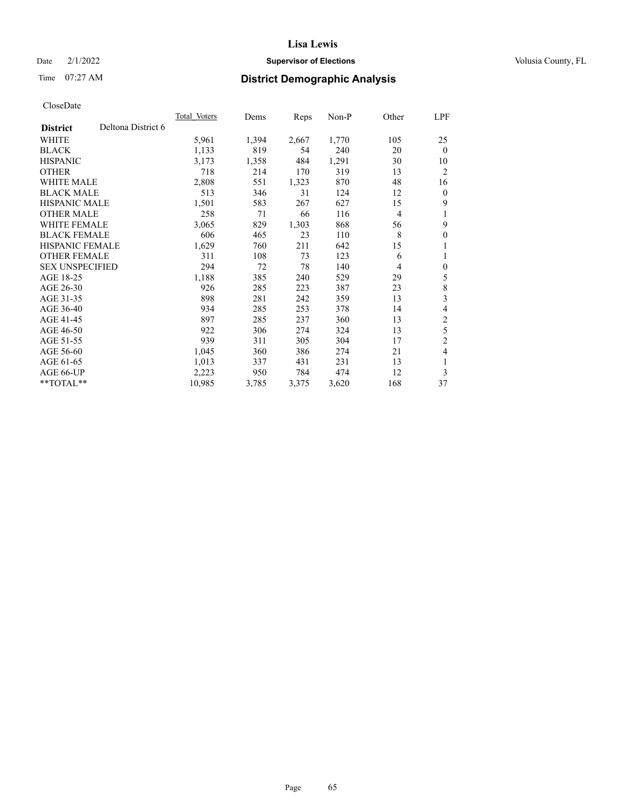## Date  $2/1/2022$  **Supervisor of Elections** Volusia County, FL

# Time 07:27 AM **District Demographic Analysis**

|                                       | Total Voters | Dems  | Reps  | $Non-P$ | Other          | LPF            |
|---------------------------------------|--------------|-------|-------|---------|----------------|----------------|
| Deltona District 6<br><b>District</b> |              |       |       |         |                |                |
| WHITE                                 | 5,961        | 1,394 | 2,667 | 1,770   | 105            | 25             |
| <b>BLACK</b>                          | 1,133        | 819   | 54    | 240     | 20             | $\mathbf{0}$   |
| <b>HISPANIC</b>                       | 3,173        | 1,358 | 484   | 1,291   | 30             | 10             |
| <b>OTHER</b>                          | 718          | 214   | 170   | 319     | 13             | $\overline{2}$ |
| <b>WHITE MALE</b>                     | 2,808        | 551   | 1,323 | 870     | 48             | 16             |
| <b>BLACK MALE</b>                     | 513          | 346   | 31    | 124     | 12             | $\mathbf{0}$   |
| <b>HISPANIC MALE</b>                  | 1,501        | 583   | 267   | 627     | 15             | 9              |
| <b>OTHER MALE</b>                     | 258          | 71    | 66    | 116     | $\overline{4}$ | 1              |
| <b>WHITE FEMALE</b>                   | 3,065        | 829   | 1,303 | 868     | 56             | 9              |
| <b>BLACK FEMALE</b>                   | 606          | 465   | 23    | 110     | 8              | $\mathbf{0}$   |
| <b>HISPANIC FEMALE</b>                | 1,629        | 760   | 211   | 642     | 15             | 1              |
| <b>OTHER FEMALE</b>                   | 311          | 108   | 73    | 123     | 6              | 1              |
| <b>SEX UNSPECIFIED</b>                | 294          | 72    | 78    | 140     | 4              | $\mathbf{0}$   |
| AGE 18-25                             | 1,188        | 385   | 240   | 529     | 29             | 5              |
| AGE 26-30                             | 926          | 285   | 223   | 387     | 23             | 8              |
| AGE 31-35                             | 898          | 281   | 242   | 359     | 13             | 3              |
| AGE 36-40                             | 934          | 285   | 253   | 378     | 14             | 4              |
| AGE 41-45                             | 897          | 285   | 237   | 360     | 13             | $\mathfrak{2}$ |
| AGE 46-50                             | 922          | 306   | 274   | 324     | 13             | 5              |
| AGE 51-55                             | 939          | 311   | 305   | 304     | 17             | $\overline{2}$ |
| AGE 56-60                             | 1,045        | 360   | 386   | 274     | 21             | 4              |
| AGE 61-65                             | 1,013        | 337   | 431   | 231     | 13             | 1              |
| AGE 66-UP                             | 2,223        | 950   | 784   | 474     | 12             | 3              |
| $*$ $TOTAL**$                         | 10,985       | 3,785 | 3,375 | 3,620   | 168            | 37             |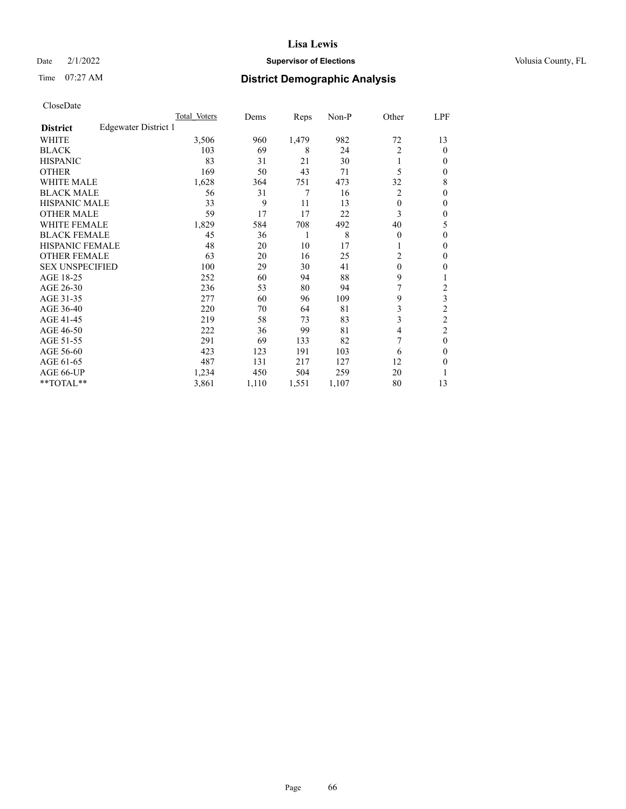## Date  $2/1/2022$  **Supervisor of Elections** Volusia County, FL

# Time 07:27 AM **District Demographic Analysis**

|                        |                      | Total Voters | Dems  | Reps  | Non-P | Other          | LPF            |
|------------------------|----------------------|--------------|-------|-------|-------|----------------|----------------|
| <b>District</b>        | Edgewater District 1 |              |       |       |       |                |                |
| WHITE                  |                      | 3,506        | 960   | 1,479 | 982   | 72             | 13             |
| <b>BLACK</b>           |                      | 103          | 69    | 8     | 24    | $\overline{2}$ | $\theta$       |
| <b>HISPANIC</b>        |                      | 83           | 31    | 21    | 30    | 1              | 0              |
| <b>OTHER</b>           |                      | 169          | 50    | 43    | 71    | 5              | 0              |
| WHITE MALE             |                      | 1,628        | 364   | 751   | 473   | 32             | 8              |
| <b>BLACK MALE</b>      |                      | 56           | 31    | 7     | 16    | 2              | $\mathbf{0}$   |
| <b>HISPANIC MALE</b>   |                      | 33           | 9     | 11    | 13    | $\mathbf{0}$   | 0              |
| <b>OTHER MALE</b>      |                      | 59           | 17    | 17    | 22    | 3              | 0              |
| <b>WHITE FEMALE</b>    |                      | 1,829        | 584   | 708   | 492   | 40             | 5              |
| <b>BLACK FEMALE</b>    |                      | 45           | 36    | 1     | 8     | $\theta$       | 0              |
| <b>HISPANIC FEMALE</b> |                      | 48           | 20    | 10    | 17    | 1              | 0              |
| <b>OTHER FEMALE</b>    |                      | 63           | 20    | 16    | 25    | 2              | 0              |
| <b>SEX UNSPECIFIED</b> |                      | 100          | 29    | 30    | 41    | $\theta$       | 0              |
| AGE 18-25              |                      | 252          | 60    | 94    | 88    | 9              |                |
| AGE 26-30              |                      | 236          | 53    | 80    | 94    | 7              | 2              |
| AGE 31-35              |                      | 277          | 60    | 96    | 109   | 9              | 3              |
| AGE 36-40              |                      | 220          | 70    | 64    | 81    | 3              | $\overline{c}$ |
| AGE 41-45              |                      | 219          | 58    | 73    | 83    | 3              | 2              |
| AGE 46-50              |                      | 222          | 36    | 99    | 81    | $\overline{4}$ | 2              |
| AGE 51-55              |                      | 291          | 69    | 133   | 82    |                | $\theta$       |
| AGE 56-60              |                      | 423          | 123   | 191   | 103   | 6              | 0              |
| AGE 61-65              |                      | 487          | 131   | 217   | 127   | 12             | 0              |
| AGE 66-UP              |                      | 1,234        | 450   | 504   | 259   | 20             |                |
| **TOTAL**              |                      | 3,861        | 1,110 | 1,551 | 1,107 | 80             | 13             |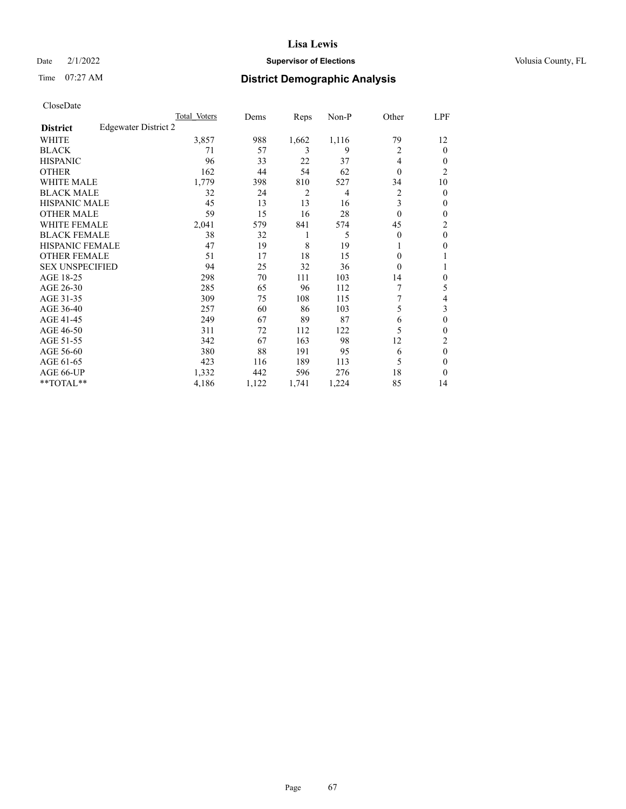## Date  $2/1/2022$  **Supervisor of Elections** Volusia County, FL

# Time 07:27 AM **District Demographic Analysis**

|                        | Total Voters         | Dems  | Reps  | Non-P | Other          | LPF            |
|------------------------|----------------------|-------|-------|-------|----------------|----------------|
| <b>District</b>        | Edgewater District 2 |       |       |       |                |                |
| WHITE                  | 3,857                | 988   | 1,662 | 1,116 | 79             | 12             |
| <b>BLACK</b>           | 71                   | 57    | 3     | 9     | 2              | 0              |
| <b>HISPANIC</b>        | 96                   | 33    | 22    | 37    | $\overline{4}$ | $_{0}$         |
| <b>OTHER</b>           | 162                  | 44    | 54    | 62    | $\theta$       | $\overline{c}$ |
| <b>WHITE MALE</b>      | 1,779                | 398   | 810   | 527   | 34             | 10             |
| <b>BLACK MALE</b>      | 32                   | 24    | 2     | 4     | 2              | 0              |
| <b>HISPANIC MALE</b>   | 45                   | 13    | 13    | 16    | 3              | 0              |
| <b>OTHER MALE</b>      | 59                   | 15    | 16    | 28    | $\theta$       | 0              |
| WHITE FEMALE           | 2,041                | 579   | 841   | 574   | 45             | 2              |
| <b>BLACK FEMALE</b>    | 38                   | 32    | 1     | 5     | $\theta$       | $\theta$       |
| <b>HISPANIC FEMALE</b> | 47                   | 19    | 8     | 19    |                | 0              |
| <b>OTHER FEMALE</b>    | 51                   | 17    | 18    | 15    | $\Omega$       |                |
| <b>SEX UNSPECIFIED</b> | 94                   | 25    | 32    | 36    | $\Omega$       |                |
| AGE 18-25              | 298                  | 70    | 111   | 103   | 14             | 0              |
| AGE 26-30              | 285                  | 65    | 96    | 112   | 7              | 5              |
| AGE 31-35              | 309                  | 75    | 108   | 115   | 7              | 4              |
| AGE 36-40              | 257                  | 60    | 86    | 103   | 5              | 3              |
| AGE 41-45              | 249                  | 67    | 89    | 87    | 6              | 0              |
| AGE 46-50              | 311                  | 72    | 112   | 122   | 5              | 0              |
| AGE 51-55              | 342                  | 67    | 163   | 98    | 12             | 2              |
| AGE 56-60              | 380                  | 88    | 191   | 95    | 6              | $\theta$       |
| AGE 61-65              | 423                  | 116   | 189   | 113   | 5              | 0              |
| AGE 66-UP              | 1,332                | 442   | 596   | 276   | 18             | 0              |
| **TOTAL**              | 4,186                | 1,122 | 1,741 | 1,224 | 85             | 14             |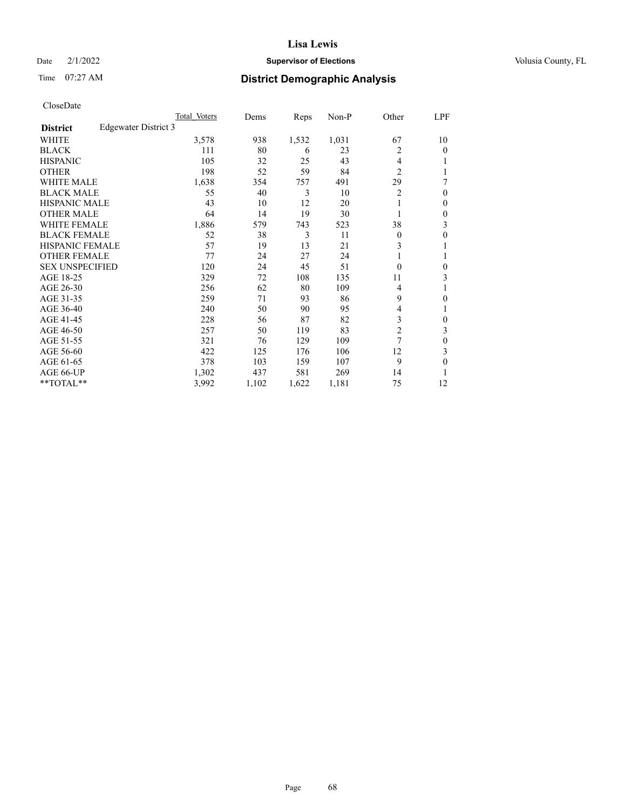## Date  $2/1/2022$  **Supervisor of Elections** Volusia County, FL

## Time 07:27 AM **District Demographic Analysis**

|                        |                      | Total Voters | Dems  | Reps  | Non-P | Other          | LPF |
|------------------------|----------------------|--------------|-------|-------|-------|----------------|-----|
| <b>District</b>        | Edgewater District 3 |              |       |       |       |                |     |
| WHITE                  |                      | 3,578        | 938   | 1,532 | 1,031 | 67             | 10  |
| <b>BLACK</b>           |                      | 111          | 80    | 6     | 23    | 2              | 0   |
| <b>HISPANIC</b>        |                      | 105          | 32    | 25    | 43    | 4              |     |
| <b>OTHER</b>           |                      | 198          | 52    | 59    | 84    | $\overline{2}$ |     |
| WHITE MALE             |                      | 1,638        | 354   | 757   | 491   | 29             | 7   |
| <b>BLACK MALE</b>      |                      | 55           | 40    | 3     | 10    | 2              | 0   |
| <b>HISPANIC MALE</b>   |                      | 43           | 10    | 12    | 20    |                | 0   |
| <b>OTHER MALE</b>      |                      | 64           | 14    | 19    | 30    |                | 0   |
| <b>WHITE FEMALE</b>    |                      | 1,886        | 579   | 743   | 523   | 38             | 3   |
| <b>BLACK FEMALE</b>    |                      | 52           | 38    | 3     | 11    | $\Omega$       | 0   |
| <b>HISPANIC FEMALE</b> |                      | 57           | 19    | 13    | 21    | 3              |     |
| <b>OTHER FEMALE</b>    |                      | 77           | 24    | 27    | 24    |                |     |
| <b>SEX UNSPECIFIED</b> |                      | 120          | 24    | 45    | 51    | $\Omega$       | 0   |
| AGE 18-25              |                      | 329          | 72    | 108   | 135   | 11             | 3   |
| AGE 26-30              |                      | 256          | 62    | 80    | 109   | 4              | 1   |
| AGE 31-35              |                      | 259          | 71    | 93    | 86    | 9              | 0   |
| AGE 36-40              |                      | 240          | 50    | 90    | 95    | 4              |     |
| AGE 41-45              |                      | 228          | 56    | 87    | 82    | 3              | 0   |
| AGE 46-50              |                      | 257          | 50    | 119   | 83    | $\overline{2}$ | 3   |
| AGE 51-55              |                      | 321          | 76    | 129   | 109   | 7              | 0   |
| AGE 56-60              |                      | 422          | 125   | 176   | 106   | 12             | 3   |
| AGE 61-65              |                      | 378          | 103   | 159   | 107   | 9              | 0   |
| AGE 66-UP              |                      | 1,302        | 437   | 581   | 269   | 14             |     |
| **TOTAL**              |                      | 3,992        | 1,102 | 1,622 | 1,181 | 75             | 12  |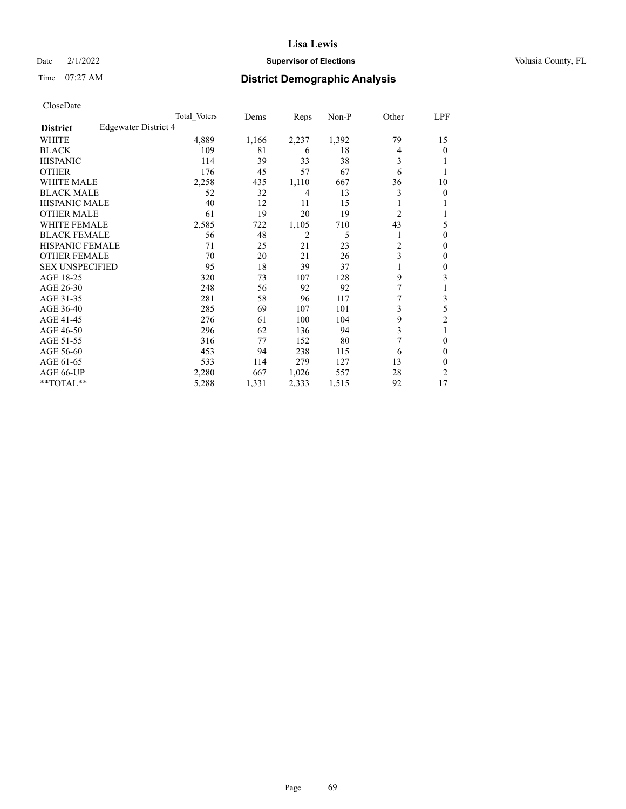## Date  $2/1/2022$  **Supervisor of Elections** Volusia County, FL

# Time 07:27 AM **District Demographic Analysis**

|                        |                      | Total Voters | Dems  | Reps  | Non-P | Other          | LPF |
|------------------------|----------------------|--------------|-------|-------|-------|----------------|-----|
| <b>District</b>        | Edgewater District 4 |              |       |       |       |                |     |
| WHITE                  |                      | 4,889        | 1,166 | 2,237 | 1,392 | 79             | 15  |
| <b>BLACK</b>           |                      | 109          | 81    | 6     | 18    | 4              | 0   |
| <b>HISPANIC</b>        |                      | 114          | 39    | 33    | 38    | 3              |     |
| <b>OTHER</b>           |                      | 176          | 45    | 57    | 67    | 6              |     |
| WHITE MALE             |                      | 2,258        | 435   | 1,110 | 667   | 36             | 10  |
| <b>BLACK MALE</b>      |                      | 52           | 32    | 4     | 13    | 3              | 0   |
| <b>HISPANIC MALE</b>   |                      | 40           | 12    | 11    | 15    |                |     |
| <b>OTHER MALE</b>      |                      | 61           | 19    | 20    | 19    | $\overline{2}$ |     |
| <b>WHITE FEMALE</b>    |                      | 2,585        | 722   | 1,105 | 710   | 43             | 5   |
| <b>BLACK FEMALE</b>    |                      | 56           | 48    | 2     | 5     |                | 0   |
| <b>HISPANIC FEMALE</b> |                      | 71           | 25    | 21    | 23    | $\overline{c}$ | 0   |
| <b>OTHER FEMALE</b>    |                      | 70           | 20    | 21    | 26    | 3              | 0   |
| <b>SEX UNSPECIFIED</b> |                      | 95           | 18    | 39    | 37    |                | 0   |
| AGE 18-25              |                      | 320          | 73    | 107   | 128   | 9              | 3   |
| AGE 26-30              |                      | 248          | 56    | 92    | 92    | 7              | 1   |
| AGE 31-35              |                      | 281          | 58    | 96    | 117   | 7              | 3   |
| AGE 36-40              |                      | 285          | 69    | 107   | 101   | 3              | 5   |
| AGE 41-45              |                      | 276          | 61    | 100   | 104   | 9              | 2   |
| AGE 46-50              |                      | 296          | 62    | 136   | 94    | 3              | 1   |
| AGE 51-55              |                      | 316          | 77    | 152   | 80    | 7              | 0   |
| AGE 56-60              |                      | 453          | 94    | 238   | 115   | 6              | 0   |
| AGE 61-65              |                      | 533          | 114   | 279   | 127   | 13             | 0   |
| AGE 66-UP              |                      | 2,280        | 667   | 1,026 | 557   | 28             | 2   |
| **TOTAL**              |                      | 5,288        | 1,331 | 2,333 | 1,515 | 92             | 17  |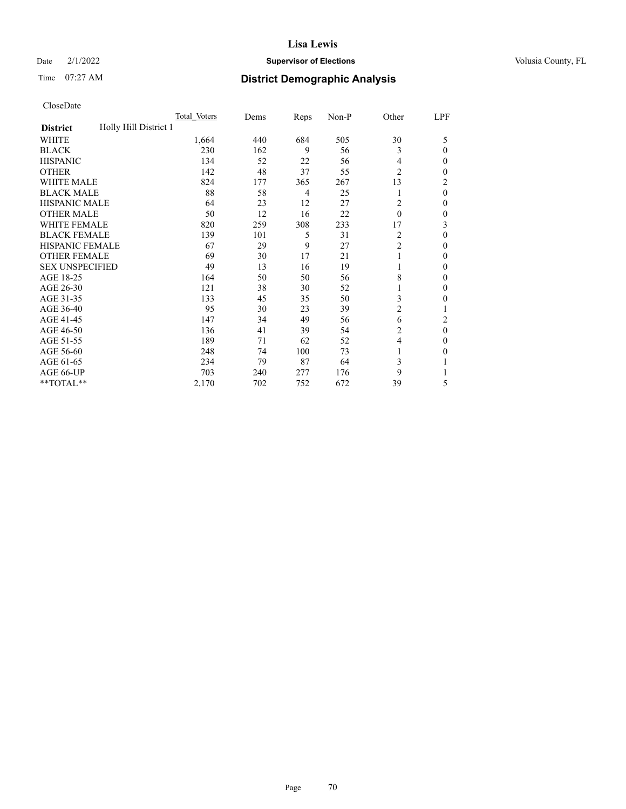## Date  $2/1/2022$  **Supervisor of Elections** Volusia County, FL

# Time 07:27 AM **District Demographic Analysis**

|                                          | Total Voters | Dems | Reps | Non-P | Other          | LPF          |
|------------------------------------------|--------------|------|------|-------|----------------|--------------|
| Holly Hill District 1<br><b>District</b> |              |      |      |       |                |              |
| WHITE                                    | 1,664        | 440  | 684  | 505   | 30             | 5            |
| <b>BLACK</b>                             | 230          | 162  | 9    | 56    | 3              | $\Omega$     |
| <b>HISPANIC</b>                          | 134          | 52   | 22   | 56    | 4              | $\Omega$     |
| <b>OTHER</b>                             | 142          | 48   | 37   | 55    | $\overline{2}$ | 0            |
| <b>WHITE MALE</b>                        | 824          | 177  | 365  | 267   | 13             | 2            |
| <b>BLACK MALE</b>                        | 88           | 58   | 4    | 25    | 1              | $\theta$     |
| <b>HISPANIC MALE</b>                     | 64           | 23   | 12   | 27    | 2              | $\mathbf{0}$ |
| <b>OTHER MALE</b>                        | 50           | 12   | 16   | 22    | $\theta$       | 0            |
| <b>WHITE FEMALE</b>                      | 820          | 259  | 308  | 233   | 17             | 3            |
| <b>BLACK FEMALE</b>                      | 139          | 101  | 5    | 31    | 2              | $\Omega$     |
| <b>HISPANIC FEMALE</b>                   | 67           | 29   | 9    | 27    | $\overline{c}$ | 0            |
| <b>OTHER FEMALE</b>                      | 69           | 30   | 17   | 21    | 1              | 0            |
| <b>SEX UNSPECIFIED</b>                   | 49           | 13   | 16   | 19    | 1              | 0            |
| AGE 18-25                                | 164          | 50   | 50   | 56    | 8              | $\Omega$     |
| AGE 26-30                                | 121          | 38   | 30   | 52    | 1              | $\mathbf{0}$ |
| AGE 31-35                                | 133          | 45   | 35   | 50    | 3              | 0            |
| AGE 36-40                                | 95           | 30   | 23   | 39    | 2              |              |
| AGE 41-45                                | 147          | 34   | 49   | 56    | 6              | 2            |
| AGE 46-50                                | 136          | 41   | 39   | 54    | 2              | $\theta$     |
| AGE 51-55                                | 189          | 71   | 62   | 52    | $\overline{4}$ | $\Omega$     |
| AGE 56-60                                | 248          | 74   | 100  | 73    | 1              | 0            |
| AGE 61-65                                | 234          | 79   | 87   | 64    | 3              |              |
| AGE 66-UP                                | 703          | 240  | 277  | 176   | 9              |              |
| **TOTAL**                                | 2,170        | 702  | 752  | 672   | 39             | 5            |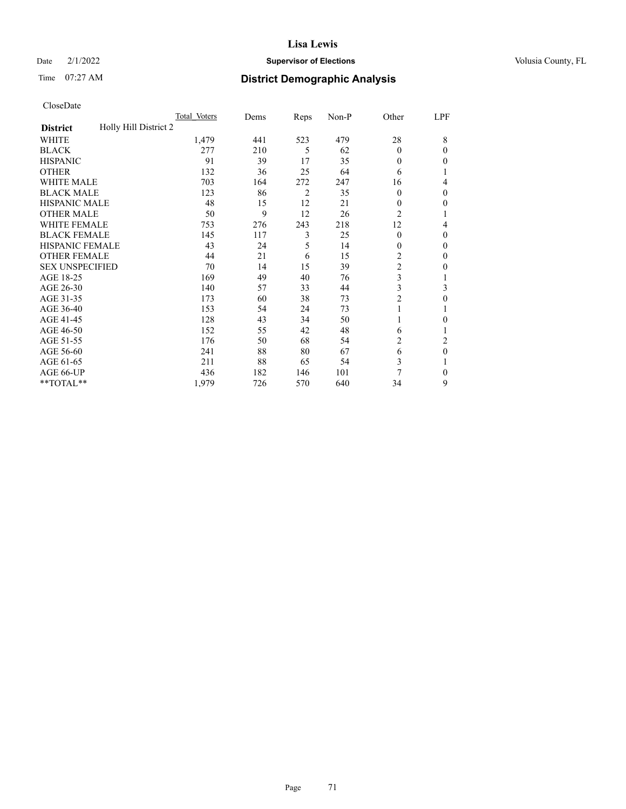## Date  $2/1/2022$  **Supervisor of Elections** Volusia County, FL

# Time 07:27 AM **District Demographic Analysis**

|                                          | Total Voters | Dems | Reps           | Non-P | Other          | LPF            |
|------------------------------------------|--------------|------|----------------|-------|----------------|----------------|
| Holly Hill District 2<br><b>District</b> |              |      |                |       |                |                |
| WHITE                                    | 1,479        | 441  | 523            | 479   | 28             | 8              |
| <b>BLACK</b>                             | 277          | 210  | 5              | 62    | $\theta$       | 0              |
| <b>HISPANIC</b>                          | 91           | 39   | 17             | 35    | $\theta$       | 0              |
| <b>OTHER</b>                             | 132          | 36   | 25             | 64    | 6              |                |
| WHITE MALE                               | 703          | 164  | 272            | 247   | 16             | 4              |
| <b>BLACK MALE</b>                        | 123          | 86   | $\overline{c}$ | 35    | $\theta$       | $\Omega$       |
| <b>HISPANIC MALE</b>                     | 48           | 15   | 12             | 21    | $\theta$       | 0              |
| <b>OTHER MALE</b>                        | 50           | 9    | 12             | 26    | $\overline{2}$ | 1              |
| WHITE FEMALE                             | 753          | 276  | 243            | 218   | 12             | 4              |
| <b>BLACK FEMALE</b>                      | 145          | 117  | 3              | 25    | $\theta$       | 0              |
| <b>HISPANIC FEMALE</b>                   | 43           | 24   | 5              | 14    | $\theta$       | 0              |
| <b>OTHER FEMALE</b>                      | 44           | 21   | 6              | 15    | 2              | 0              |
| <b>SEX UNSPECIFIED</b>                   | 70           | 14   | 15             | 39    | $\overline{c}$ | 0              |
| AGE 18-25                                | 169          | 49   | 40             | 76    | 3              |                |
| AGE 26-30                                | 140          | 57   | 33             | 44    | 3              | 3              |
| AGE 31-35                                | 173          | 60   | 38             | 73    | $\overline{c}$ | 0              |
| AGE 36-40                                | 153          | 54   | 24             | 73    |                |                |
| AGE 41-45                                | 128          | 43   | 34             | 50    |                | 0              |
| AGE 46-50                                | 152          | 55   | 42             | 48    | 6              |                |
| AGE 51-55                                | 176          | 50   | 68             | 54    | 2              | $\overline{c}$ |
| AGE 56-60                                | 241          | 88   | 80             | 67    | 6              | $\theta$       |
| AGE 61-65                                | 211          | 88   | 65             | 54    | 3              |                |
| AGE 66-UP                                | 436          | 182  | 146            | 101   | 7              | 0              |
| **TOTAL**                                | 1,979        | 726  | 570            | 640   | 34             | 9              |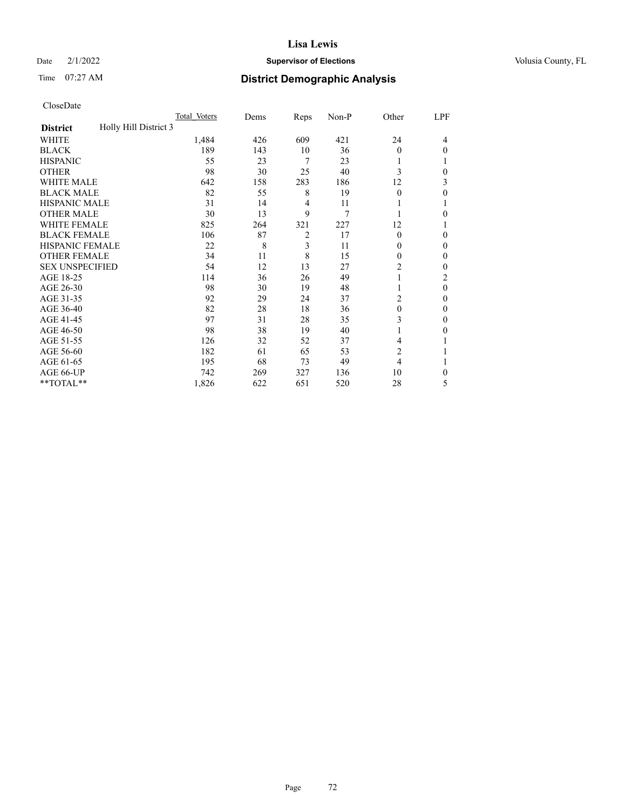## Date  $2/1/2022$  **Supervisor of Elections** Volusia County, FL

# Time 07:27 AM **District Demographic Analysis**

|                                          | Total Voters | Dems | Reps           | Non-P | Other          | LPF      |
|------------------------------------------|--------------|------|----------------|-------|----------------|----------|
| Holly Hill District 3<br><b>District</b> |              |      |                |       |                |          |
| WHITE                                    | 1,484        | 426  | 609            | 421   | 24             | 4        |
| <b>BLACK</b>                             | 189          | 143  | 10             | 36    | $\Omega$       | 0        |
| <b>HISPANIC</b>                          | 55           | 23   | 7              | 23    |                |          |
| <b>OTHER</b>                             | 98           | 30   | 25             | 40    | 3              | 0        |
| WHITE MALE                               | 642          | 158  | 283            | 186   | 12             | 3        |
| <b>BLACK MALE</b>                        | 82           | 55   | 8              | 19    | $\Omega$       | 0        |
| <b>HISPANIC MALE</b>                     | 31           | 14   | 4              | 11    |                |          |
| <b>OTHER MALE</b>                        | 30           | 13   | 9              | 7     |                | 0        |
| <b>WHITE FEMALE</b>                      | 825          | 264  | 321            | 227   | 12             |          |
| <b>BLACK FEMALE</b>                      | 106          | 87   | $\overline{2}$ | 17    | $\theta$       | 0        |
| <b>HISPANIC FEMALE</b>                   | 22           | 8    | 3              | 11    | 0              | 0        |
| <b>OTHER FEMALE</b>                      | 34           | 11   | 8              | 15    | $\Omega$       | 0        |
| <b>SEX UNSPECIFIED</b>                   | 54           | 12   | 13             | 27    | $\overline{2}$ | 0        |
| AGE 18-25                                | 114          | 36   | 26             | 49    |                | 2        |
| AGE 26-30                                | 98           | 30   | 19             | 48    | 1              | $\theta$ |
| AGE 31-35                                | 92           | 29   | 24             | 37    | 2              | 0        |
| AGE 36-40                                | 82           | 28   | 18             | 36    | $\theta$       | 0        |
| AGE 41-45                                | 97           | 31   | 28             | 35    | 3              | 0        |
| AGE 46-50                                | 98           | 38   | 19             | 40    |                | 0        |
| AGE 51-55                                | 126          | 32   | 52             | 37    | 4              |          |
| AGE 56-60                                | 182          | 61   | 65             | 53    | $\overline{c}$ |          |
| AGE 61-65                                | 195          | 68   | 73             | 49    | 4              |          |
| AGE 66-UP                                | 742          | 269  | 327            | 136   | 10             | 0        |
| **TOTAL**                                | 1,826        | 622  | 651            | 520   | 28             | 5        |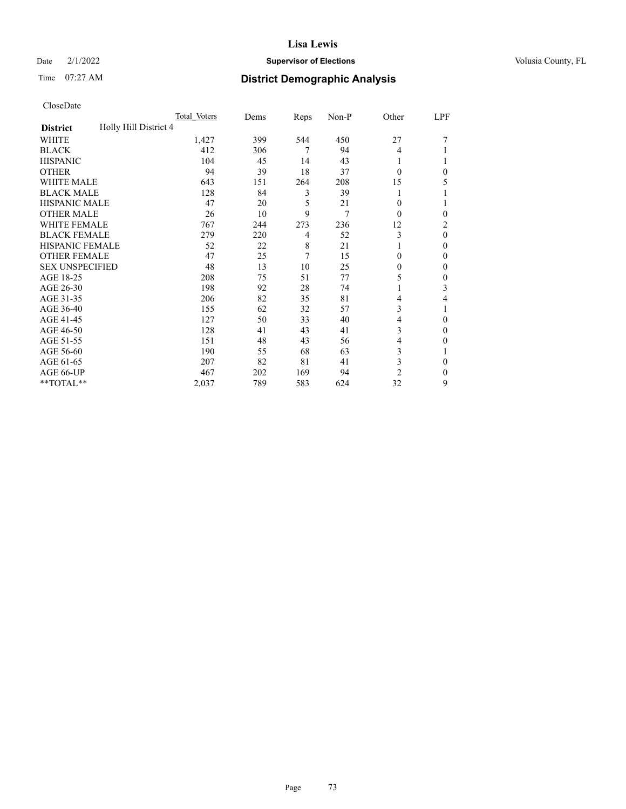# Date  $2/1/2022$  **Supervisor of Elections** Volusia County, FL

# Time 07:27 AM **District Demographic Analysis**

|                                          | Total Voters | Dems | Reps | Non-P | Other          | LPF            |
|------------------------------------------|--------------|------|------|-------|----------------|----------------|
| Holly Hill District 4<br><b>District</b> |              |      |      |       |                |                |
| WHITE                                    | 1,427        | 399  | 544  | 450   | 27             |                |
| <b>BLACK</b>                             | 412          | 306  | 7    | 94    | 4              |                |
| <b>HISPANIC</b>                          | 104          | 45   | 14   | 43    | 1              |                |
| <b>OTHER</b>                             | 94           | 39   | 18   | 37    | $\theta$       | 0              |
| <b>WHITE MALE</b>                        | 643          | 151  | 264  | 208   | 15             | 5              |
| <b>BLACK MALE</b>                        | 128          | 84   | 3    | 39    |                |                |
| <b>HISPANIC MALE</b>                     | 47           | 20   | 5    | 21    | 0              |                |
| <b>OTHER MALE</b>                        | 26           | 10   | 9    | 7     | $\theta$       | 0              |
| <b>WHITE FEMALE</b>                      | 767          | 244  | 273  | 236   | 12             | $\overline{2}$ |
| <b>BLACK FEMALE</b>                      | 279          | 220  | 4    | 52    | 3              | $\theta$       |
| <b>HISPANIC FEMALE</b>                   | 52           | 22   | 8    | 21    |                | $\Omega$       |
| <b>OTHER FEMALE</b>                      | 47           | 25   | 7    | 15    | 0              | $\Omega$       |
| <b>SEX UNSPECIFIED</b>                   | 48           | 13   | 10   | 25    | 0              | $\theta$       |
| AGE 18-25                                | 208          | 75   | 51   | 77    | 5              | $\mathbf{0}$   |
| AGE 26-30                                | 198          | 92   | 28   | 74    | 1              | 3              |
| AGE 31-35                                | 206          | 82   | 35   | 81    | 4              | 4              |
| AGE 36-40                                | 155          | 62   | 32   | 57    | 3              |                |
| AGE 41-45                                | 127          | 50   | 33   | 40    | 4              | $\theta$       |
| AGE 46-50                                | 128          | 41   | 43   | 41    | 3              | $\Omega$       |
| AGE 51-55                                | 151          | 48   | 43   | 56    | 4              | 0              |
| AGE 56-60                                | 190          | 55   | 68   | 63    | 3              |                |
| AGE 61-65                                | 207          | 82   | 81   | 41    | 3              | $\theta$       |
| AGE 66-UP                                | 467          | 202  | 169  | 94    | $\overline{2}$ | $\Omega$       |
| **TOTAL**                                | 2,037        | 789  | 583  | 624   | 32             | 9              |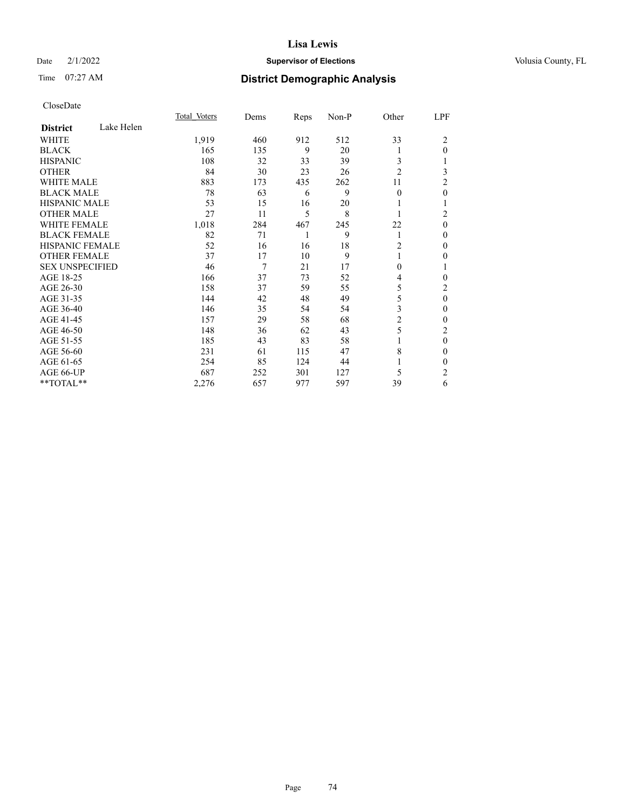# Date  $2/1/2022$  **Supervisor of Elections** Volusia County, FL

# Time 07:27 AM **District Demographic Analysis**

|                        |            | Total Voters | Dems | Reps | Non-P | Other          | LPF            |
|------------------------|------------|--------------|------|------|-------|----------------|----------------|
| <b>District</b>        | Lake Helen |              |      |      |       |                |                |
| WHITE                  |            | 1,919        | 460  | 912  | 512   | 33             | 2              |
| <b>BLACK</b>           |            | 165          | 135  | 9    | 20    |                | $\theta$       |
| <b>HISPANIC</b>        |            | 108          | 32   | 33   | 39    | 3              |                |
| <b>OTHER</b>           |            | 84           | 30   | 23   | 26    | $\overline{2}$ | 3              |
| WHITE MALE             |            | 883          | 173  | 435  | 262   | 11             | 2              |
| <b>BLACK MALE</b>      |            | 78           | 63   | 6    | 9     | $\theta$       | $\theta$       |
| <b>HISPANIC MALE</b>   |            | 53           | 15   | 16   | 20    |                | 1              |
| <b>OTHER MALE</b>      |            | 27           | 11   | 5    | 8     | 1              | $\overline{2}$ |
| <b>WHITE FEMALE</b>    |            | 1,018        | 284  | 467  | 245   | 22             | $\theta$       |
| <b>BLACK FEMALE</b>    |            | 82           | 71   | 1    | 9     | 1              | $\theta$       |
| <b>HISPANIC FEMALE</b> |            | 52           | 16   | 16   | 18    | 2              | $\Omega$       |
| <b>OTHER FEMALE</b>    |            | 37           | 17   | 10   | 9     |                | 0              |
| <b>SEX UNSPECIFIED</b> |            | 46           | 7    | 21   | 17    | $\theta$       | 1              |
| AGE 18-25              |            | 166          | 37   | 73   | 52    | 4              | $\theta$       |
| AGE 26-30              |            | 158          | 37   | 59   | 55    | 5              | $\overline{2}$ |
| AGE 31-35              |            | 144          | 42   | 48   | 49    | 5              | $\mathbf{0}$   |
| AGE 36-40              |            | 146          | 35   | 54   | 54    | 3              | $\theta$       |
| AGE 41-45              |            | 157          | 29   | 58   | 68    | 2              | $\theta$       |
| AGE 46-50              |            | 148          | 36   | 62   | 43    | 5              | $\overline{2}$ |
| AGE 51-55              |            | 185          | 43   | 83   | 58    |                | $\mathbf{0}$   |
| AGE 56-60              |            | 231          | 61   | 115  | 47    | 8              | $\theta$       |
| AGE 61-65              |            | 254          | 85   | 124  | 44    |                | $\theta$       |
| AGE 66-UP              |            | 687          | 252  | 301  | 127   | 5              | $\overline{2}$ |
| **TOTAL**              |            | 2,276        | 657  | 977  | 597   | 39             | 6              |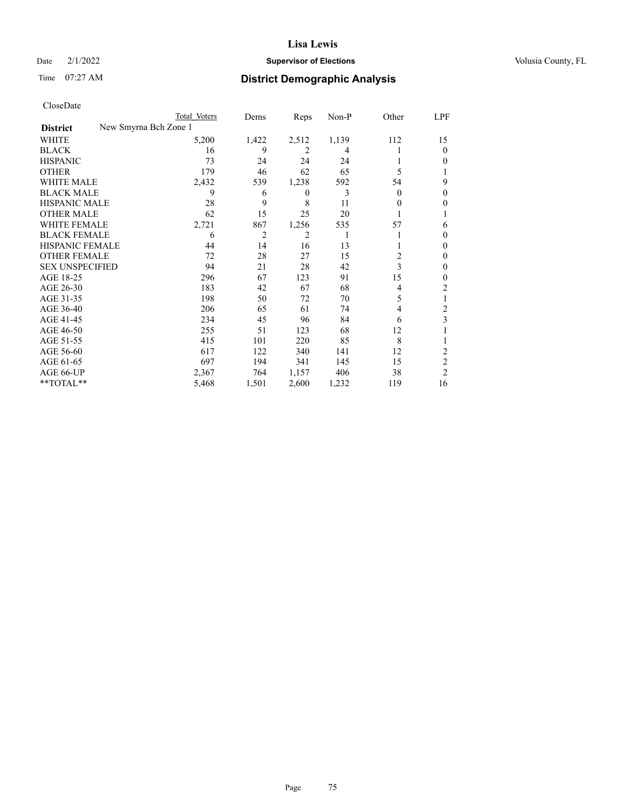# Date  $2/1/2022$  **Supervisor of Elections** Volusia County, FL

|                                          | Total Voters | Dems  | Reps  | Non-P | Other | LPF            |
|------------------------------------------|--------------|-------|-------|-------|-------|----------------|
| New Smyrna Bch Zone 1<br><b>District</b> |              |       |       |       |       |                |
| WHITE                                    | 5,200        | 1,422 | 2,512 | 1,139 | 112   | 15             |
| <b>BLACK</b>                             | 16           | 9     | 2     | 4     |       | 0              |
| <b>HISPANIC</b>                          | 73           | 24    | 24    | 24    |       | 0              |
| <b>OTHER</b>                             | 179          | 46    | 62    | 65    | 5     |                |
| <b>WHITE MALE</b>                        | 2,432        | 539   | 1,238 | 592   | 54    | 9              |
| <b>BLACK MALE</b>                        | 9            | 6     | 0     | 3     | 0     | 0              |
| <b>HISPANIC MALE</b>                     | 28           | 9     | 8     | 11    | 0     | 0              |
| <b>OTHER MALE</b>                        | 62           | 15    | 25    | 20    |       |                |
| <b>WHITE FEMALE</b>                      | 2,721        | 867   | 1,256 | 535   | 57    | 6              |
| <b>BLACK FEMALE</b>                      | 6            | 2     | 2     | 1     |       | $_{0}$         |
| <b>HISPANIC FEMALE</b>                   | 44           | 14    | 16    | 13    |       | 0              |
| <b>OTHER FEMALE</b>                      | 72           | 28    | 27    | 15    | 2     | 0              |
| <b>SEX UNSPECIFIED</b>                   | 94           | 21    | 28    | 42    | 3     | 0              |
| AGE 18-25                                | 296          | 67    | 123   | 91    | 15    | 0              |
| AGE 26-30                                | 183          | 42    | 67    | 68    | 4     | 2              |
| AGE 31-35                                | 198          | 50    | 72    | 70    | 5     |                |
| AGE 36-40                                | 206          | 65    | 61    | 74    | 4     | 2              |
| AGE 41-45                                | 234          | 45    | 96    | 84    | 6     | 3              |
| AGE 46-50                                | 255          | 51    | 123   | 68    | 12    |                |
| AGE 51-55                                | 415          | 101   | 220   | 85    | 8     |                |
| AGE 56-60                                | 617          | 122   | 340   | 141   | 12    | 2              |
| AGE 61-65                                | 697          | 194   | 341   | 145   | 15    | $\overline{c}$ |
| AGE 66-UP                                | 2,367        | 764   | 1,157 | 406   | 38    | $\overline{2}$ |
| **TOTAL**                                | 5,468        | 1,501 | 2,600 | 1,232 | 119   | 16             |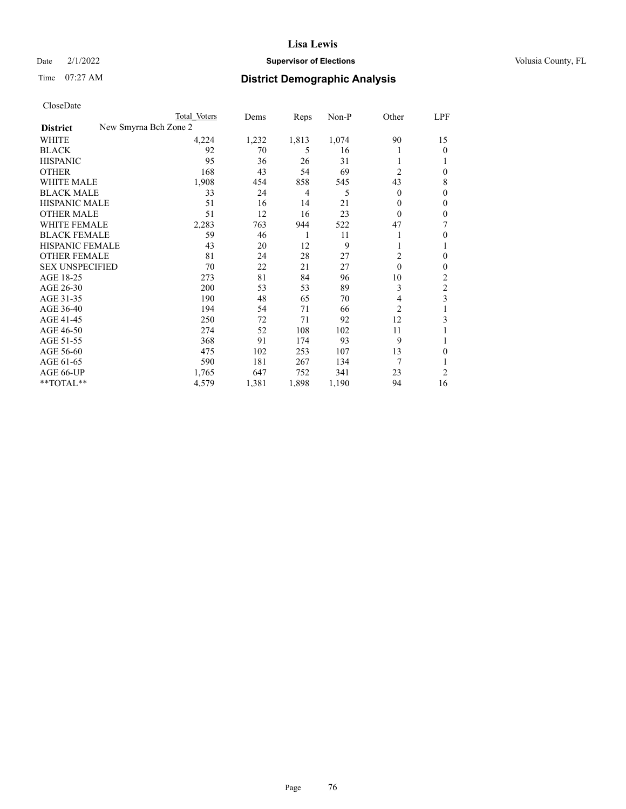# Date  $2/1/2022$  **Supervisor of Elections** Volusia County, FL

| CloseDate |
|-----------|
|-----------|

|                        |                       | Total Voters | Dems  | Reps           | Non-P | Other          | LPF          |
|------------------------|-----------------------|--------------|-------|----------------|-------|----------------|--------------|
| <b>District</b>        | New Smyrna Bch Zone 2 |              |       |                |       |                |              |
| WHITE                  |                       | 4,224        | 1,232 | 1,813          | 1,074 | 90             | 15           |
| <b>BLACK</b>           |                       | 92           | 70    | 5              | 16    |                | $\Omega$     |
| <b>HISPANIC</b>        |                       | 95           | 36    | 26             | 31    |                |              |
| <b>OTHER</b>           |                       | 168          | 43    | 54             | 69    | $\overline{2}$ | $\theta$     |
| <b>WHITE MALE</b>      |                       | 1,908        | 454   | 858            | 545   | 43             | 8            |
| <b>BLACK MALE</b>      |                       | 33           | 24    | $\overline{4}$ | 5     | $\theta$       | $\theta$     |
| <b>HISPANIC MALE</b>   |                       | 51           | 16    | 14             | 21    | 0              | $\mathbf{0}$ |
| <b>OTHER MALE</b>      |                       | 51           | 12    | 16             | 23    | $\Omega$       | $\mathbf{0}$ |
| WHITE FEMALE           |                       | 2,283        | 763   | 944            | 522   | 47             | 7            |
| <b>BLACK FEMALE</b>    |                       | 59           | 46    | 1              | 11    |                | $\theta$     |
| HISPANIC FEMALE        |                       | 43           | 20    | 12             | 9     |                |              |
| <b>OTHER FEMALE</b>    |                       | 81           | 24    | 28             | 27    | 2              | $\Omega$     |
| <b>SEX UNSPECIFIED</b> |                       | 70           | 22    | 21             | 27    | $\theta$       | $\theta$     |
| AGE 18-25              |                       | 273          | 81    | 84             | 96    | 10             | 2            |
| AGE 26-30              |                       | 200          | 53    | 53             | 89    | 3              | 2            |
| AGE 31-35              |                       | 190          | 48    | 65             | 70    | 4              | 3            |
| AGE 36-40              |                       | 194          | 54    | 71             | 66    | $\overline{c}$ |              |
| AGE 41-45              |                       | 250          | 72    | 71             | 92    | 12             | 3            |
| AGE 46-50              |                       | 274          | 52    | 108            | 102   | 11             |              |
| AGE 51-55              |                       | 368          | 91    | 174            | 93    | 9              |              |
| AGE 56-60              |                       | 475          | 102   | 253            | 107   | 13             | $\Omega$     |
| AGE 61-65              |                       | 590          | 181   | 267            | 134   | 7              |              |
| AGE 66-UP              |                       | 1,765        | 647   | 752            | 341   | 23             | 2            |
| **TOTAL**              |                       | 4,579        | 1,381 | 1,898          | 1,190 | 94             | 16           |
|                        |                       |              |       |                |       |                |              |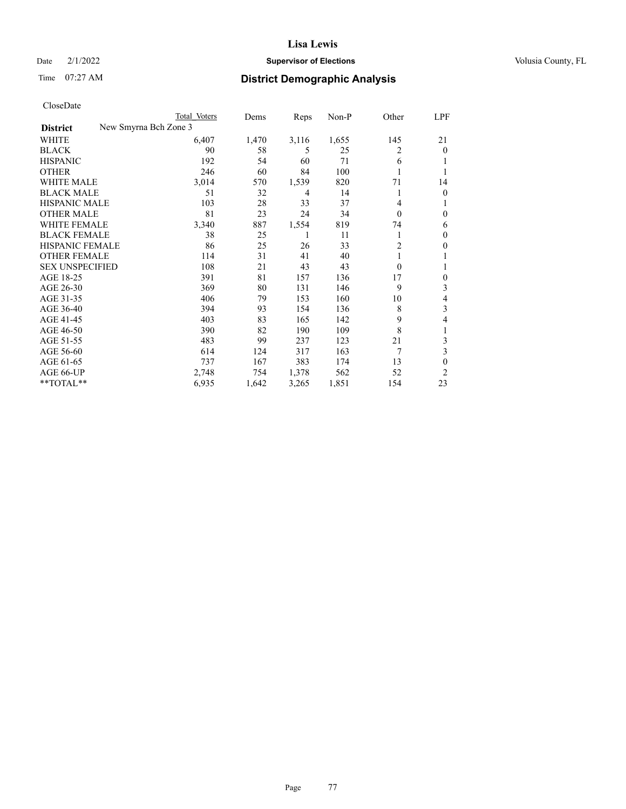# Date  $2/1/2022$  **Supervisor of Elections** Volusia County, FL

| CloseDate |
|-----------|
|-----------|

|                        |                       | Total Voters | Dems  | Reps  | Non-P | Other          | LPF          |
|------------------------|-----------------------|--------------|-------|-------|-------|----------------|--------------|
| <b>District</b>        | New Smyrna Bch Zone 3 |              |       |       |       |                |              |
| WHITE                  |                       | 6,407        | 1,470 | 3,116 | 1,655 | 145            | 21           |
| <b>BLACK</b>           |                       | 90           | 58    | 5     | 25    | 2              | $\Omega$     |
| <b>HISPANIC</b>        |                       | 192          | 54    | 60    | 71    | 6              |              |
| <b>OTHER</b>           |                       | 246          | 60    | 84    | 100   | 1              |              |
| <b>WHITE MALE</b>      |                       | 3,014        | 570   | 1,539 | 820   | 71             | 14           |
| <b>BLACK MALE</b>      |                       | 51           | 32    | 4     | 14    | 1              | $\theta$     |
| <b>HISPANIC MALE</b>   |                       | 103          | 28    | 33    | 37    | 4              | 1            |
| <b>OTHER MALE</b>      |                       | 81           | 23    | 24    | 34    | $\theta$       | $\theta$     |
| <b>WHITE FEMALE</b>    |                       | 3,340        | 887   | 1,554 | 819   | 74             | 6            |
| <b>BLACK FEMALE</b>    |                       | 38           | 25    | 1     | 11    |                | $\theta$     |
| HISPANIC FEMALE        |                       | 86           | 25    | 26    | 33    | $\overline{c}$ | $\mathbf{0}$ |
| <b>OTHER FEMALE</b>    |                       | 114          | 31    | 41    | 40    | 1              | 1            |
| <b>SEX UNSPECIFIED</b> |                       | 108          | 21    | 43    | 43    | $\theta$       | 1            |
| AGE 18-25              |                       | 391          | 81    | 157   | 136   | 17             | $\theta$     |
| AGE 26-30              |                       | 369          | 80    | 131   | 146   | 9              | 3            |
| AGE 31-35              |                       | 406          | 79    | 153   | 160   | 10             | 4            |
| AGE 36-40              |                       | 394          | 93    | 154   | 136   | 8              | 3            |
| AGE 41-45              |                       | 403          | 83    | 165   | 142   | 9              | 4            |
| AGE 46-50              |                       | 390          | 82    | 190   | 109   | 8              | 1            |
| AGE 51-55              |                       | 483          | 99    | 237   | 123   | 21             | 3            |
| AGE 56-60              |                       | 614          | 124   | 317   | 163   | 7              | 3            |
| AGE 61-65              |                       | 737          | 167   | 383   | 174   | 13             | 0            |
| AGE 66-UP              |                       | 2,748        | 754   | 1,378 | 562   | 52             | 2            |
| **TOTAL**              |                       | 6,935        | 1,642 | 3,265 | 1,851 | 154            | 23           |
|                        |                       |              |       |       |       |                |              |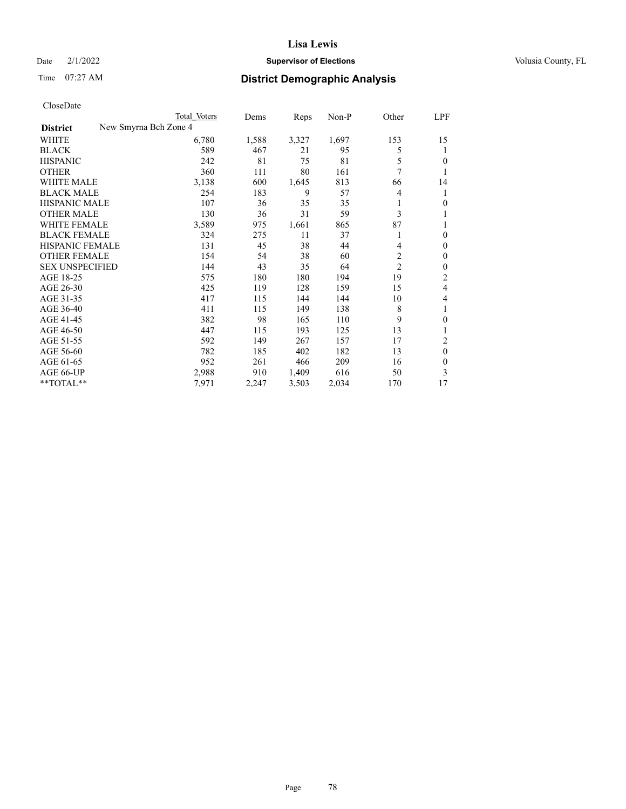# Date  $2/1/2022$  **Supervisor of Elections** Volusia County, FL

| CloseDate |
|-----------|
|-----------|

|                        | Total Voters          | Dems  | Reps  | $Non-P$ | Other          | LPF      |
|------------------------|-----------------------|-------|-------|---------|----------------|----------|
| <b>District</b>        | New Smyrna Bch Zone 4 |       |       |         |                |          |
| WHITE                  | 6,780                 | 1,588 | 3,327 | 1,697   | 153            | 15       |
| <b>BLACK</b>           | 589                   | 467   | 21    | 95      | 5              | 1        |
| <b>HISPANIC</b>        | 242                   | 81    | 75    | 81      | 5              | 0        |
| <b>OTHER</b>           | 360                   | 111   | 80    | 161     | 7              |          |
| <b>WHITE MALE</b>      | 3,138                 | 600   | 1,645 | 813     | 66             | 14       |
| <b>BLACK MALE</b>      | 254                   | 183   | 9     | 57      | 4              | 1        |
| <b>HISPANIC MALE</b>   | 107                   | 36    | 35    | 35      | 1              | 0        |
| <b>OTHER MALE</b>      | 130                   | 36    | 31    | 59      | 3              |          |
| WHITE FEMALE           | 3,589                 | 975   | 1,661 | 865     | 87             | 1        |
| <b>BLACK FEMALE</b>    | 324                   | 275   | 11    | 37      | 1              | 0        |
| HISPANIC FEMALE        | 131                   | 45    | 38    | 44      | 4              | 0        |
| <b>OTHER FEMALE</b>    | 154                   | 54    | 38    | 60      | 2              | 0        |
| <b>SEX UNSPECIFIED</b> | 144                   | 43    | 35    | 64      | $\overline{c}$ | 0        |
| AGE 18-25              | 575                   | 180   | 180   | 194     | 19             | 2        |
| AGE 26-30              | 425                   | 119   | 128   | 159     | 15             | 4        |
| AGE 31-35              | 417                   | 115   | 144   | 144     | 10             | 4        |
| AGE 36-40              | 411                   | 115   | 149   | 138     | 8              | 1        |
| AGE 41-45              | 382                   | 98    | 165   | 110     | 9              | 0        |
| AGE 46-50              | 447                   | 115   | 193   | 125     | 13             |          |
| AGE 51-55              | 592                   | 149   | 267   | 157     | 17             | 2        |
| AGE 56-60              | 782                   | 185   | 402   | 182     | 13             | $\theta$ |
| AGE 61-65              | 952                   | 261   | 466   | 209     | 16             | $\Omega$ |
| AGE 66-UP              | 2,988                 | 910   | 1,409 | 616     | 50             | 3        |
| **TOTAL**              | 7,971                 | 2,247 | 3,503 | 2,034   | 170            | 17       |
|                        |                       |       |       |         |                |          |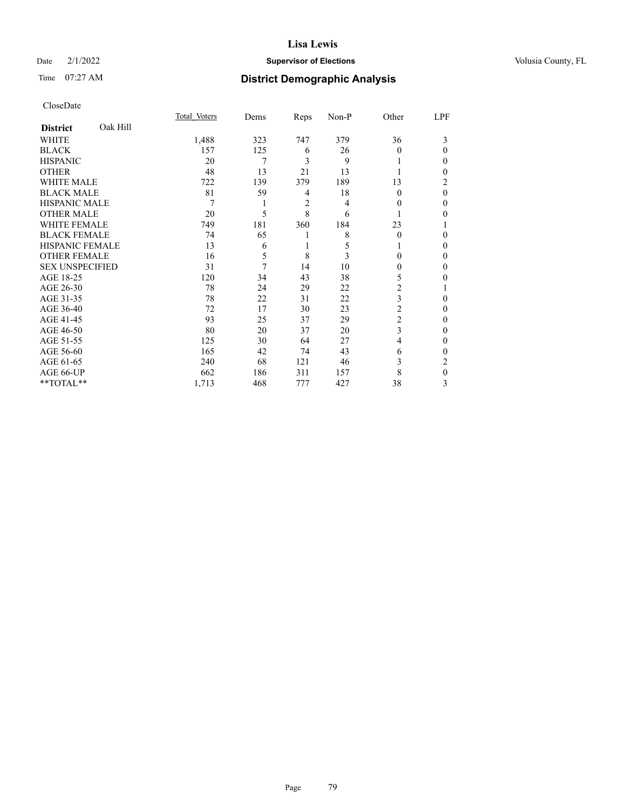### Date  $2/1/2022$  **Supervisor of Elections** Volusia County, FL

# Time 07:27 AM **District Demographic Analysis**

|                        |          | Total Voters | Dems | Reps | Non-P | Other    | LPF |
|------------------------|----------|--------------|------|------|-------|----------|-----|
| <b>District</b>        | Oak Hill |              |      |      |       |          |     |
| WHITE                  |          | 1,488        | 323  | 747  | 379   | 36       | 3   |
| <b>BLACK</b>           |          | 157          | 125  | 6    | 26    | 0        | 0   |
| <b>HISPANIC</b>        |          | 20           | 7    | 3    | 9     |          | 0   |
| <b>OTHER</b>           |          | 48           | 13   | 21   | 13    |          | 0   |
| WHITE MALE             |          | 722          | 139  | 379  | 189   | 13       | 2   |
| <b>BLACK MALE</b>      |          | 81           | 59   | 4    | 18    | $\Omega$ | 0   |
| <b>HISPANIC MALE</b>   |          | 7            |      | 2    | 4     | $_{0}$   | 0   |
| <b>OTHER MALE</b>      |          | 20           | 5    | 8    | 6     |          | 0   |
| <b>WHITE FEMALE</b>    |          | 749          | 181  | 360  | 184   | 23       |     |
| <b>BLACK FEMALE</b>    |          | 74           | 65   | 1    | 8     | $\Omega$ | 0   |
| <b>HISPANIC FEMALE</b> |          | 13           | 6    | 1    | 5     |          | 0   |
| <b>OTHER FEMALE</b>    |          | 16           | 5    | 8    | 3     | 0        | 0   |
| <b>SEX UNSPECIFIED</b> |          | 31           | 7    | 14   | 10    | 0        | 0   |
| AGE 18-25              |          | 120          | 34   | 43   | 38    | 5        | 0   |
| AGE 26-30              |          | 78           | 24   | 29   | 22    | 2        |     |
| AGE 31-35              |          | 78           | 22   | 31   | 22    | 3        | 0   |
| AGE 36-40              |          | 72           | 17   | 30   | 23    | 2        | 0   |
| AGE 41-45              |          | 93           | 25   | 37   | 29    | 2        | 0   |
| AGE 46-50              |          | 80           | 20   | 37   | 20    | 3        | 0   |
| AGE 51-55              |          | 125          | 30   | 64   | 27    | 4        | 0   |
| AGE 56-60              |          | 165          | 42   | 74   | 43    | 6        | 0   |
| AGE 61-65              |          | 240          | 68   | 121  | 46    | 3        | 2   |
| AGE 66-UP              |          | 662          | 186  | 311  | 157   | 8        | 0   |
| **TOTAL**              |          | 1,713        | 468  | 777  | 427   | 38       | 3   |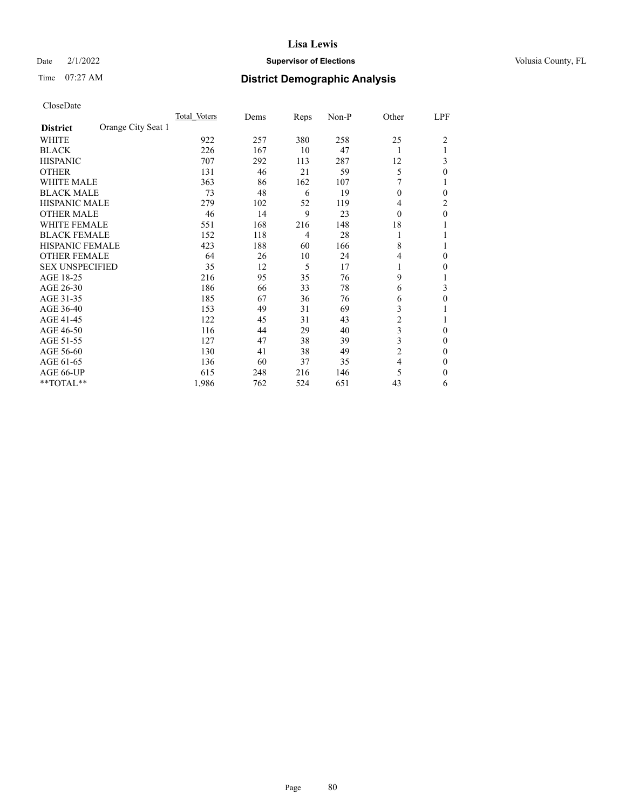# Date  $2/1/2022$  **Supervisor of Elections** Volusia County, FL

# Time 07:27 AM **District Demographic Analysis**

|                        |                    | Total Voters | Dems | Reps | Non-P | Other          | LPF            |
|------------------------|--------------------|--------------|------|------|-------|----------------|----------------|
| <b>District</b>        | Orange City Seat 1 |              |      |      |       |                |                |
| WHITE                  |                    | 922          | 257  | 380  | 258   | 25             | $\overline{2}$ |
| <b>BLACK</b>           |                    | 226          | 167  | 10   | 47    | 1              |                |
| <b>HISPANIC</b>        |                    | 707          | 292  | 113  | 287   | 12             | 3              |
| <b>OTHER</b>           |                    | 131          | 46   | 21   | 59    | 5              | 0              |
| <b>WHITE MALE</b>      |                    | 363          | 86   | 162  | 107   |                |                |
| <b>BLACK MALE</b>      |                    | 73           | 48   | 6    | 19    | $\theta$       | 0              |
| <b>HISPANIC MALE</b>   |                    | 279          | 102  | 52   | 119   | 4              | 2              |
| <b>OTHER MALE</b>      |                    | 46           | 14   | 9    | 23    | $\theta$       | $\mathbf{0}$   |
| WHITE FEMALE           |                    | 551          | 168  | 216  | 148   | 18             |                |
| <b>BLACK FEMALE</b>    |                    | 152          | 118  | 4    | 28    | 1              |                |
| <b>HISPANIC FEMALE</b> |                    | 423          | 188  | 60   | 166   | 8              |                |
| <b>OTHER FEMALE</b>    |                    | 64           | 26   | 10   | 24    | 4              | $\Omega$       |
| <b>SEX UNSPECIFIED</b> |                    | 35           | 12   | 5    | 17    | 1              | 0              |
| AGE 18-25              |                    | 216          | 95   | 35   | 76    | 9              |                |
| AGE 26-30              |                    | 186          | 66   | 33   | 78    | 6              | 3              |
| AGE 31-35              |                    | 185          | 67   | 36   | 76    | 6              | 0              |
| AGE 36-40              |                    | 153          | 49   | 31   | 69    | 3              |                |
| AGE 41-45              |                    | 122          | 45   | 31   | 43    | $\overline{c}$ |                |
| AGE 46-50              |                    | 116          | 44   | 29   | 40    | 3              | $\Omega$       |
| AGE 51-55              |                    | 127          | 47   | 38   | 39    | 3              | 0              |
| AGE 56-60              |                    | 130          | 41   | 38   | 49    | $\overline{c}$ | 0              |
| AGE 61-65              |                    | 136          | 60   | 37   | 35    | $\overline{4}$ | $\mathbf{0}$   |
| AGE 66-UP              |                    | 615          | 248  | 216  | 146   | 5              | $\Omega$       |
| **TOTAL**              |                    | 1,986        | 762  | 524  | 651   | 43             | 6              |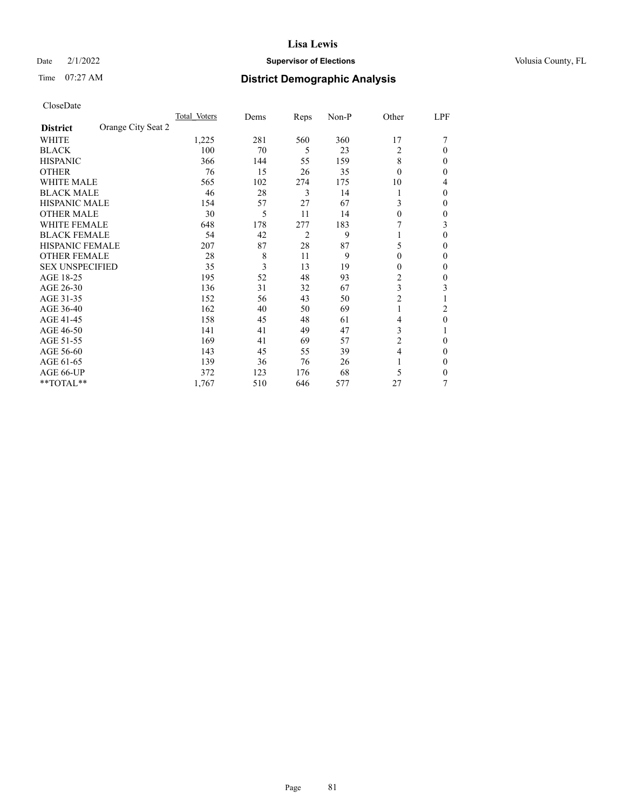# Date  $2/1/2022$  **Supervisor of Elections** Volusia County, FL

# Time 07:27 AM **District Demographic Analysis**

|                                       | Total Voters | Dems | Reps           | Non-P | Other          | LPF    |
|---------------------------------------|--------------|------|----------------|-------|----------------|--------|
| Orange City Seat 2<br><b>District</b> |              |      |                |       |                |        |
| WHITE                                 | 1,225        | 281  | 560            | 360   | 17             |        |
| <b>BLACK</b>                          | 100          | 70   | 5              | 23    | 2              | 0      |
| <b>HISPANIC</b>                       | 366          | 144  | 55             | 159   | 8              | $_{0}$ |
| <b>OTHER</b>                          | 76           | 15   | 26             | 35    | $\Omega$       | 0      |
| <b>WHITE MALE</b>                     | 565          | 102  | 274            | 175   | 10             | 4      |
| <b>BLACK MALE</b>                     | 46           | 28   | 3              | 14    |                | 0      |
| <b>HISPANIC MALE</b>                  | 154          | 57   | 27             | 67    | 3              | 0      |
| <b>OTHER MALE</b>                     | 30           | 5    | 11             | 14    | $\theta$       | 0      |
| WHITE FEMALE                          | 648          | 178  | 277            | 183   |                | 3      |
| <b>BLACK FEMALE</b>                   | 54           | 42   | $\overline{2}$ | 9     |                | 0      |
| <b>HISPANIC FEMALE</b>                | 207          | 87   | 28             | 87    | 5              | 0      |
| <b>OTHER FEMALE</b>                   | 28           | 8    | 11             | 9     | $\theta$       | 0      |
| <b>SEX UNSPECIFIED</b>                | 35           | 3    | 13             | 19    | 0              | 0      |
| AGE 18-25                             | 195          | 52   | 48             | 93    | $\overline{2}$ | 0      |
| AGE 26-30                             | 136          | 31   | 32             | 67    | 3              | 3      |
| AGE 31-35                             | 152          | 56   | 43             | 50    | $\overline{c}$ |        |
| AGE 36-40                             | 162          | 40   | 50             | 69    | 1              | 2      |
| AGE 41-45                             | 158          | 45   | 48             | 61    | 4              | 0      |
| AGE 46-50                             | 141          | 41   | 49             | 47    | 3              |        |
| AGE 51-55                             | 169          | 41   | 69             | 57    | 2              | 0      |
| AGE 56-60                             | 143          | 45   | 55             | 39    | 4              | 0      |
| AGE 61-65                             | 139          | 36   | 76             | 26    |                | 0      |
| AGE 66-UP                             | 372          | 123  | 176            | 68    | 5              | 0      |
| **TOTAL**                             | 1,767        | 510  | 646            | 577   | 27             | 7      |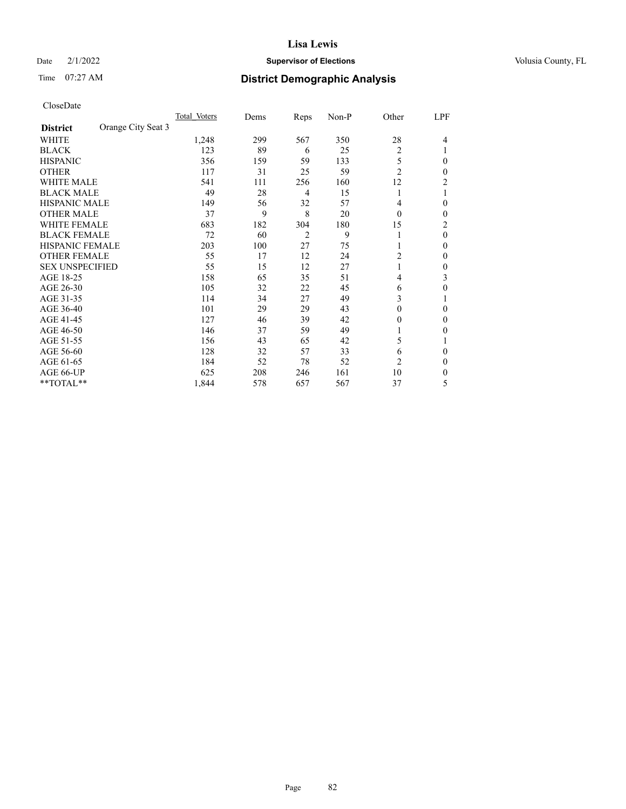# Date  $2/1/2022$  **Supervisor of Elections** Volusia County, FL

# Time 07:27 AM **District Demographic Analysis**

|                        |                    | Total Voters | Dems | Reps           | Non-P | Other          | LPF            |
|------------------------|--------------------|--------------|------|----------------|-------|----------------|----------------|
| <b>District</b>        | Orange City Seat 3 |              |      |                |       |                |                |
| WHITE                  |                    | 1,248        | 299  | 567            | 350   | 28             | 4              |
| <b>BLACK</b>           |                    | 123          | 89   | 6              | 25    | 2              |                |
| <b>HISPANIC</b>        |                    | 356          | 159  | 59             | 133   | 5              | $\Omega$       |
| <b>OTHER</b>           |                    | 117          | 31   | 25             | 59    | $\overline{2}$ | 0              |
| <b>WHITE MALE</b>      |                    | 541          | 111  | 256            | 160   | 12             | 2              |
| <b>BLACK MALE</b>      |                    | 49           | 28   | 4              | 15    | 1              |                |
| <b>HISPANIC MALE</b>   |                    | 149          | 56   | 32             | 57    | 4              | 0              |
| <b>OTHER MALE</b>      |                    | 37           | 9    | 8              | 20    | $\theta$       | 0              |
| WHITE FEMALE           |                    | 683          | 182  | 304            | 180   | 15             | $\overline{c}$ |
| <b>BLACK FEMALE</b>    |                    | 72           | 60   | $\overline{2}$ | 9     | 1              | $\theta$       |
| <b>HISPANIC FEMALE</b> |                    | 203          | 100  | 27             | 75    | 1              | 0              |
| <b>OTHER FEMALE</b>    |                    | 55           | 17   | 12             | 24    | 2              | 0              |
| <b>SEX UNSPECIFIED</b> |                    | 55           | 15   | 12             | 27    | 1              | 0              |
| AGE 18-25              |                    | 158          | 65   | 35             | 51    | 4              | 3              |
| AGE 26-30              |                    | 105          | 32   | 22             | 45    | 6              | 0              |
| AGE 31-35              |                    | 114          | 34   | 27             | 49    | 3              |                |
| AGE 36-40              |                    | 101          | 29   | 29             | 43    | $\theta$       | 0              |
| AGE 41-45              |                    | 127          | 46   | 39             | 42    | $\theta$       | 0              |
| AGE 46-50              |                    | 146          | 37   | 59             | 49    | 1              | 0              |
| AGE 51-55              |                    | 156          | 43   | 65             | 42    | 5              |                |
| AGE 56-60              |                    | 128          | 32   | 57             | 33    | 6              | 0              |
| AGE 61-65              |                    | 184          | 52   | 78             | 52    | 2              | 0              |
| AGE 66-UP              |                    | 625          | 208  | 246            | 161   | 10             | 0              |
| **TOTAL**              |                    | 1,844        | 578  | 657            | 567   | 37             | 5              |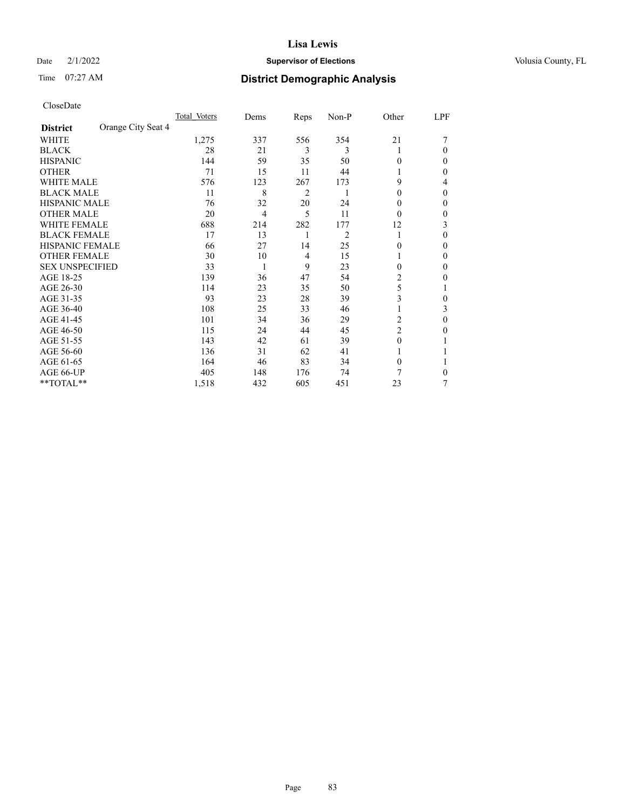# Date  $2/1/2022$  **Supervisor of Elections** Volusia County, FL

# Time 07:27 AM **District Demographic Analysis**

|                        |                    | Total Voters | Dems | Reps | Non-P          | Other          | LPF    |
|------------------------|--------------------|--------------|------|------|----------------|----------------|--------|
| <b>District</b>        | Orange City Seat 4 |              |      |      |                |                |        |
| WHITE                  |                    | 1,275        | 337  | 556  | 354            | 21             |        |
| <b>BLACK</b>           |                    | 28           | 21   | 3    | 3              | 1              | 0      |
| <b>HISPANIC</b>        |                    | 144          | 59   | 35   | 50             | 0              | $_{0}$ |
| <b>OTHER</b>           |                    | 71           | 15   | 11   | 44             |                | 0      |
| <b>WHITE MALE</b>      |                    | 576          | 123  | 267  | 173            | 9              | 4      |
| <b>BLACK MALE</b>      |                    | 11           | 8    | 2    | 1              | $\theta$       | 0      |
| <b>HISPANIC MALE</b>   |                    | 76           | 32   | 20   | 24             | 0              | 0      |
| <b>OTHER MALE</b>      |                    | 20           | 4    | 5    | 11             | $\theta$       | 0      |
| WHITE FEMALE           |                    | 688          | 214  | 282  | 177            | 12             | 3      |
| <b>BLACK FEMALE</b>    |                    | 17           | 13   | 1    | $\overline{2}$ | 1              | 0      |
| <b>HISPANIC FEMALE</b> |                    | 66           | 27   | 14   | 25             | 0              | 0      |
| <b>OTHER FEMALE</b>    |                    | 30           | 10   | 4    | 15             |                | 0      |
| <b>SEX UNSPECIFIED</b> |                    | 33           | 1    | 9    | 23             | $\Omega$       | 0      |
| AGE 18-25              |                    | 139          | 36   | 47   | 54             | 2              | 0      |
| AGE 26-30              |                    | 114          | 23   | 35   | 50             | 5              |        |
| AGE 31-35              |                    | 93           | 23   | 28   | 39             | 3              | 0      |
| AGE 36-40              |                    | 108          | 25   | 33   | 46             |                | 3      |
| AGE 41-45              |                    | 101          | 34   | 36   | 29             | 2              | 0      |
| AGE 46-50              |                    | 115          | 24   | 44   | 45             | $\overline{2}$ | 0      |
| AGE 51-55              |                    | 143          | 42   | 61   | 39             | $\Omega$       |        |
| AGE 56-60              |                    | 136          | 31   | 62   | 41             |                |        |
| AGE 61-65              |                    | 164          | 46   | 83   | 34             | $\theta$       |        |
| AGE 66-UP              |                    | 405          | 148  | 176  | 74             | 7              | 0      |
| **TOTAL**              |                    | 1,518        | 432  | 605  | 451            | 23             | 7      |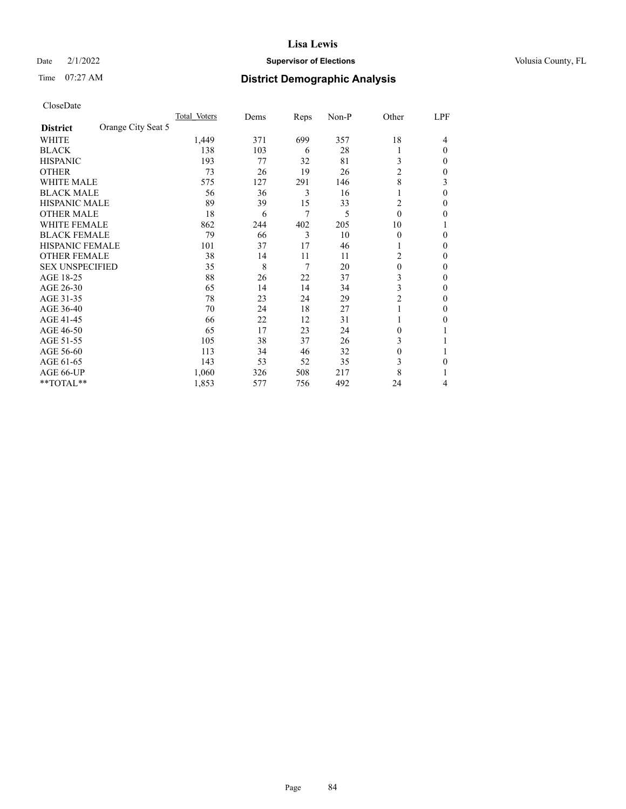# Date  $2/1/2022$  **Supervisor of Elections** Volusia County, FL

# Time 07:27 AM **District Demographic Analysis**

|                        |                    | Total Voters | Dems | Reps | Non-P | Other          | LPF      |
|------------------------|--------------------|--------------|------|------|-------|----------------|----------|
| <b>District</b>        | Orange City Seat 5 |              |      |      |       |                |          |
| WHITE                  |                    | 1,449        | 371  | 699  | 357   | 18             | 4        |
| <b>BLACK</b>           |                    | 138          | 103  | 6    | 28    |                | $\Omega$ |
| <b>HISPANIC</b>        |                    | 193          | 77   | 32   | 81    | 3              | 0        |
| <b>OTHER</b>           |                    | 73           | 26   | 19   | 26    | $\overline{c}$ | 0        |
| WHITE MALE             |                    | 575          | 127  | 291  | 146   | 8              | 3        |
| <b>BLACK MALE</b>      |                    | 56           | 36   | 3    | 16    |                | $\Omega$ |
| <b>HISPANIC MALE</b>   |                    | 89           | 39   | 15   | 33    | 2              | 0        |
| <b>OTHER MALE</b>      |                    | 18           | 6    | 7    | 5     | $\theta$       | 0        |
| WHITE FEMALE           |                    | 862          | 244  | 402  | 205   | 10             |          |
| <b>BLACK FEMALE</b>    |                    | 79           | 66   | 3    | 10    | $\Omega$       | 0        |
| <b>HISPANIC FEMALE</b> |                    | 101          | 37   | 17   | 46    |                | 0        |
| <b>OTHER FEMALE</b>    |                    | 38           | 14   | 11   | 11    | 2              | 0        |
| <b>SEX UNSPECIFIED</b> |                    | 35           | 8    | 7    | 20    | $\theta$       | 0        |
| AGE 18-25              |                    | 88           | 26   | 22   | 37    | 3              | 0        |
| AGE 26-30              |                    | 65           | 14   | 14   | 34    | 3              | 0        |
| AGE 31-35              |                    | 78           | 23   | 24   | 29    | $\overline{c}$ | 0        |
| AGE 36-40              |                    | 70           | 24   | 18   | 27    | 1              | 0        |
| AGE 41-45              |                    | 66           | 22   | 12   | 31    |                | 0        |
| AGE 46-50              |                    | 65           | 17   | 23   | 24    | $\Omega$       |          |
| AGE 51-55              |                    | 105          | 38   | 37   | 26    | 3              |          |
| AGE 56-60              |                    | 113          | 34   | 46   | 32    | $\theta$       |          |
| AGE 61-65              |                    | 143          | 53   | 52   | 35    | 3              | 0        |
| AGE 66-UP              |                    | 1,060        | 326  | 508  | 217   | 8              |          |
| **TOTAL**              |                    | 1,853        | 577  | 756  | 492   | 24             | 4        |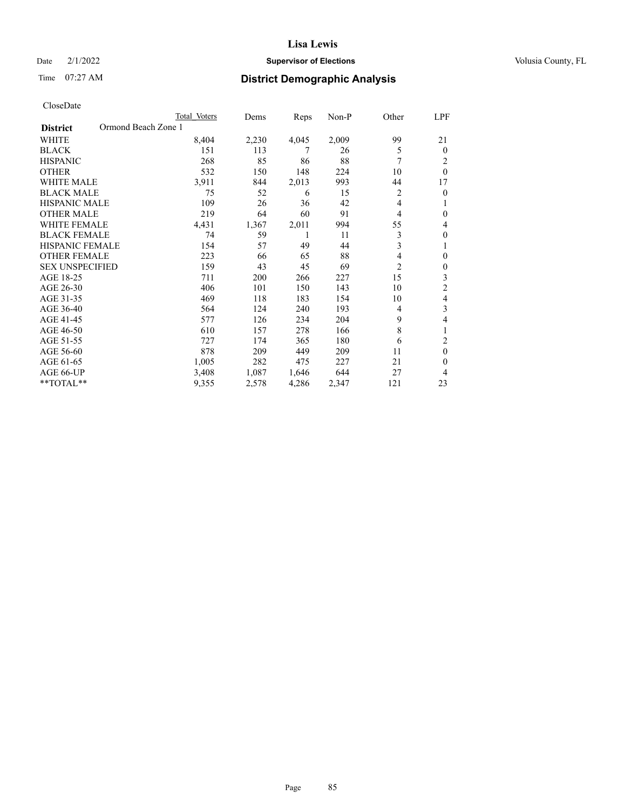# Date  $2/1/2022$  **Supervisor of Elections** Volusia County, FL

# Time 07:27 AM **District Demographic Analysis**

| Total Voters | Dems                | Reps  | $Non-P$ | Other          | LPF            |
|--------------|---------------------|-------|---------|----------------|----------------|
|              |                     |       |         |                |                |
| 8,404        | 2,230               | 4,045 | 2,009   | 99             | 21             |
| 151          | 113                 | 7     | 26      | 5              | $\theta$       |
| 268          | 85                  | 86    | 88      | 7              | 2              |
| 532          | 150                 | 148   | 224     | 10             | $\theta$       |
| 3,911        | 844                 | 2,013 | 993     | 44             | 17             |
| 75           | 52                  | 6     | 15      | $\overline{2}$ | $\theta$       |
| 109          | 26                  | 36    | 42      | 4              | 1              |
| 219          | 64                  | 60    | 91      | 4              | $\theta$       |
| 4,431        | 1,367               | 2,011 | 994     | 55             | 4              |
| 74           | 59                  | 1     | 11      | 3              | $\theta$       |
| 154          | 57                  | 49    | 44      | 3              | 1              |
| 223          | 66                  | 65    | 88      | 4              | $\theta$       |
| 159          | 43                  | 45    | 69      | $\overline{c}$ | $\theta$       |
| 711          | 200                 | 266   | 227     | 15             | 3              |
| 406          | 101                 | 150   | 143     | 10             | $\overline{c}$ |
| 469          | 118                 | 183   | 154     | 10             | 4              |
| 564          | 124                 | 240   | 193     | 4              | 3              |
| 577          | 126                 | 234   | 204     | 9              | 4              |
| 610          | 157                 | 278   | 166     | 8              | 1              |
| 727          | 174                 | 365   | 180     | 6              | 2              |
| 878          | 209                 | 449   | 209     | 11             | $\theta$       |
| 1,005        | 282                 | 475   | 227     | 21             | $\theta$       |
| 3,408        | 1,087               | 1,646 | 644     | 27             | 4              |
| 9,355        | 2,578               | 4,286 | 2,347   | 121            | 23             |
|              | Ormond Beach Zone 1 |       |         |                |                |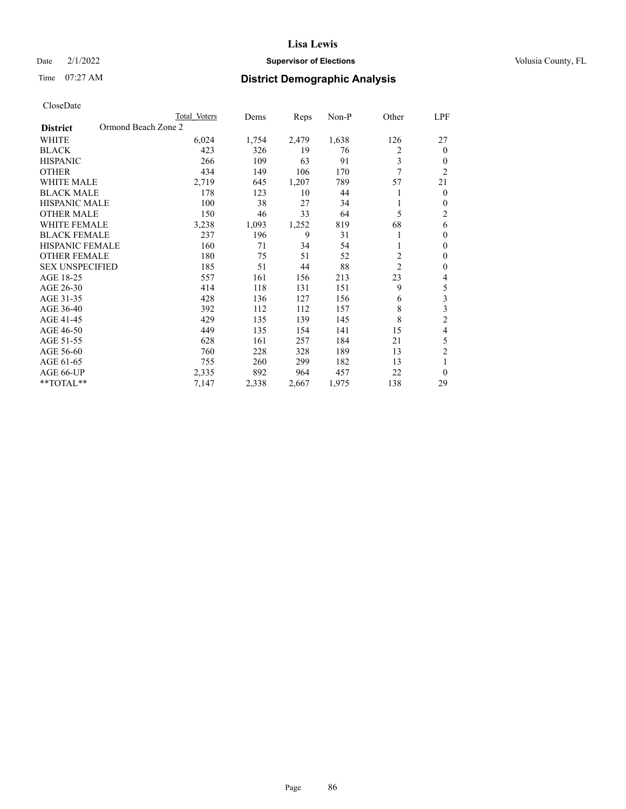# Date  $2/1/2022$  **Supervisor of Elections** Volusia County, FL

# Time 07:27 AM **District Demographic Analysis**

|                                        | Total Voters | Dems  | Reps  | $Non-P$ | Other          | <u>LPF</u>              |
|----------------------------------------|--------------|-------|-------|---------|----------------|-------------------------|
| Ormond Beach Zone 2<br><b>District</b> |              |       |       |         |                |                         |
| <b>WHITE</b>                           | 6,024        | 1,754 | 2,479 | 1,638   | 126            | 27                      |
| <b>BLACK</b>                           | 423          | 326   | 19    | 76      | 2              | $\theta$                |
| <b>HISPANIC</b>                        | 266          | 109   | 63    | 91      | 3              | $\mathbf{0}$            |
| <b>OTHER</b>                           | 434          | 149   | 106   | 170     | 7              | $\overline{2}$          |
| <b>WHITE MALE</b>                      | 2,719        | 645   | 1,207 | 789     | 57             | 21                      |
| <b>BLACK MALE</b>                      | 178          | 123   | 10    | 44      | 1              | $\mathbf{0}$            |
| <b>HISPANIC MALE</b>                   | 100          | 38    | 27    | 34      |                | $\mathbf{0}$            |
| <b>OTHER MALE</b>                      | 150          | 46    | 33    | 64      | 5              | $\mathfrak{2}$          |
| <b>WHITE FEMALE</b>                    | 3,238        | 1,093 | 1,252 | 819     | 68             | 6                       |
| <b>BLACK FEMALE</b>                    | 237          | 196   | 9     | 31      | 1              | $\mathbf{0}$            |
| <b>HISPANIC FEMALE</b>                 | 160          | 71    | 34    | 54      | 1              | $\mathbf{0}$            |
| <b>OTHER FEMALE</b>                    | 180          | 75    | 51    | 52      | $\overline{c}$ | $\mathbf{0}$            |
| <b>SEX UNSPECIFIED</b>                 | 185          | 51    | 44    | 88      | $\overline{2}$ | $\mathbf{0}$            |
| AGE 18-25                              | 557          | 161   | 156   | 213     | 23             | 4                       |
| AGE 26-30                              | 414          | 118   | 131   | 151     | 9              | 5                       |
| AGE 31-35                              | 428          | 136   | 127   | 156     | 6              | 3                       |
| AGE 36-40                              | 392          | 112   | 112   | 157     | 8              | $\overline{\mathbf{3}}$ |
| AGE 41-45                              | 429          | 135   | 139   | 145     | 8              | $\overline{c}$          |
| AGE 46-50                              | 449          | 135   | 154   | 141     | 15             | $\overline{4}$          |
| AGE 51-55                              | 628          | 161   | 257   | 184     | 21             | 5                       |
| AGE 56-60                              | 760          | 228   | 328   | 189     | 13             | $\overline{2}$          |
| AGE 61-65                              | 755          | 260   | 299   | 182     | 13             | 1                       |
| AGE 66-UP                              | 2,335        | 892   | 964   | 457     | 22             | $\theta$                |
| **TOTAL**                              | 7,147        | 2,338 | 2,667 | 1,975   | 138            | 29                      |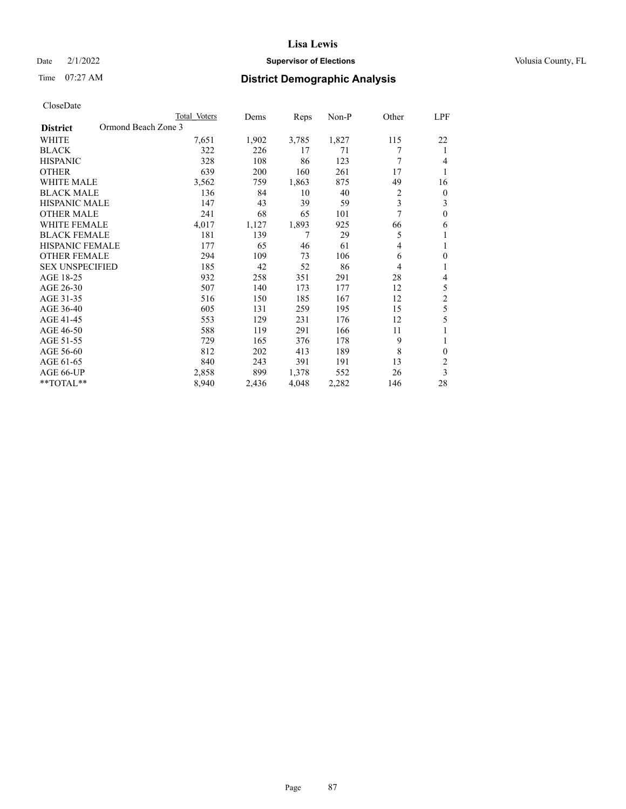# Date  $2/1/2022$  **Supervisor of Elections** Volusia County, FL

# Time 07:27 AM **District Demographic Analysis**

|                                        | Total Voters | Dems  | Reps  | $Non-P$ | Other          | <u>LPF</u>     |
|----------------------------------------|--------------|-------|-------|---------|----------------|----------------|
| Ormond Beach Zone 3<br><b>District</b> |              |       |       |         |                |                |
| <b>WHITE</b>                           | 7,651        | 1,902 | 3,785 | 1,827   | 115            | 22             |
| <b>BLACK</b>                           | 322          | 226   | 17    | 71      | 7              | 1              |
| <b>HISPANIC</b>                        | 328          | 108   | 86    | 123     | 7              | $\overline{4}$ |
| <b>OTHER</b>                           | 639          | 200   | 160   | 261     | 17             | 1              |
| <b>WHITE MALE</b>                      | 3,562        | 759   | 1,863 | 875     | 49             | 16             |
| <b>BLACK MALE</b>                      | 136          | 84    | 10    | 40      | $\overline{c}$ | $\mathbf{0}$   |
| <b>HISPANIC MALE</b>                   | 147          | 43    | 39    | 59      | 3              | 3              |
| <b>OTHER MALE</b>                      | 241          | 68    | 65    | 101     | 7              | $\mathbf{0}$   |
| <b>WHITE FEMALE</b>                    | 4,017        | 1,127 | 1,893 | 925     | 66             | 6              |
| <b>BLACK FEMALE</b>                    | 181          | 139   | 7     | 29      | 5              | 1              |
| <b>HISPANIC FEMALE</b>                 | 177          | 65    | 46    | 61      | $\overline{4}$ | 1              |
| <b>OTHER FEMALE</b>                    | 294          | 109   | 73    | 106     | 6              | $\mathbf{0}$   |
| <b>SEX UNSPECIFIED</b>                 | 185          | 42    | 52    | 86      | $\overline{4}$ | 1              |
| AGE 18-25                              | 932          | 258   | 351   | 291     | 28             | 4              |
| AGE 26-30                              | 507          | 140   | 173   | 177     | 12             | 5              |
| AGE 31-35                              | 516          | 150   | 185   | 167     | 12             | $\overline{c}$ |
| AGE 36-40                              | 605          | 131   | 259   | 195     | 15             | 5              |
| AGE 41-45                              | 553          | 129   | 231   | 176     | 12             | 5              |
| AGE 46-50                              | 588          | 119   | 291   | 166     | 11             |                |
| AGE 51-55                              | 729          | 165   | 376   | 178     | 9              | 1              |
| AGE 56-60                              | 812          | 202   | 413   | 189     | 8              | $\theta$       |
| AGE 61-65                              | 840          | 243   | 391   | 191     | 13             | $\overline{2}$ |
| AGE 66-UP                              | 2,858        | 899   | 1,378 | 552     | 26             | 3              |
| **TOTAL**                              | 8,940        | 2,436 | 4,048 | 2,282   | 146            | 28             |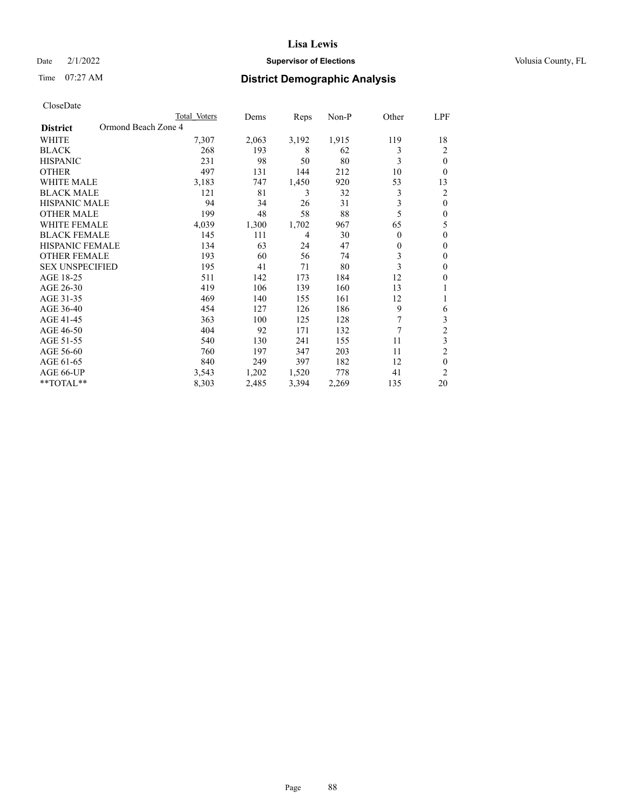# Date  $2/1/2022$  **Supervisor of Elections** Volusia County, FL

# Time 07:27 AM **District Demographic Analysis**

|                                        | Total Voters | Dems  | Reps  | Non-P | Other    | LPF            |
|----------------------------------------|--------------|-------|-------|-------|----------|----------------|
| Ormond Beach Zone 4<br><b>District</b> |              |       |       |       |          |                |
| WHITE                                  | 7,307        | 2,063 | 3,192 | 1,915 | 119      | 18             |
| <b>BLACK</b>                           | 268          | 193   | 8     | 62    | 3        | 2              |
| <b>HISPANIC</b>                        | 231          | 98    | 50    | 80    | 3        | $\theta$       |
| <b>OTHER</b>                           | 497          | 131   | 144   | 212   | 10       | 0              |
| <b>WHITE MALE</b>                      | 3,183        | 747   | 1,450 | 920   | 53       | 13             |
| <b>BLACK MALE</b>                      | 121          | 81    | 3     | 32    | 3        | 2              |
| <b>HISPANIC MALE</b>                   | 94           | 34    | 26    | 31    | 3        | $\theta$       |
| <b>OTHER MALE</b>                      | 199          | 48    | 58    | 88    | 5        | $\theta$       |
| WHITE FEMALE                           | 4,039        | 1,300 | 1,702 | 967   | 65       | 5              |
| <b>BLACK FEMALE</b>                    | 145          | 111   | 4     | 30    | $\theta$ | $\theta$       |
| <b>HISPANIC FEMALE</b>                 | 134          | 63    | 24    | 47    | $\theta$ | $\theta$       |
| <b>OTHER FEMALE</b>                    | 193          | 60    | 56    | 74    | 3        | $\theta$       |
| <b>SEX UNSPECIFIED</b>                 | 195          | 41    | 71    | 80    | 3        | $\theta$       |
| AGE 18-25                              | 511          | 142   | 173   | 184   | 12       | $\theta$       |
| AGE 26-30                              | 419          | 106   | 139   | 160   | 13       | 1              |
| AGE 31-35                              | 469          | 140   | 155   | 161   | 12       |                |
| AGE 36-40                              | 454          | 127   | 126   | 186   | 9        | 6              |
| AGE 41-45                              | 363          | 100   | 125   | 128   | 7        | 3              |
| AGE 46-50                              | 404          | 92    | 171   | 132   | 7        | $\overline{2}$ |
| AGE 51-55                              | 540          | 130   | 241   | 155   | 11       | 3              |
| AGE 56-60                              | 760          | 197   | 347   | 203   | 11       | $\overline{c}$ |
| AGE 61-65                              | 840          | 249   | 397   | 182   | 12       | $\theta$       |
| AGE 66-UP                              | 3,543        | 1,202 | 1,520 | 778   | 41       | $\overline{c}$ |
| **TOTAL**                              | 8,303        | 2,485 | 3,394 | 2,269 | 135      | 20             |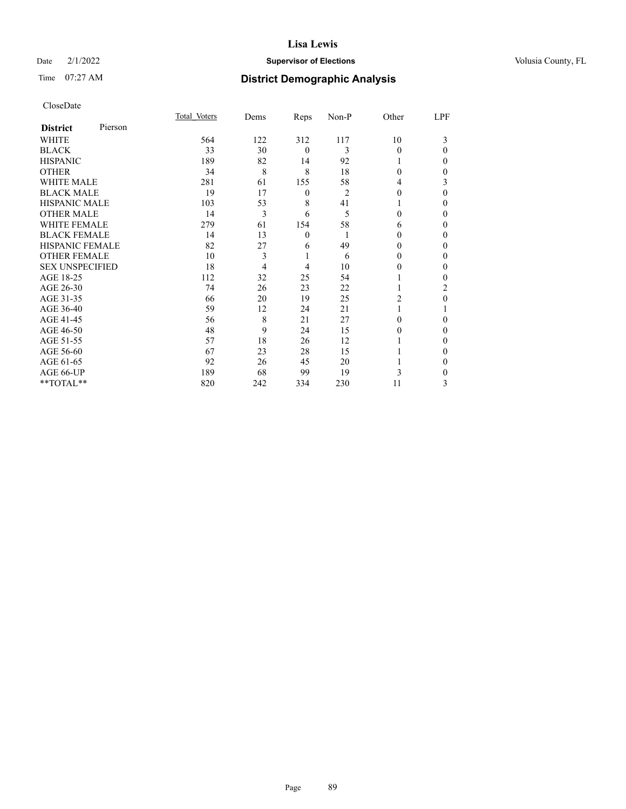# Date  $2/1/2022$  **Supervisor of Elections** Volusia County, FL

| CloseDate |
|-----------|
|-----------|

|                        |         | Total Voters | Dems | Reps             | Non-P          | Other    | LPF          |
|------------------------|---------|--------------|------|------------------|----------------|----------|--------------|
| <b>District</b>        | Pierson |              |      |                  |                |          |              |
| WHITE                  |         | 564          | 122  | 312              | 117            | 10       | 3            |
| <b>BLACK</b>           |         | 33           | 30   | $\mathbf{0}$     | 3              | $\Omega$ | $\Omega$     |
| <b>HISPANIC</b>        |         | 189          | 82   | 14               | 92             |          | 0            |
| <b>OTHER</b>           |         | 34           | 8    | 8                | 18             | $\Omega$ | 0            |
| <b>WHITE MALE</b>      |         | 281          | 61   | 155              | 58             | 4        | 3            |
| <b>BLACK MALE</b>      |         | 19           | 17   | $\boldsymbol{0}$ | $\overline{2}$ | $\Omega$ | $\mathbf{0}$ |
| <b>HISPANIC MALE</b>   |         | 103          | 53   | 8                | 41             |          | 0            |
| <b>OTHER MALE</b>      |         | 14           | 3    | 6                | 5              | 0        | 0            |
| <b>WHITE FEMALE</b>    |         | 279          | 61   | 154              | 58             | 6        | 0            |
| <b>BLACK FEMALE</b>    |         | 14           | 13   | $\mathbf{0}$     | 1              | $\Omega$ | 0            |
| <b>HISPANIC FEMALE</b> |         | 82           | 27   | 6                | 49             | 0        | 0            |
| <b>OTHER FEMALE</b>    |         | 10           | 3    | 1                | 6              | 0        | 0            |
| <b>SEX UNSPECIFIED</b> |         | 18           | 4    | $\overline{4}$   | 10             | $\theta$ | $\Omega$     |
| AGE 18-25              |         | 112          | 32   | 25               | 54             |          | 0            |
| AGE 26-30              |         | 74           | 26   | 23               | 22             |          | 2            |
| AGE 31-35              |         | 66           | 20   | 19               | 25             | 2        | 0            |
| AGE 36-40              |         | 59           | 12   | 24               | 21             |          |              |
| AGE 41-45              |         | 56           | 8    | 21               | 27             | 0        | 0            |
| AGE 46-50              |         | 48           | 9    | 24               | 15             | $\theta$ | 0            |
| AGE 51-55              |         | 57           | 18   | 26               | 12             |          | $\theta$     |
| AGE 56-60              |         | 67           | 23   | 28               | 15             |          | 0            |
| AGE 61-65              |         | 92           | 26   | 45               | 20             |          | 0            |
| AGE 66-UP              |         | 189          | 68   | 99               | 19             | 3        | 0            |
| **TOTAL**              |         | 820          | 242  | 334              | 230            | 11       | 3            |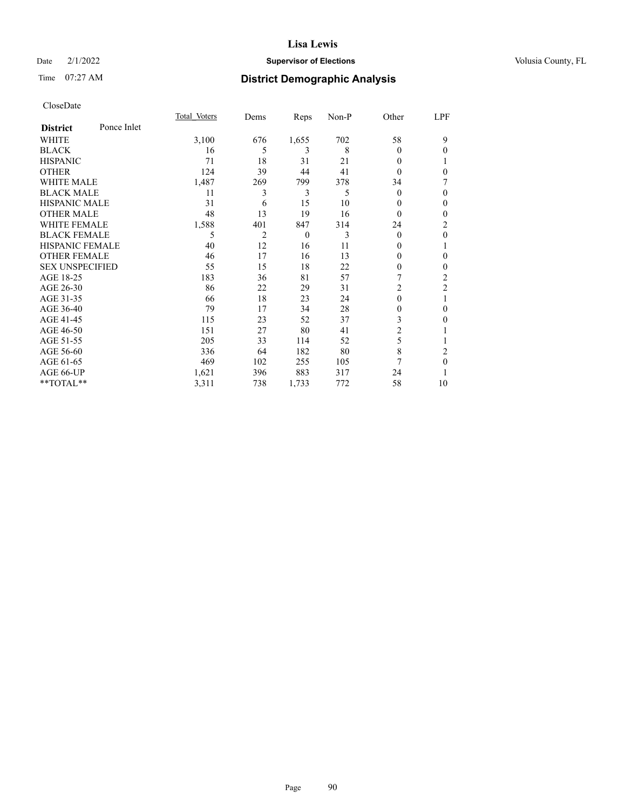# Date  $2/1/2022$  **Supervisor of Elections** Volusia County, FL

# Time 07:27 AM **District Demographic Analysis**

|                        |             | Total Voters | Dems | Reps     | Non-P | Other          | LPF            |
|------------------------|-------------|--------------|------|----------|-------|----------------|----------------|
| <b>District</b>        | Ponce Inlet |              |      |          |       |                |                |
| WHITE                  |             | 3,100        | 676  | 1,655    | 702   | 58             | 9              |
| <b>BLACK</b>           |             | 16           | 5    | 3        | 8     | 0              | $\theta$       |
| <b>HISPANIC</b>        |             | 71           | 18   | 31       | 21    | 0              |                |
| <b>OTHER</b>           |             | 124          | 39   | 44       | 41    | 0              | $\theta$       |
| WHITE MALE             |             | 1,487        | 269  | 799      | 378   | 34             |                |
| <b>BLACK MALE</b>      |             | 11           | 3    | 3        | 5     | $\theta$       | $\theta$       |
| <b>HISPANIC MALE</b>   |             | 31           | 6    | 15       | 10    | 0              | $\mathbf{0}$   |
| <b>OTHER MALE</b>      |             | 48           | 13   | 19       | 16    | $\theta$       | $\mathbf{0}$   |
| <b>WHITE FEMALE</b>    |             | 1,588        | 401  | 847      | 314   | 24             | $\overline{2}$ |
| <b>BLACK FEMALE</b>    |             | 5            | 2    | $\theta$ | 3     | $\theta$       | $\mathbf{0}$   |
| <b>HISPANIC FEMALE</b> |             | 40           | 12   | 16       | 11    | $_{0}$         | 1              |
| <b>OTHER FEMALE</b>    |             | 46           | 17   | 16       | 13    | 0              | $\theta$       |
| <b>SEX UNSPECIFIED</b> |             | 55           | 15   | 18       | 22    | 0              | $\theta$       |
| AGE 18-25              |             | 183          | 36   | 81       | 57    |                | $\overline{c}$ |
| AGE 26-30              |             | 86           | 22   | 29       | 31    | $\overline{c}$ | $\overline{c}$ |
| AGE 31-35              |             | 66           | 18   | 23       | 24    | 0              | 1              |
| AGE 36-40              |             | 79           | 17   | 34       | 28    | 0              | $\mathbf{0}$   |
| AGE 41-45              |             | 115          | 23   | 52       | 37    | 3              | $\theta$       |
| AGE 46-50              |             | 151          | 27   | 80       | 41    | $\overline{2}$ |                |
| AGE 51-55              |             | 205          | 33   | 114      | 52    | 5              | 1              |
| AGE 56-60              |             | 336          | 64   | 182      | 80    | 8              | 2              |
| AGE 61-65              |             | 469          | 102  | 255      | 105   | 7              | $\theta$       |
| AGE 66-UP              |             | 1,621        | 396  | 883      | 317   | 24             |                |
| **TOTAL**              |             | 3,311        | 738  | 1,733    | 772   | 58             | 10             |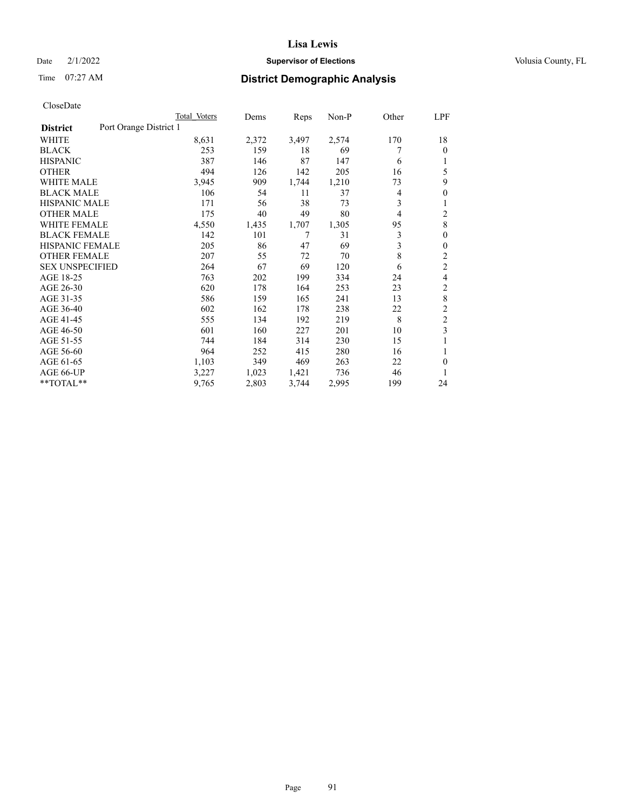# Date  $2/1/2022$  **Supervisor of Elections** Volusia County, FL

# Time 07:27 AM **District Demographic Analysis**

|                                           | Total Voters | Dems  | Reps  | $Non-P$ | Other | LPF            |
|-------------------------------------------|--------------|-------|-------|---------|-------|----------------|
| Port Orange District 1<br><b>District</b> |              |       |       |         |       |                |
| WHITE                                     | 8,631        | 2,372 | 3,497 | 2,574   | 170   | 18             |
| <b>BLACK</b>                              | 253          | 159   | 18    | 69      | 7     | 0              |
| <b>HISPANIC</b>                           | 387          | 146   | 87    | 147     | 6     |                |
| <b>OTHER</b>                              | 494          | 126   | 142   | 205     | 16    | 5              |
| <b>WHITE MALE</b>                         | 3,945        | 909   | 1,744 | 1,210   | 73    | 9              |
| <b>BLACK MALE</b>                         | 106          | 54    | 11    | 37      | 4     | 0              |
| <b>HISPANIC MALE</b>                      | 171          | 56    | 38    | 73      | 3     |                |
| <b>OTHER MALE</b>                         | 175          | 40    | 49    | 80      | 4     | 2              |
| <b>WHITE FEMALE</b>                       | 4,550        | 1,435 | 1,707 | 1,305   | 95    | 8              |
| <b>BLACK FEMALE</b>                       | 142          | 101   | 7     | 31      | 3     | 0              |
| <b>HISPANIC FEMALE</b>                    | 205          | 86    | 47    | 69      | 3     | 0              |
| <b>OTHER FEMALE</b>                       | 207          | 55    | 72    | 70      | 8     | $\overline{c}$ |
| <b>SEX UNSPECIFIED</b>                    | 264          | 67    | 69    | 120     | 6     | $\overline{c}$ |
| AGE 18-25                                 | 763          | 202   | 199   | 334     | 24    | 4              |
| AGE 26-30                                 | 620          | 178   | 164   | 253     | 23    | 2              |
| AGE 31-35                                 | 586          | 159   | 165   | 241     | 13    | 8              |
| AGE 36-40                                 | 602          | 162   | 178   | 238     | 22    | 2              |
| AGE 41-45                                 | 555          | 134   | 192   | 219     | 8     | 2              |
| AGE 46-50                                 | 601          | 160   | 227   | 201     | 10    | 3              |
| AGE 51-55                                 | 744          | 184   | 314   | 230     | 15    | 1              |
| AGE 56-60                                 | 964          | 252   | 415   | 280     | 16    |                |
| AGE 61-65                                 | 1,103        | 349   | 469   | 263     | 22    | 0              |
| AGE 66-UP                                 | 3,227        | 1,023 | 1,421 | 736     | 46    |                |
| $*$ $TOTAL**$                             | 9,765        | 2,803 | 3,744 | 2,995   | 199   | 24             |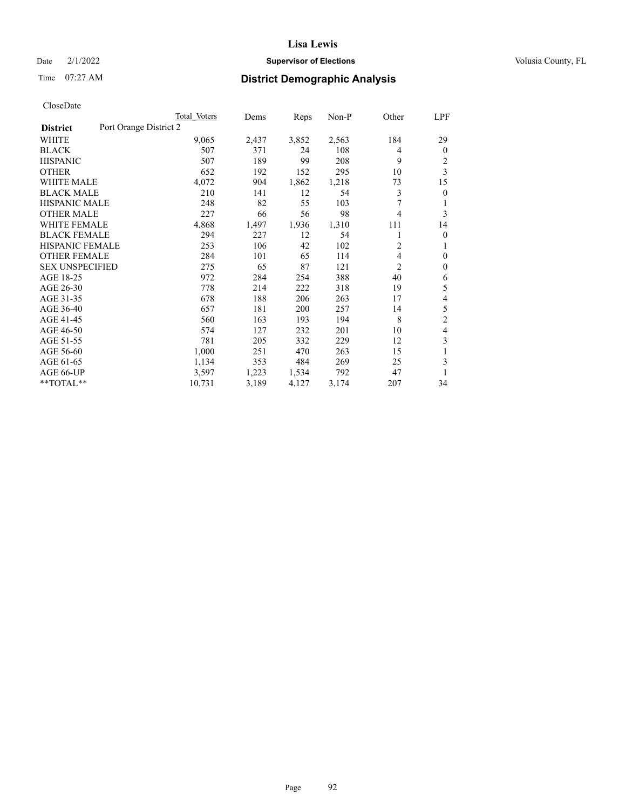# Date  $2/1/2022$  **Supervisor of Elections** Volusia County, FL

# Time 07:27 AM **District Demographic Analysis**

|                                           | Total Voters | Dems  | Reps  | Non-P | Other          | <u>LPF</u>     |
|-------------------------------------------|--------------|-------|-------|-------|----------------|----------------|
| Port Orange District 2<br><b>District</b> |              |       |       |       |                |                |
| WHITE                                     | 9,065        | 2,437 | 3,852 | 2,563 | 184            | 29             |
| <b>BLACK</b>                              | 507          | 371   | 24    | 108   | 4              | $\mathbf{0}$   |
| <b>HISPANIC</b>                           | 507          | 189   | 99    | 208   | 9              | 2              |
| <b>OTHER</b>                              | 652          | 192   | 152   | 295   | 10             | 3              |
| <b>WHITE MALE</b>                         | 4,072        | 904   | 1,862 | 1,218 | 73             | 15             |
| <b>BLACK MALE</b>                         | 210          | 141   | 12    | 54    | 3              | $\overline{0}$ |
| <b>HISPANIC MALE</b>                      | 248          | 82    | 55    | 103   | 7              | 1              |
| <b>OTHER MALE</b>                         | 227          | 66    | 56    | 98    | $\overline{4}$ | 3              |
| <b>WHITE FEMALE</b>                       | 4,868        | 1,497 | 1,936 | 1,310 | 111            | 14             |
| <b>BLACK FEMALE</b>                       | 294          | 227   | 12    | 54    | 1              | $\theta$       |
| <b>HISPANIC FEMALE</b>                    | 253          | 106   | 42    | 102   | $\overline{c}$ | 1              |
| <b>OTHER FEMALE</b>                       | 284          | 101   | 65    | 114   | 4              | $\theta$       |
| <b>SEX UNSPECIFIED</b>                    | 275          | 65    | 87    | 121   | $\overline{2}$ | $\mathbf{0}$   |
| AGE 18-25                                 | 972          | 284   | 254   | 388   | 40             | 6              |
| AGE 26-30                                 | 778          | 214   | 222   | 318   | 19             | 5              |
| AGE 31-35                                 | 678          | 188   | 206   | 263   | 17             | 4              |
| AGE 36-40                                 | 657          | 181   | 200   | 257   | 14             | 5              |
| AGE 41-45                                 | 560          | 163   | 193   | 194   | 8              | $\overline{2}$ |
| AGE 46-50                                 | 574          | 127   | 232   | 201   | 10             | 4              |
| AGE 51-55                                 | 781          | 205   | 332   | 229   | 12             | 3              |
| AGE 56-60                                 | 1,000        | 251   | 470   | 263   | 15             | 1              |
| AGE 61-65                                 | 1,134        | 353   | 484   | 269   | 25             | 3              |
| AGE 66-UP                                 | 3,597        | 1,223 | 1,534 | 792   | 47             | 1              |
| **TOTAL**                                 | 10,731       | 3,189 | 4,127 | 3,174 | 207            | 34             |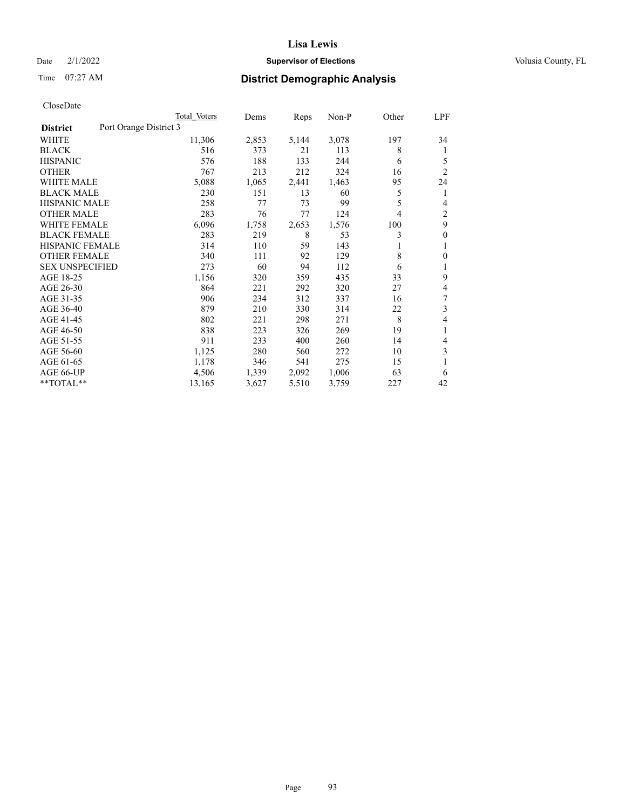# Date  $2/1/2022$  **Supervisor of Elections** Volusia County, FL

# Time 07:27 AM **District Demographic Analysis**

|                                           | Total Voters | Dems  | Reps  | Non-P | Other | <u>LPF</u>     |
|-------------------------------------------|--------------|-------|-------|-------|-------|----------------|
| Port Orange District 3<br><b>District</b> |              |       |       |       |       |                |
| WHITE                                     | 11,306       | 2,853 | 5,144 | 3,078 | 197   | 34             |
| <b>BLACK</b>                              | 516          | 373   | 21    | 113   | 8     | 1              |
| <b>HISPANIC</b>                           | 576          | 188   | 133   | 244   | 6     | 5              |
| <b>OTHER</b>                              | 767          | 213   | 212   | 324   | 16    | $\overline{2}$ |
| <b>WHITE MALE</b>                         | 5,088        | 1,065 | 2,441 | 1,463 | 95    | 24             |
| <b>BLACK MALE</b>                         | 230          | 151   | 13    | 60    | 5     | 1              |
| <b>HISPANIC MALE</b>                      | 258          | 77    | 73    | 99    | 5     | 4              |
| <b>OTHER MALE</b>                         | 283          | 76    | 77    | 124   | 4     | 2              |
| <b>WHITE FEMALE</b>                       | 6,096        | 1,758 | 2,653 | 1,576 | 100   | 9              |
| <b>BLACK FEMALE</b>                       | 283          | 219   | 8     | 53    | 3     | $\theta$       |
| <b>HISPANIC FEMALE</b>                    | 314          | 110   | 59    | 143   | 1     | 1              |
| <b>OTHER FEMALE</b>                       | 340          | 111   | 92    | 129   | 8     | $\mathbf{0}$   |
| <b>SEX UNSPECIFIED</b>                    | 273          | 60    | 94    | 112   | 6     | 1              |
| AGE 18-25                                 | 1,156        | 320   | 359   | 435   | 33    | 9              |
| AGE 26-30                                 | 864          | 221   | 292   | 320   | 27    | 4              |
| AGE 31-35                                 | 906          | 234   | 312   | 337   | 16    | 7              |
| AGE 36-40                                 | 879          | 210   | 330   | 314   | 22    | 3              |
| AGE 41-45                                 | 802          | 221   | 298   | 271   | 8     | 4              |
| AGE 46-50                                 | 838          | 223   | 326   | 269   | 19    | 1              |
| AGE 51-55                                 | 911          | 233   | 400   | 260   | 14    | 4              |
| AGE 56-60                                 | 1,125        | 280   | 560   | 272   | 10    | 3              |
| AGE 61-65                                 | 1,178        | 346   | 541   | 275   | 15    | 1              |
| AGE 66-UP                                 | 4,506        | 1,339 | 2,092 | 1,006 | 63    | 6              |
| **TOTAL**                                 | 13,165       | 3,627 | 5,510 | 3,759 | 227   | 42             |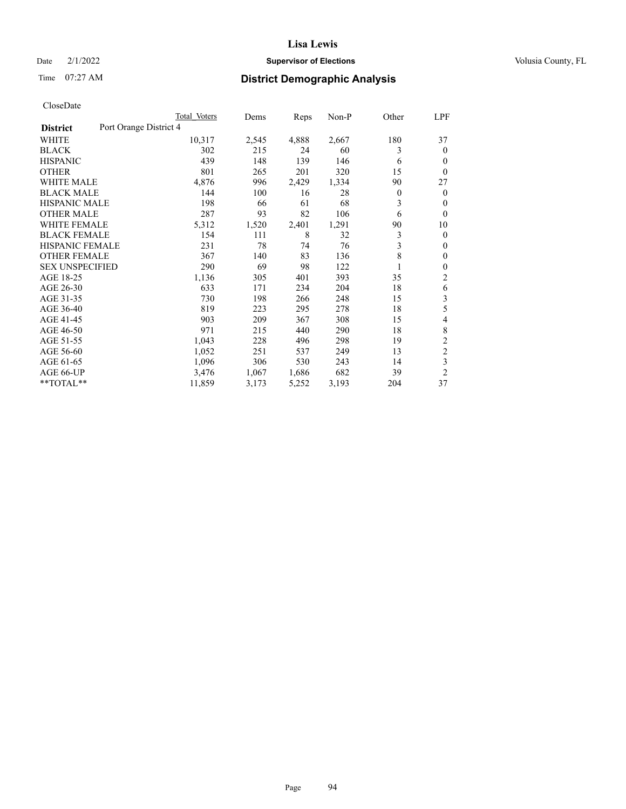# Date  $2/1/2022$  **Supervisor of Elections** Volusia County, FL

# Time 07:27 AM **District Demographic Analysis**

|                                           | Total Voters | Dems  | Reps  | $Non-P$ | Other          | <u>LPF</u>     |
|-------------------------------------------|--------------|-------|-------|---------|----------------|----------------|
| Port Orange District 4<br><b>District</b> |              |       |       |         |                |                |
| WHITE                                     | 10,317       | 2,545 | 4,888 | 2,667   | 180            | 37             |
| <b>BLACK</b>                              | 302          | 215   | 24    | 60      | 3              | $\theta$       |
| <b>HISPANIC</b>                           | 439          | 148   | 139   | 146     | 6              | $\theta$       |
| <b>OTHER</b>                              | 801          | 265   | 201   | 320     | 15             | $\theta$       |
| <b>WHITE MALE</b>                         | 4,876        | 996   | 2,429 | 1,334   | 90             | 27             |
| <b>BLACK MALE</b>                         | 144          | 100   | 16    | 28      | $\overline{0}$ | $\mathbf{0}$   |
| <b>HISPANIC MALE</b>                      | 198          | 66    | 61    | 68      | 3              | $\mathbf{0}$   |
| <b>OTHER MALE</b>                         | 287          | 93    | 82    | 106     | 6              | $\mathbf{0}$   |
| <b>WHITE FEMALE</b>                       | 5,312        | 1,520 | 2,401 | 1,291   | 90             | 10             |
| <b>BLACK FEMALE</b>                       | 154          | 111   | 8     | 32      | 3              | $\mathbf{0}$   |
| <b>HISPANIC FEMALE</b>                    | 231          | 78    | 74    | 76      | 3              | $\mathbf{0}$   |
| <b>OTHER FEMALE</b>                       | 367          | 140   | 83    | 136     | 8              | $\mathbf{0}$   |
| <b>SEX UNSPECIFIED</b>                    | 290          | 69    | 98    | 122     | 1              | $\mathbf{0}$   |
| AGE 18-25                                 | 1,136        | 305   | 401   | 393     | 35             | 2              |
| AGE 26-30                                 | 633          | 171   | 234   | 204     | 18             | 6              |
| AGE 31-35                                 | 730          | 198   | 266   | 248     | 15             | 3              |
| AGE 36-40                                 | 819          | 223   | 295   | 278     | 18             | 5              |
| AGE 41-45                                 | 903          | 209   | 367   | 308     | 15             | 4              |
| AGE 46-50                                 | 971          | 215   | 440   | 290     | 18             | 8              |
| AGE 51-55                                 | 1,043        | 228   | 496   | 298     | 19             | $\overline{2}$ |
| AGE 56-60                                 | 1,052        | 251   | 537   | 249     | 13             | $\overline{c}$ |
| AGE 61-65                                 | 1,096        | 306   | 530   | 243     | 14             | 3              |
| AGE 66-UP                                 | 3,476        | 1,067 | 1,686 | 682     | 39             | $\overline{2}$ |
| **TOTAL**                                 | 11,859       | 3,173 | 5,252 | 3,193   | 204            | 37             |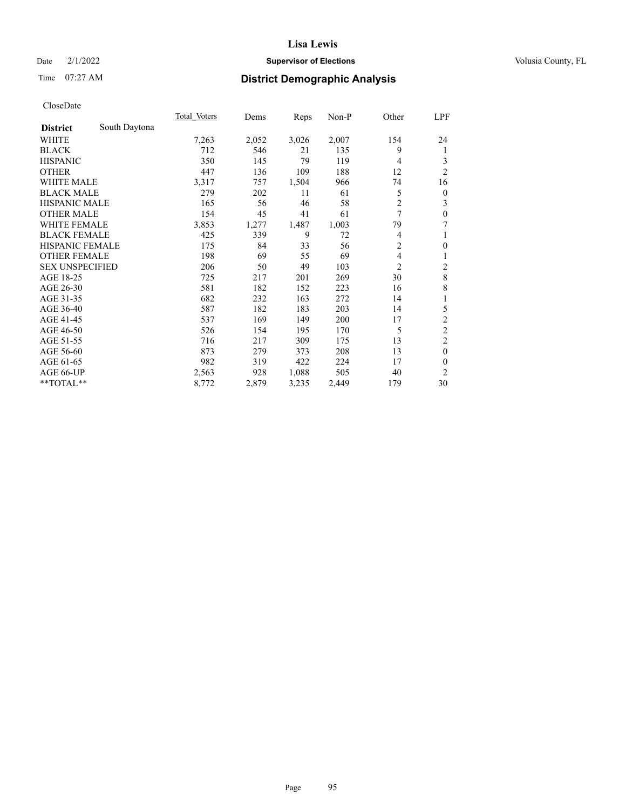# Date  $2/1/2022$  **Supervisor of Elections** Volusia County, FL

# Time 07:27 AM **District Demographic Analysis**

|                        |               | Total Voters | Dems  | Reps  | Non-P | Other          | LPF            |
|------------------------|---------------|--------------|-------|-------|-------|----------------|----------------|
| <b>District</b>        | South Daytona |              |       |       |       |                |                |
| WHITE                  |               | 7,263        | 2,052 | 3,026 | 2,007 | 154            | 24             |
| <b>BLACK</b>           |               | 712          | 546   | 21    | 135   | 9              | 1              |
| <b>HISPANIC</b>        |               | 350          | 145   | 79    | 119   | 4              | 3              |
| <b>OTHER</b>           |               | 447          | 136   | 109   | 188   | 12             | $\overline{2}$ |
| <b>WHITE MALE</b>      |               | 3,317        | 757   | 1,504 | 966   | 74             | 16             |
| <b>BLACK MALE</b>      |               | 279          | 202   | 11    | 61    | 5              | $\theta$       |
| <b>HISPANIC MALE</b>   |               | 165          | 56    | 46    | 58    | $\overline{c}$ | 3              |
| <b>OTHER MALE</b>      |               | 154          | 45    | 41    | 61    | 7              | $\theta$       |
| WHITE FEMALE           |               | 3,853        | 1,277 | 1,487 | 1,003 | 79             | 7              |
| <b>BLACK FEMALE</b>    |               | 425          | 339   | 9     | 72    | 4              | 1              |
| <b>HISPANIC FEMALE</b> |               | 175          | 84    | 33    | 56    | 2              | $\theta$       |
| <b>OTHER FEMALE</b>    |               | 198          | 69    | 55    | 69    | 4              | 1              |
| <b>SEX UNSPECIFIED</b> |               | 206          | 50    | 49    | 103   | $\overline{2}$ | 2              |
| AGE 18-25              |               | 725          | 217   | 201   | 269   | 30             | 8              |
| AGE 26-30              |               | 581          | 182   | 152   | 223   | 16             | 8              |
| AGE 31-35              |               | 682          | 232   | 163   | 272   | 14             | 1              |
| AGE 36-40              |               | 587          | 182   | 183   | 203   | 14             | 5              |
| AGE 41-45              |               | 537          | 169   | 149   | 200   | 17             | $\mathfrak{2}$ |
| AGE 46-50              |               | 526          | 154   | 195   | 170   | 5              | $\overline{c}$ |
| AGE 51-55              |               | 716          | 217   | 309   | 175   | 13             | $\overline{c}$ |
| AGE 56-60              |               | 873          | 279   | 373   | 208   | 13             | $\theta$       |
| AGE 61-65              |               | 982          | 319   | 422   | 224   | 17             | $\theta$       |
| AGE 66-UP              |               | 2,563        | 928   | 1,088 | 505   | 40             | $\overline{2}$ |
| **TOTAL**              |               | 8,772        | 2,879 | 3,235 | 2,449 | 179            | 30             |